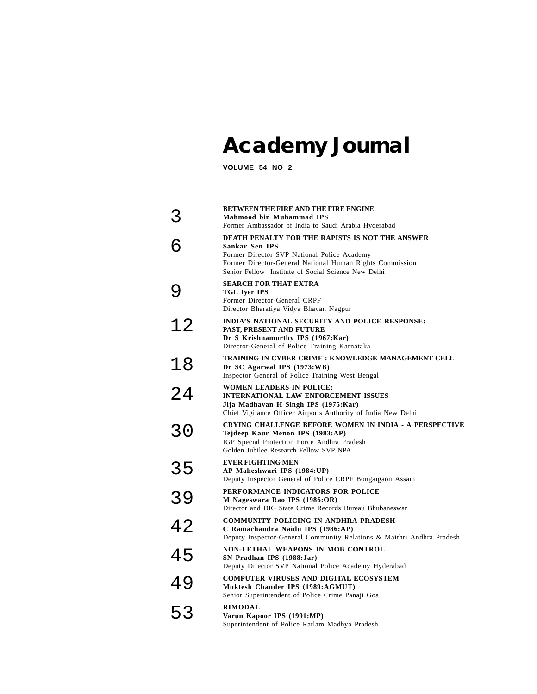# **Academy Journal**

**VOLUME 54 NO 2**

|    | <b>BETWEEN THE FIRE AND THE FIRE ENGINE</b><br>Mahmood bin Muhammad IPS<br>Former Ambassador of India to Saudi Arabia Hyderabad                                                                                                     |
|----|-------------------------------------------------------------------------------------------------------------------------------------------------------------------------------------------------------------------------------------|
|    | DEATH PENALTY FOR THE RAPISTS IS NOT THE ANSWER<br>Sankar Sen IPS<br>Former Director SVP National Police Academy<br>Former Director-General National Human Rights Commission<br>Senior Fellow Institute of Social Science New Delhi |
|    | <b>SEARCH FOR THAT EXTRA</b><br><b>TGL Iyer IPS</b><br>Former Director-General CRPF<br>Director Bharatiya Vidya Bhavan Nagpur                                                                                                       |
| 12 | INDIA'S NATIONAL SECURITY AND POLICE RESPONSE:<br>PAST, PRESENT AND FUTURE<br>Dr S Krishnamurthy IPS (1967:Kar)<br>Director-General of Police Training Karnataka                                                                    |
| 18 | TRAINING IN CYBER CRIME : KNOWLEDGE MANAGEMENT CELL<br>Dr SC Agarwal IPS (1973:WB)<br>Inspector General of Police Training West Bengal                                                                                              |
| 24 | <b>WOMEN LEADERS IN POLICE:</b><br><b>INTERNATIONAL LAW ENFORCEMENT ISSUES</b><br>Jija Madhavan H Singh IPS (1975:Kar)<br>Chief Vigilance Officer Airports Authority of India New Delhi                                             |
| 30 | CRYING CHALLENGE BEFORE WOMEN IN INDIA - A PERSPECTIVE<br>Tejdeep Kaur Menon IPS (1983:AP)<br>IGP Special Protection Force Andhra Pradesh<br>Golden Jubilee Research Fellow SVP NPA                                                 |
| 35 | <b>EVER FIGHTING MEN</b><br>AP Maheshwari IPS (1984:UP)<br>Deputy Inspector General of Police CRPF Bongaigaon Assam                                                                                                                 |
| 39 | PERFORMANCE INDICATORS FOR POLICE<br>M Nageswara Rao IPS (1986:OR)<br>Director and DIG State Crime Records Bureau Bhubaneswar                                                                                                       |
| 42 | <b>COMMUNITY POLICING IN ANDHRA PRADESH</b><br>C Ramachandra Naidu IPS (1986:AP)<br>Deputy Inspector-General Community Relations & Maithri Andhra Pradesh                                                                           |
| 45 | NON-LETHAL WEAPONS IN MOB CONTROL<br>SN Pradhan IPS (1988:Jar)<br>Deputy Director SVP National Police Academy Hyderabad                                                                                                             |
| 49 | <b>COMPUTER VIRUSES AND DIGITAL ECOSYSTEM</b><br>Muktesh Chander IPS (1989:AGMUT)<br>Senior Superintendent of Police Crime Panaji Goa                                                                                               |
| 53 | <b>RIMODAL</b><br>Varun Kapoor IPS (1991:MP)<br>Superintendent of Police Ratlam Madhya Pradesh                                                                                                                                      |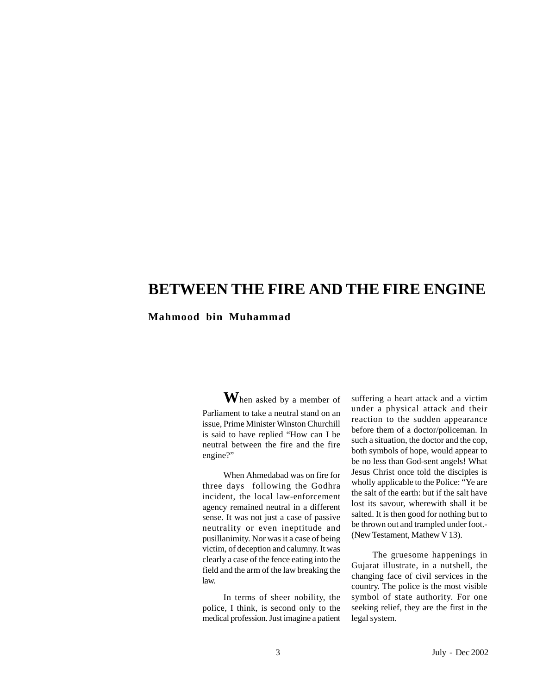### **BETWEEN THE FIRE AND THE FIRE ENGINE**

**Mahmood bin Muhammad**

**W**hen asked by a member of Parliament to take a neutral stand on an issue, Prime Minister Winston Churchill is said to have replied "How can I be neutral between the fire and the fire engine?"

When Ahmedabad was on fire for three days following the Godhra incident, the local law-enforcement agency remained neutral in a different sense. It was not just a case of passive neutrality or even ineptitude and pusillanimity. Nor was it a case of being victim, of deception and calumny. It was clearly a case of the fence eating into the field and the arm of the law breaking the law.

In terms of sheer nobility, the police, I think, is second only to the medical profession. Just imagine a patient

suffering a heart attack and a victim under a physical attack and their reaction to the sudden appearance before them of a doctor/policeman. In such a situation, the doctor and the cop, both symbols of hope, would appear to be no less than God-sent angels! What Jesus Christ once told the disciples is wholly applicable to the Police: "Ye are the salt of the earth: but if the salt have lost its savour, wherewith shall it be salted. It is then good for nothing but to be thrown out and trampled under foot.- (New Testament, Mathew V 13).

The gruesome happenings in Gujarat illustrate, in a nutshell, the changing face of civil services in the country. The police is the most visible symbol of state authority. For one seeking relief, they are the first in the legal system.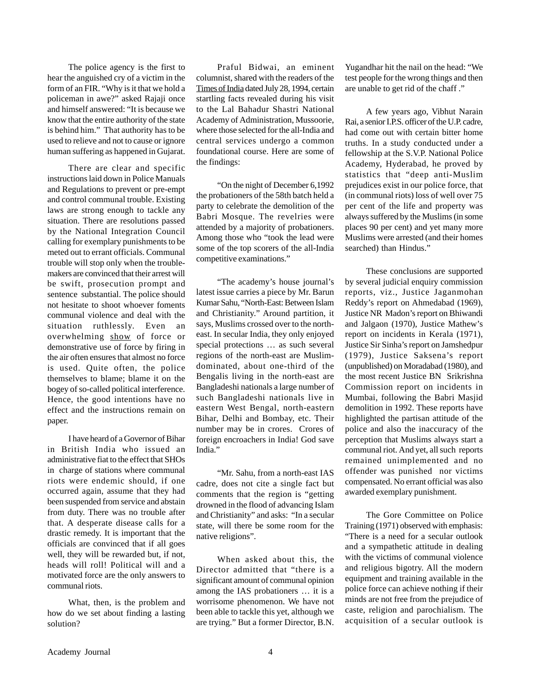The police agency is the first to hear the anguished cry of a victim in the form of an FIR. "Why is it that we hold a policeman in awe?" asked Rajaji once and himself answered: "It is because we know that the entire authority of the state is behind him." That authority has to be used to relieve and not to cause or ignore human suffering as happened in Gujarat.

There are clear and specific instructions laid down in Police Manuals and Regulations to prevent or pre-empt and control communal trouble. Existing laws are strong enough to tackle any situation. There are resolutions passed by the National Integration Council calling for exemplary punishments to be meted out to errant officials. Communal trouble will stop only when the troublemakers are convinced that their arrest will be swift, prosecution prompt and sentence substantial. The police should not hesitate to shoot whoever foments communal violence and deal with the situation ruthlessly. Even an overwhelming show of force or demonstrative use of force by firing in the air often ensures that almost no force is used. Quite often, the police themselves to blame; blame it on the bogey of so-called political interference. Hence, the good intentions have no effect and the instructions remain on paper.

I have heard of a Governor of Bihar in British India who issued an administrative fiat to the effect that SHOs in charge of stations where communal riots were endemic should, if one occurred again, assume that they had been suspended from service and abstain from duty. There was no trouble after that. A desperate disease calls for a drastic remedy. It is important that the officials are convinced that if all goes well, they will be rewarded but, if not, heads will roll! Political will and a motivated force are the only answers to communal riots.

What, then, is the problem and how do we set about finding a lasting solution?

Praful Bidwai, an eminent columnist, shared with the readers of the Times of India dated July 28, 1994, certain startling facts revealed during his visit to the Lal Bahadur Shastri National Academy of Administration, Mussoorie, where those selected for the all-India and central services undergo a common foundational course. Here are some of the findings:

"On the night of December 6,1992 the probationers of the 58th batch held a party to celebrate the demolition of the Babri Mosque. The revelries were attended by a majority of probationers. Among those who "took the lead were some of the top scorers of the all-India competitive examinations."

"The academy's house journal's latest issue carries a piece by Mr. Barun Kumar Sahu, "North-East: Between Islam and Christianity." Around partition, it says, Muslims crossed over to the northeast. In secular India, they only enjoyed special protections … as such several regions of the north-east are Muslimdominated, about one-third of the Bengalis living in the north-east are Bangladeshi nationals a large number of such Bangladeshi nationals live in eastern West Bengal, north-eastern Bihar, Delhi and Bombay, etc. Their number may be in crores. Crores of foreign encroachers in India! God save India."

"Mr. Sahu, from a north-east IAS cadre, does not cite a single fact but comments that the region is "getting drowned in the flood of advancing Islam and Christianity" and asks: "In a secular state, will there be some room for the native religions".

When asked about this, the Director admitted that "there is a significant amount of communal opinion among the IAS probationers … it is a worrisome phenomenon. We have not been able to tackle this yet, although we are trying." But a former Director, B.N. Yugandhar hit the nail on the head: "We test people for the wrong things and then are unable to get rid of the chaff ."

A few years ago, Vibhut Narain Rai, a senior I.P.S. officer of the U.P. cadre, had come out with certain bitter home truths. In a study conducted under a fellowship at the S.V.P. National Police Academy, Hyderabad, he proved by statistics that "deep anti-Muslim prejudices exist in our police force, that (in communal riots) loss of well over 75 per cent of the life and property was always suffered by the Muslims (in some places 90 per cent) and yet many more Muslims were arrested (and their homes searched) than Hindus."

These conclusions are supported by several judicial enquiry commission reports, viz., Justice Jaganmohan Reddy's report on Ahmedabad (1969), Justice NR Madon's report on Bhiwandi and Jalgaon (1970), Justice Mathew's report on incidents in Kerala (1971), Justice Sir Sinha's report on Jamshedpur (1979), Justice Saksena's report (unpublished) on Moradabad (1980), and the most recent Justice BN Srikrishna Commission report on incidents in Mumbai, following the Babri Masjid demolition in 1992. These reports have highlighted the partisan attitude of the police and also the inaccuracy of the perception that Muslims always start a communal riot. And yet, all such reports remained unimplemented and no offender was punished nor victims compensated. No errant official was also awarded exemplary punishment.

The Gore Committee on Police Training (1971) observed with emphasis: "There is a need for a secular outlook and a sympathetic attitude in dealing with the victims of communal violence and religious bigotry. All the modern equipment and training available in the police force can achieve nothing if their minds are not free from the prejudice of caste, religion and parochialism. The acquisition of a secular outlook is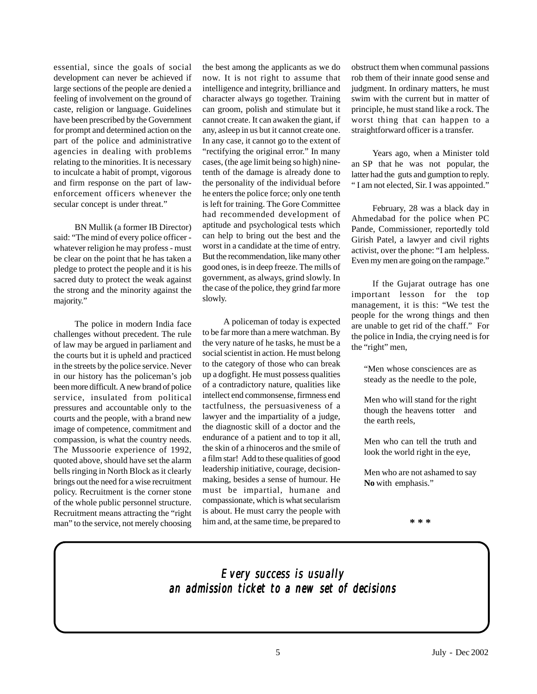essential, since the goals of social development can never be achieved if large sections of the people are denied a feeling of involvement on the ground of caste, religion or language. Guidelines have been prescribed by the Government for prompt and determined action on the part of the police and administrative agencies in dealing with problems relating to the minorities. It is necessary to inculcate a habit of prompt, vigorous and firm response on the part of lawenforcement officers whenever the secular concept is under threat."

BN Mullik (a former IB Director) said: "The mind of every police officer whatever religion he may profess - must be clear on the point that he has taken a pledge to protect the people and it is his sacred duty to protect the weak against the strong and the minority against the majority."

The police in modern India face challenges without precedent. The rule of law may be argued in parliament and the courts but it is upheld and practiced in the streets by the police service. Never in our history has the policeman's job been more difficult. A new brand of police service, insulated from political pressures and accountable only to the courts and the people, with a brand new image of competence, commitment and compassion, is what the country needs. The Mussoorie experience of 1992, quoted above, should have set the alarm bells ringing in North Block as it clearly brings out the need for a wise recruitment policy. Recruitment is the corner stone of the whole public personnel structure. Recruitment means attracting the "right man" to the service, not merely choosing

the best among the applicants as we do now. It is not right to assume that intelligence and integrity, brilliance and character always go together. Training can groom, polish and stimulate but it cannot create. It can awaken the giant, if any, asleep in us but it cannot create one. In any case, it cannot go to the extent of "rectifying the original error." In many cases, (the age limit being so high) ninetenth of the damage is already done to the personality of the individual before he enters the police force; only one tenth is left for training. The Gore Committee had recommended development of aptitude and psychological tests which can help to bring out the best and the worst in a candidate at the time of entry. But the recommendation, like many other good ones, is in deep freeze. The mills of government, as always, grind slowly. In the case of the police, they grind far more slowly.

A policeman of today is expected to be far more than a mere watchman. By the very nature of he tasks, he must be a social scientist in action. He must belong to the category of those who can break up a dogfight. He must possess qualities of a contradictory nature, qualities like intellect end commonsense, firmness end tactfulness, the persuasiveness of a lawyer and the impartiality of a judge, the diagnostic skill of a doctor and the endurance of a patient and to top it all, the skin of a rhinoceros and the smile of a film star! Add to these qualities of good leadership initiative, courage, decisionmaking, besides a sense of humour. He must be impartial, humane and compassionate, which is what secularism is about. He must carry the people with him and, at the same time, be prepared to

obstruct them when communal passions rob them of their innate good sense and judgment. In ordinary matters, he must swim with the current but in matter of principle, he must stand like a rock. The worst thing that can happen to a straightforward officer is a transfer.

Years ago, when a Minister told an SP that he was not popular, the latter had the guts and gumption to reply. " I am not elected, Sir. I was appointed."

February, 28 was a black day in Ahmedabad for the police when PC Pande, Commissioner, reportedly told Girish Patel, a lawyer and civil rights activist, over the phone: "I am helpless. Even my men are going on the rampage."

If the Gujarat outrage has one important lesson for the top management, it is this: "We test the people for the wrong things and then are unable to get rid of the chaff." For the police in India, the crying need is for the "right" men,

"Men whose consciences are as steady as the needle to the pole,

Men who will stand for the right though the heavens totter and the earth reels,

Men who can tell the truth and look the world right in the eye,

Men who are not ashamed to say **No** with emphasis."

**\* \* \***

### *Every success is usually Every is usually an admission ticket to a new set of decisions an ticket to a new set decisions*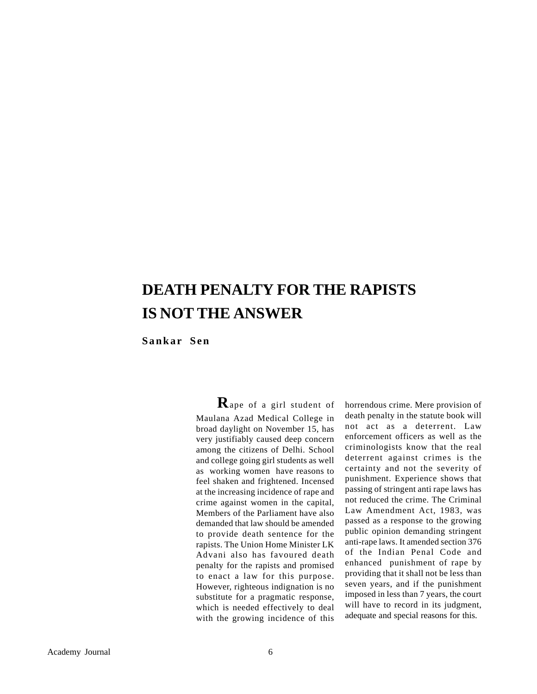## **DEATH PENALTY FOR THE RAPISTS IS NOT THE ANSWER**

**Sankar Sen**

**R**ape of a girl student of Maulana Azad Medical College in broad daylight on November 15, has very justifiably caused deep concern among the citizens of Delhi. School and college going girl students as well as working women have reasons to feel shaken and frightened. Incensed at the increasing incidence of rape and crime against women in the capital, Members of the Parliament have also demanded that law should be amended to provide death sentence for the rapists. The Union Home Minister LK Advani also has favoured death penalty for the rapists and promised to enact a law for this purpose. However, righteous indignation is no substitute for a pragmatic response, which is needed effectively to deal with the growing incidence of this

horrendous crime. Mere provision of death penalty in the statute book will not act as a deterrent. Law enforcement officers as well as the criminologists know that the real deterrent against crimes is the certainty and not the severity of punishment. Experience shows that passing of stringent anti rape laws has not reduced the crime. The Criminal Law Amendment Act, 1983, was passed as a response to the growing public opinion demanding stringent anti-rape laws. It amended section 376 of the Indian Penal Code and enhanced punishment of rape by providing that it shall not be less than seven years, and if the punishment imposed in less than 7 years, the court will have to record in its judgment, adequate and special reasons for this.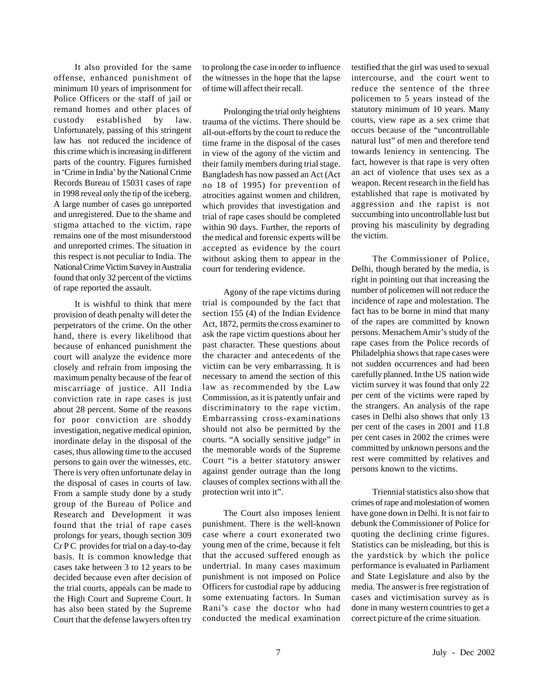It also provided for the same offense, enhanced punishment of minimum 10 years of imprisonment for Police Officers or the staff of jail or remand homes and other places of custody established by law. Unfortunately, passing of this stringent law has not reduced the incidence of this crime which is increasing in different parts of the country. Figures furnished in 'Crime in India' by the National Crime Records Bureau of 15031 cases of rape in 1998 reveal only the tip of the iceberg. A large number of cases go unreported and unregistered. Due to the shame and stigma attached to the victim, rape remains one of the most misunderstood and unreported crimes. The situation in this respect is not peculiar to India. The National Crime Victim Survey in Australia found that only 32 percent of the victims of rape reported the assault.

It is wishful to think that mere provision of death penalty will deter the perpetrators of the crime. On the other hand, there is every likelihood that because of enhanced punishment the court will analyze the evidence more closely and refrain from imposing the maximum penalty because of the fear of miscarriage of justice. All India conviction rate in rape cases is just about 28 percent. Some of the reasons for poor conviction are shoddy investigation, negative medical opinion, inordinate delay in the disposal of the cases, thus allowing time to the accused persons to gain over the witnesses, etc. There is very often unfortunate delay in the disposal of cases in courts of law. From a sample study done by a study group of the Bureau of Police and Research and Development it was found that the trial of rape cases prolongs for years, though section 309 Cr P C provides for trial on a day-to-day basis. It is common knowledge that cases take between 3 to 12 years to be decided because even after decision of the trial courts, appeals can be made to the High Court and Supreme Court. It has also been stated by the Supreme Court that the defense lawyers often try

to prolong the case in order to influence the witnesses in the hope that the lapse of time will affect their recall.

Prolonging the trial only heightens trauma of the victims. There should be all-out-efforts by the court to reduce the time frame in the disposal of the cases in view of the agony of the victim and their family members during trial stage. Bangladesh has now passed an Act (Act no 18 of 1995) for prevention of atrocities against women and children, which provides that investigation and trial of rape cases should be completed within 90 days. Further, the reports of the medical and forensic experts will be accepted as evidence by the court without asking them to appear in the court for tendering evidence.

Agony of the rape victims during trial is compounded by the fact that section 155 (4) of the Indian Evidence Act, 1872, permits the cross examiner to ask the rape victim questions about her past character. These questions about the character and antecedents of the victim can be very embarrassing. It is necessary to amend the section of this law as recommended by the Law Commission, as it is patently unfair and discriminatory to the rape victim. Embarrassing cross-examinations should not also be permitted by the courts. "A socially sensitive judge" in the memorable words of the Supreme Court "is a better statutory answer against gender outrage than the long clauses of complex sections with all the protection writ into it".

The Court also imposes lenient punishment. There is the well-known case where a court exonerated two young men of the crime, because it felt that the accused suffered enough as undertrial. In many cases maximum punishment is not imposed on Police Officers for custodial rape by adducing some extenuating factors. In Suman Rani's case the doctor who had conducted the medical examination

testified that the girl was used to sexual intercourse, and the court went to reduce the sentence of the three policemen to 5 years instead of the statutory minimum of 10 years. Many courts, view rape as a sex crime that occurs because of the "uncontrollable natural lust" of men and therefore tend towards leniency in sentencing. The fact, however is that rape is very often an act of violence that uses sex as a weapon. Recent research in the field has established that rape is motivated by aggression and the rapist is not succumbing into uncontrollable lust but proving his masculinity by degrading the victim.

The Commissioner of Police, Delhi, though berated by the media, is right in pointing out that increasing the number of policemen will not reduce the incidence of rape and molestation. The fact has to be borne in mind that many of the rapes are committed by known persons. Menachem Amir's study of the rape cases from the Police records of Philadelphia shows that rape cases were not sudden occurrences and had been carefully planned. In the US nation wide victim survey it was found that only 22 per cent of the victims were raped by the strangers. An analysis of the rape cases in Delhi also shows that only 13 per cent of the cases in 2001 and 11.8 per cent cases in 2002 the crimes were committed by unknown persons and the rest were committed by relatives and persons known to the victims.

Triennial statistics also show that crimes of rape and molestation of women have gone down in Delhi. It is not fair to debunk the Commissioner of Police for quoting the declining crime figures. Statistics can be misleading, but this is the yardstick by which the police performance is evaluated in Parliament and State Legislature and also by the media. The answer is free registration of cases and victimisation survey as is done in many western countries to get a correct picture of the crime situation.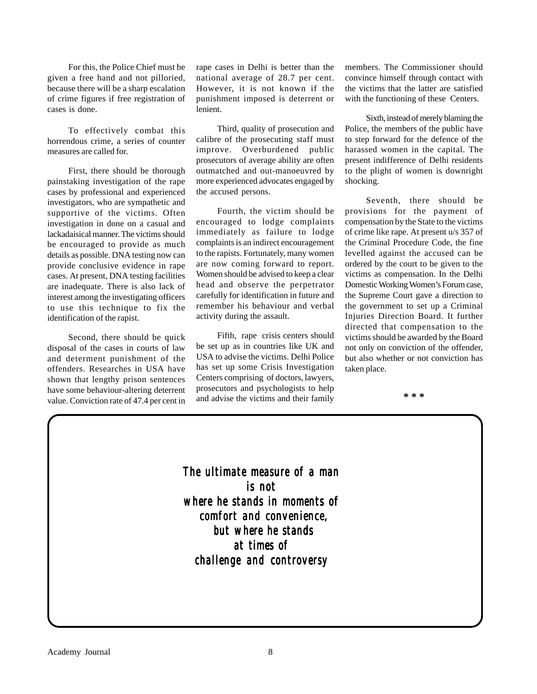For this, the Police Chief must be given a free hand and not pilloried, because there will be a sharp escalation of crime figures if free registration of cases is done.

To effectively combat this horrendous crime, a series of counter measures are called for.

First, there should be thorough painstaking investigation of the rape cases by professional and experienced investigators, who are sympathetic and supportive of the victims. Often investigation in done on a casual and lackadaisical manner. The victims should be encouraged to provide as much details as possible. DNA testing now can provide conclusive evidence in rape cases. At present, DNA testing facilities are inadequate. There is also lack of interest among the investigating officers to use this technique to fix the identification of the rapist.

Second, there should be quick disposal of the cases in courts of law and determent punishment of the offenders. Researches in USA have shown that lengthy prison sentences have some behaviour-altering deterrent value. Conviction rate of 47.4 per cent in

rape cases in Delhi is better than the national average of 28.7 per cent. However, it is not known if the punishment imposed is deterrent or lenient.

Third, quality of prosecution and calibre of the prosecuting staff must improve. Overburdened public prosecutors of average ability are often outmatched and out-manoeuvred by more experienced advocates engaged by the accused persons.

Fourth, the victim should be encouraged to lodge complaints immediately as failure to lodge complaints is an indirect encouragement to the rapists. Fortunately, many women are now coming forward to report. Women should be advised to keep a clear head and observe the perpetrator carefully for identification in future and remember his behaviour and verbal activity during the assault.

Fifth, rape crisis centers should be set up as in countries like UK and USA to advise the victims. Delhi Police has set up some Crisis Investigation Centers comprising of doctors, lawyers, prosecutors and psychologists to help and advise the victims and their family members. The Commissioner should convince himself through contact with the victims that the latter are satisfied with the functioning of these Centers.

Sixth, instead of merely blaming the Police, the members of the public have to step forward for the defence of the harassed women in the capital. The present indifference of Delhi residents to the plight of women is downright shocking.

Seventh, there should be provisions for the payment of compensation by the State to the victims of crime like rape. At present u/s 357 of the Criminal Procedure Code, the fine levelled against the accused can be ordered by the court to be given to the victims as compensation. In the Delhi Domestic Working Women's Forum case, the Supreme Court gave a direction to the government to set up a Criminal Injuries Direction Board. It further directed that compensation to the victims should be awarded by the Board not only on conviction of the offender, but also whether or not conviction has taken place.

**\* \* \***

*The ultimate measure of a man ultimate measure of a man is not where he stands in moments of where he moments of comfort and convenience, comfort convenience, but where he stands but where stands at times of of challenge and controversy challenge and controversy*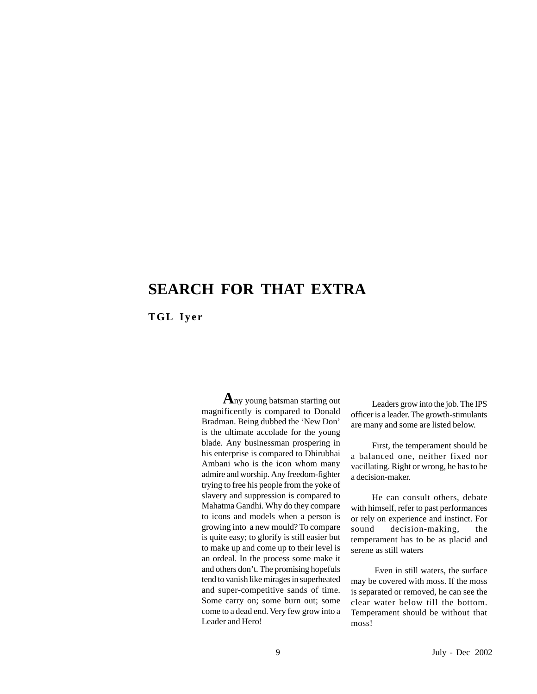## **SEARCH FOR THAT EXTRA**

**TGL Iyer**

**A**ny young batsman starting out magnificently is compared to Donald Bradman. Being dubbed the 'New Don' is the ultimate accolade for the young blade. Any businessman prospering in his enterprise is compared to Dhirubhai Ambani who is the icon whom many admire and worship. Any freedom-fighter trying to free his people from the yoke of slavery and suppression is compared to Mahatma Gandhi. Why do they compare to icons and models when a person is growing into a new mould? To compare is quite easy; to glorify is still easier but to make up and come up to their level is an ordeal. In the process some make it and others don't. The promising hopefuls tend to vanish like mirages in superheated and super-competitive sands of time. Some carry on; some burn out; some come to a dead end. Very few grow into a Leader and Hero!

Leaders grow into the job. The IPS officer is a leader. The growth-stimulants are many and some are listed below.

First, the temperament should be a balanced one, neither fixed nor vacillating. Right or wrong, he has to be a decision-maker.

He can consult others, debate with himself, refer to past performances or rely on experience and instinct. For sound decision-making, the temperament has to be as placid and serene as still waters

 Even in still waters, the surface may be covered with moss. If the moss is separated or removed, he can see the clear water below till the bottom. Temperament should be without that moss!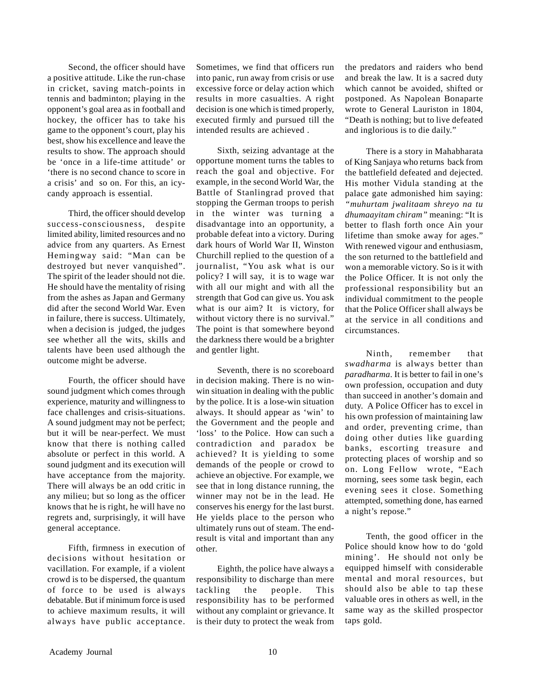Second, the officer should have a positive attitude. Like the run-chase in cricket, saving match-points in tennis and badminton; playing in the opponent's goal area as in football and hockey, the officer has to take his game to the opponent's court, play his best, show his excellence and leave the results to show. The approach should be 'once in a life-time attitude' or 'there is no second chance to score in a crisis' and so on. For this, an icycandy approach is essential.

Third, the officer should develop success-consciousness, despite limited ability, limited resources and no advice from any quarters. As Ernest Hemingway said: "Man can be destroyed but never vanquished". The spirit of the leader should not die. He should have the mentality of rising from the ashes as Japan and Germany did after the second World War. Even in failure, there is success. Ultimately, when a decision is judged, the judges see whether all the wits, skills and talents have been used although the outcome might be adverse.

Fourth, the officer should have sound judgment which comes through experience, maturity and willingness to face challenges and crisis-situations. A sound judgment may not be perfect; but it will be near-perfect. We must know that there is nothing called absolute or perfect in this world. A sound judgment and its execution will have acceptance from the majority. There will always be an odd critic in any milieu; but so long as the officer knows that he is right, he will have no regrets and, surprisingly, it will have general acceptance.

Fifth, firmness in execution of decisions without hesitation or vacillation. For example, if a violent crowd is to be dispersed, the quantum of force to be used is always debatable. But if minimum force is used to achieve maximum results, it will always have public acceptance.

Sometimes, we find that officers run into panic, run away from crisis or use excessive force or delay action which results in more casualties. A right decision is one which is timed properly, executed firmly and pursued till the intended results are achieved .

Sixth, seizing advantage at the opportune moment turns the tables to reach the goal and objective. For example, in the second World War, the Battle of Stanlingrad proved that stopping the German troops to perish in the winter was turning a disadvantage into an opportunity, a probable defeat into a victory. During dark hours of World War II, Winston Churchill replied to the question of a journalist, "You ask what is our policy? I will say, it is to wage war with all our might and with all the strength that God can give us. You ask what is our aim? It is victory, for without victory there is no survival." The point is that somewhere beyond the darkness there would be a brighter and gentler light.

Seventh, there is no scoreboard in decision making. There is no winwin situation in dealing with the public by the police. It is a lose-win situation always. It should appear as 'win' to the Government and the people and 'loss' to the Police. How can such a contradiction and paradox be achieved? It is yielding to some demands of the people or crowd to achieve an objective. For example, we see that in long distance running, the winner may not be in the lead. He conserves his energy for the last burst. He yields place to the person who ultimately runs out of steam. The endresult is vital and important than any other.

Eighth, the police have always a responsibility to discharge than mere tackling the people. This responsibility has to be performed without any complaint or grievance. It is their duty to protect the weak from the predators and raiders who bend and break the law. It is a sacred duty which cannot be avoided, shifted or postponed. As Napolean Bonaparte wrote to General Lauriston in 1804, "Death is nothing; but to live defeated and inglorious is to die daily."

There is a story in Mahabharata of King Sanjaya who returns back from the battlefield defeated and dejected. His mother Vidula standing at the palace gate admonished him saying: *"muhurtam jwalitaam shreyo na tu dhumaayitam chiram"* meaning: "It is better to flash forth once Ain your lifetime than smoke away for ages." With renewed vigour and enthusiasm, the son returned to the battlefield and won a memorable victory. So is it with the Police Officer. It is not only the professional responsibility but an individual commitment to the people that the Police Officer shall always be at the service in all conditions and circumstances.

Ninth, remember that *swadharma* is always better than *paradharma*. It is better to fail in one's own profession, occupation and duty than succeed in another's domain and duty. A Police Officer has to excel in his own profession of maintaining law and order, preventing crime, than doing other duties like guarding banks, escorting treasure and protecting places of worship and so on. Long Fellow wrote, "Each morning, sees some task begin, each evening sees it close. Something attempted, something done, has earned a night's repose."

Tenth, the good officer in the Police should know how to do 'gold mining'. He should not only be equipped himself with considerable mental and moral resources, but should also be able to tap these valuable ores in others as well, in the same way as the skilled prospector taps gold.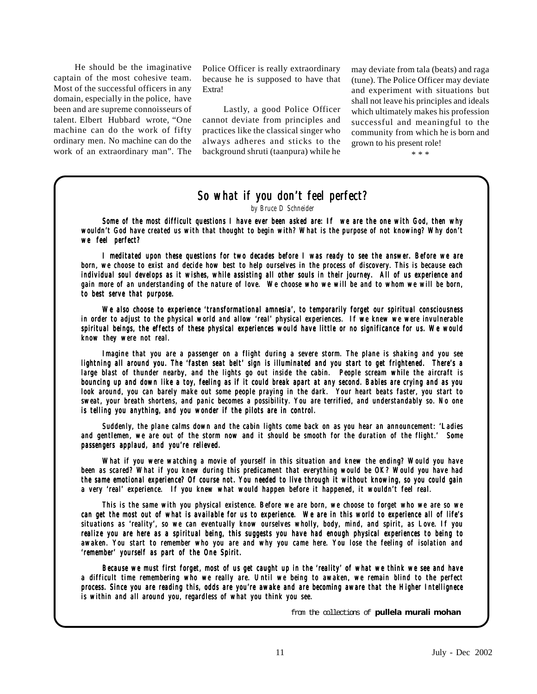He should be the imaginative captain of the most cohesive team. Most of the successful officers in any domain, especially in the police, have been and are supreme connoisseurs of talent. Elbert Hubbard wrote, "One machine can do the work of fifty ordinary men. No machine can do the work of an extraordinary man". The

Police Officer is really extraordinary because he is supposed to have that Extra!

Lastly, a good Police Officer cannot deviate from principles and practices like the classical singer who always adheres and sticks to the background shruti (taanpura) while he may deviate from tala (beats) and raga (tune). The Police Officer may deviate and experiment with situations but shall not leave his principles and ideals which ultimately makes his profession successful and meaningful to the community from which he is born and grown to his present role!

\* \* \*

### *So what if you don't feel perfect?*

*by Bruce D Schneider*

*Some of the most difficult questions I have ever been asked are: If we are the one with God, then why wouldn't God have created us with that thought to begin with? What is the purpose of not knowing? Why don't we feel perfect?*

*I meditated upon these questions for two decades before I was ready to see the answer. Before we are born, we choose to exist and decide how best to help ourselves in the process of discovery. This is because each individual soul develops as it wishes, while assisting all other souls in their journey. All of us experience and gain more of an understanding of the nature of love. We choose who we will be and to whom we will be born, more of understanding the of love. choose be to be to best serve that purpose. to purpose.*

*We also choose to experience 'transformational amnesia', to temporarily forget our spiritual consciousness in order to adjust to the physical world and allow 'real' physical experiences. If we knew we were invulnerable spiritual beings, the effects of these physical experiences would have little or no significance for us. We would know they were not real. they were not real.*

*Imagine that you are a passenger on a flight during a severe storm. The plane is shaking and you see lightning all around you. The 'fasten seat belt' sign is illuminated and you start to get frightened. There's a large blast of thunder nearby, and the lights go out inside the cabin. People scream while the aircraft is bouncing up and down like a toy, feeling as if it could break apart at any second. Babies are crying and as you look around, you can barely make out some people praying in the dark. Your heart beats faster, you start to sweat, your breath shortens, and panic becomes a possibility. You are terrified, and understandably so. No one is telling you anything, and you wonder if the pilots are in control. you anything, and you* 

*Suddenly, the plane calms down and the cabin lights come back on as you hear an announcement: 'Ladies and gentlemen, we are out of the storm now and it should be smooth for the duration of the flight.' Some passengers applaud, and you're relieved. passengers applaud, and relieved.*

*What if you were watching a movie of yourself in this situation and knew the ending? Would you have been as scared? What if you knew during this predicament that everything would be OK? Would you have had the same emotional experience? Of course not. You needed to live through it without knowing, so you could gain a very 'real' experience. If you knew what would happen before it happened, it wouldn't feel real. If knew what happen before happened, wouldn't feel* 

*This is the same with you physical existence. Before we are born, we choose to forget who we are so we can get the most out of what is available for us to experience. We are in this world to experience all of life's situations as 'reality', so we can eventually know ourselves wholly, body, mind, and spirit, as Love. If you realize you are here as a spiritual being, this suggests you have had enough physical experiences to being to awaken. You start to remember who you are and why you came here. You lose the feeling of isolation and 'remember' yourself as part of the One Spirit.* 

*Because we must first forget, most of us get caught up in the 'reality' of what we think we see and have a difficult time remembering who we really are. Until we being to awaken, we remain blind to the perfect process. Since you are reading this, odds are you're awake and are becoming aware that the Higher Intellignece is within and all around you, regardless of what you think you see. and around regardless of you see.*

from the collections of **pullela murali mohan**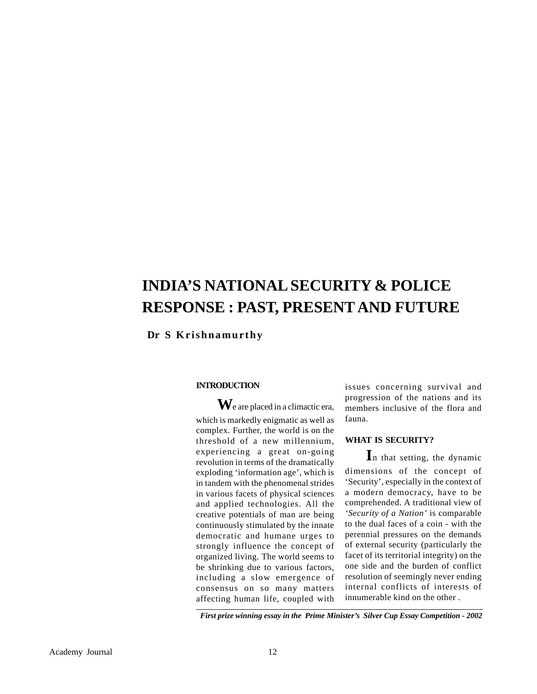## **INDIA'S NATIONAL SECURITY & POLICE RESPONSE : PAST, PRESENT AND FUTURE**

 **Dr S Krishnamurthy**

#### **INTRODUCTION**

**W**e are placed in a climactic era, which is markedly enigmatic as well as complex. Further, the world is on the threshold of a new millennium, experiencing a great on-going revolution in terms of the dramatically exploding 'information age', which is in tandem with the phenomenal strides in various facets of physical sciences and applied technologies. All the creative potentials of man are being continuously stimulated by the innate democratic and humane urges to strongly influence the concept of organized living. The world seems to be shrinking due to various factors, including a slow emergence of consensus on so many matters affecting human life, coupled with

issues concerning survival and progression of the nations and its members inclusive of the flora and fauna.

#### **WHAT IS SECURITY?**

**I**n that setting, the dynamic dimensions of the concept of 'Security', especially in the context of a modern democracy, have to be comprehended. A traditional view of *'Security of a Nation'* is comparable to the dual faces of a coin - with the perennial pressures on the demands of external security (particularly the facet of its territorial integrity) on the one side and the burden of conflict resolution of seemingly never ending internal conflicts of interests of innumerable kind on the other .

*First prize winning essay in the Prime Minister's Silver Cup Essay Competition - 2002*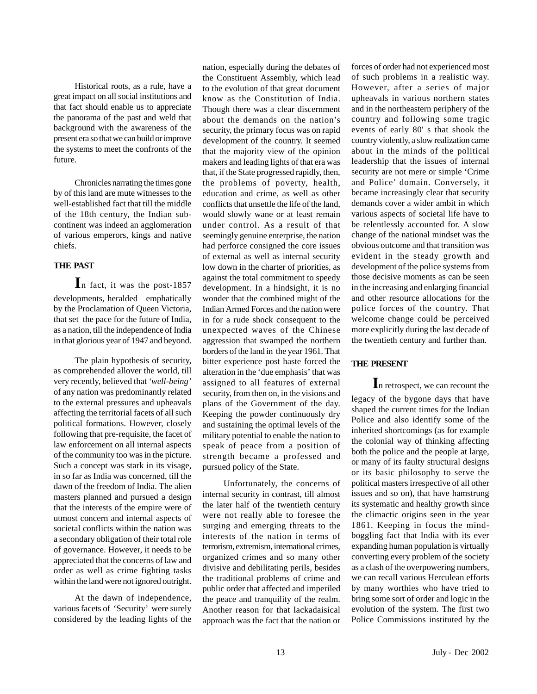Historical roots, as a rule, have a great impact on all social institutions and that fact should enable us to appreciate the panorama of the past and weld that background with the awareness of the present era so that we can build or improve the systems to meet the confronts of the future.

Chronicles narrating the times gone by of this land are mute witnesses to the well-established fact that till the middle of the 18th century, the Indian subcontinent was indeed an agglomeration of various emperors, kings and native chiefs.

#### **THE PAST**

**I**n fact, it was the post-1857 developments, heralded emphatically by the Proclamation of Queen Victoria, that set the pace for the future of India, as a nation, till the independence of India in that glorious year of 1947 and beyond.

The plain hypothesis of security, as comprehended allover the world, till very recently, believed that *'well-being'* of any nation was predominantly related to the external pressures and upheavals affecting the territorial facets of all such political formations. However, closely following that pre-requisite, the facet of law enforcement on all internal aspects of the community too was in the picture. Such a concept was stark in its visage, in so far as India was concerned, till the dawn of the freedom of India. The alien masters planned and pursued a design that the interests of the empire were of utmost concern and internal aspects of societal conflicts within the nation was a secondary obligation of their total role of governance. However, it needs to be appreciated that the concerns of law and order as well as crime fighting tasks within the land were not ignored outright.

At the dawn of independence, various facets of 'Security' were surely considered by the leading lights of the nation, especially during the debates of the Constituent Assembly, which lead to the evolution of that great document know as the Constitution of India. Though there was a clear discernment about the demands on the nation's security, the primary focus was on rapid development of the country. It seemed that the majority view of the opinion makers and leading lights of that era was that, if the State progressed rapidly, then, the problems of poverty, health, education and crime, as well as other conflicts that unsettle the life of the land, would slowly wane or at least remain under control. As a result of that seemingly genuine enterprise, the nation had perforce consigned the core issues of external as well as internal security low down in the charter of priorities, as against the total commitment to speedy development. In a hindsight, it is no wonder that the combined might of the Indian Armed Forces and the nation were in for a rude shock consequent to the unexpected waves of the Chinese aggression that swamped the northern borders of the land in the year 1961. That bitter experience post haste forced the alteration in the 'due emphasis' that was assigned to all features of external security, from then on, in the visions and plans of the Government of the day. Keeping the powder continuously dry and sustaining the optimal levels of the military potential to enable the nation to speak of peace from a position of strength became a professed and pursued policy of the State.

Unfortunately, the concerns of internal security in contrast, till almost the later half of the twentieth century were not really able to foresee the surging and emerging threats to the interests of the nation in terms of terrorism, extremism, international crimes, organized crimes and so many other divisive and debilitating perils, besides the traditional problems of crime and public order that affected and imperiled the peace and tranquility of the realm. Another reason for that lackadaisical approach was the fact that the nation or

forces of order had not experienced most of such problems in a realistic way. However, after a series of major upheavals in various northern states and in the northeastern periphery of the country and following some tragic events of early 80' s that shook the country violently, a slow realization came about in the minds of the political leadership that the issues of internal security are not mere or simple 'Crime and Police' domain. Conversely, it became increasingly clear that security demands cover a wider ambit in which various aspects of societal life have to be relentlessly accounted for. A slow change of the national mindset was the obvious outcome and that transition was evident in the steady growth and development of the police systems from those decisive moments as can be seen in the increasing and enlarging financial and other resource allocations for the police forces of the country. That welcome change could be perceived more explicitly during the last decade of the twentieth century and further than.

#### **THE PRESENT**

**I**n retrospect, we can recount the legacy of the bygone days that have shaped the current times for the Indian Police and also identify some of the inherited shortcomings (as for example the colonial way of thinking affecting both the police and the people at large, or many of its faulty structural designs or its basic philosophy to serve the political masters irrespective of all other issues and so on), that have hamstrung its systematic and healthy growth since the climactic origins seen in the year 1861. Keeping in focus the mindboggling fact that India with its ever expanding human population is virtually converting every problem of the society as a clash of the overpowering numbers, we can recall various Herculean efforts by many worthies who have tried to bring some sort of order and logic in the evolution of the system. The first two Police Commissions instituted by the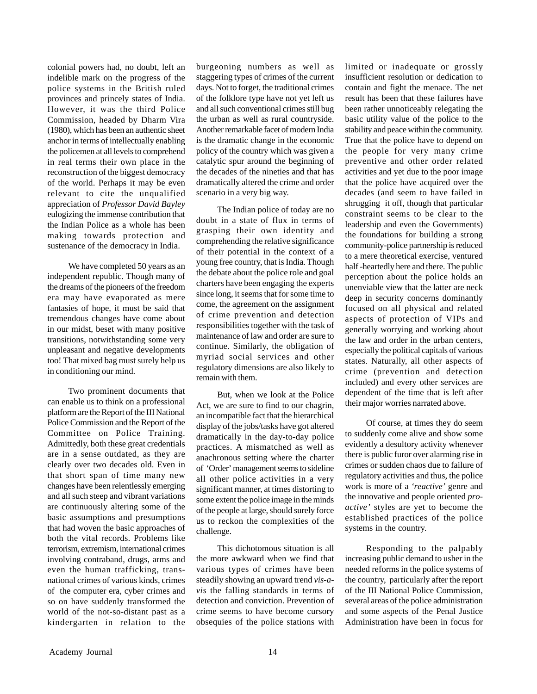colonial powers had, no doubt, left an indelible mark on the progress of the police systems in the British ruled provinces and princely states of India. However, it was the third Police Commission, headed by Dharm Vira (1980), which has been an authentic sheet anchor in terms of intellectually enabling the policemen at all levels to comprehend in real terms their own place in the reconstruction of the biggest democracy of the world. Perhaps it may be even relevant to cite the unqualified appreciation of *Professor David Bayley* eulogizing the immense contribution that the Indian Police as a whole has been making towards protection and sustenance of the democracy in India.

We have completed 50 years as an independent republic. Though many of the dreams of the pioneers of the freedom era may have evaporated as mere fantasies of hope, it must be said that tremendous changes have come about in our midst, beset with many positive transitions, notwithstanding some very unpleasant and negative developments too! That mixed bag must surely help us in conditioning our mind.

Two prominent documents that can enable us to think on a professional platform are the Report of the III National Police Commission and the Report of the Committee on Police Training. Admittedly, both these great credentials are in a sense outdated, as they are clearly over two decades old. Even in that short span of time many new changes have been relentlessly emerging and all such steep and vibrant variations are continuously altering some of the basic assumptions and presumptions that had woven the basic approaches of both the vital records. Problems like terrorism, extremism, international crimes involving contraband, drugs, arms and even the human trafficking, transnational crimes of various kinds, crimes of the computer era, cyber crimes and so on have suddenly transformed the world of the not-so-distant past as a kindergarten in relation to the

burgeoning numbers as well as staggering types of crimes of the current days. Not to forget, the traditional crimes of the folklore type have not yet left us and all such conventional crimes still bug the urban as well as rural countryside. Another remarkable facet of modern India is the dramatic change in the economic policy of the country which was given a catalytic spur around the beginning of the decades of the nineties and that has dramatically altered the crime and order scenario in a very big way.

The Indian police of today are no doubt in a state of flux in terms of grasping their own identity and comprehending the relative significance of their potential in the context of a young free country, that is India. Though the debate about the police role and goal charters have been engaging the experts since long, it seems that for some time to come, the agreement on the assignment of crime prevention and detection responsibilities together with the task of maintenance of law and order are sure to continue. Similarly, the obligation of myriad social services and other regulatory dimensions are also likely to remain with them.

But, when we look at the Police Act, we are sure to find to our chagrin, an incompatible fact that the hierarchical display of the jobs/tasks have got altered dramatically in the day-to-day police practices. A mismatched as well as anachronous setting where the charter of 'Order' management seems to sideline all other police activities in a very significant manner, at times distorting to some extent the police image in the minds of the people at large, should surely force us to reckon the complexities of the challenge.

This dichotomous situation is all the more awkward when we find that various types of crimes have been steadily showing an upward trend *vis-avis* the falling standards in terms of detection and conviction. Prevention of crime seems to have become cursory obsequies of the police stations with

limited or inadequate or grossly insufficient resolution or dedication to contain and fight the menace. The net result has been that these failures have been rather unnoticeably relegating the basic utility value of the police to the stability and peace within the community. True that the police have to depend on the people for very many crime preventive and other order related activities and yet due to the poor image that the police have acquired over the decades (and seem to have failed in shrugging it off, though that particular constraint seems to be clear to the leadership and even the Governments) the foundations for building a strong community-police partnership is reduced to a mere theoretical exercise, ventured half -heartedly here and there. The public perception about the police holds an unenviable view that the latter are neck deep in security concerns dominantly focused on all physical and related aspects of protection of VIPs and generally worrying and working about the law and order in the urban centers, especially the political capitals of various states. Naturally, all other aspects of crime (prevention and detection included) and every other services are dependent of the time that is left after their major worries narrated above.

Of course, at times they do seem to suddenly come alive and show some evidently a desultory activity whenever there is public furor over alarming rise in crimes or sudden chaos due to failure of regulatory activities and thus, the police work is more of a *'reactive'* genre and the innovative and people oriented *proactive'* styles are yet to become the established practices of the police systems in the country.

Responding to the palpably increasing public demand to usher in the needed reforms in the police systems of the country, particularly after the report of the III National Police Commission, several areas of the police administration and some aspects of the Penal Justice Administration have been in focus for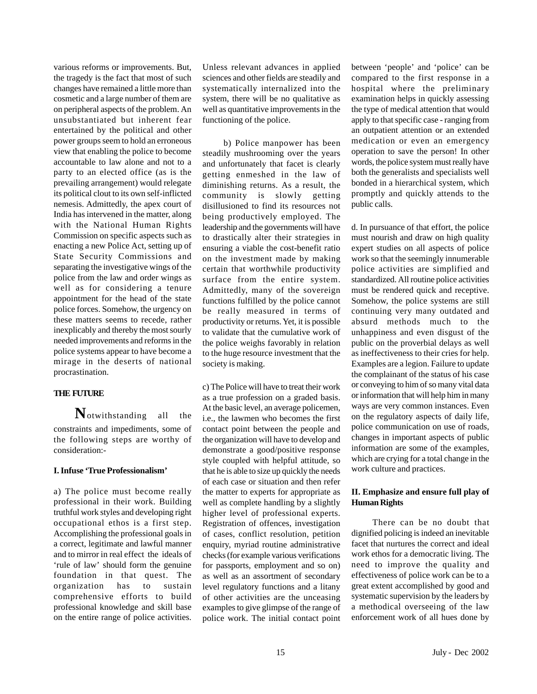various reforms or improvements. But, the tragedy is the fact that most of such changes have remained a little more than cosmetic and a large number of them are on peripheral aspects of the problem. An unsubstantiated but inherent fear entertained by the political and other power groups seem to hold an erroneous view that enabling the police to become accountable to law alone and not to a party to an elected office (as is the prevailing arrangement) would relegate its political clout to its own self-inflicted nemesis. Admittedly, the apex court of India has intervened in the matter, along with the National Human Rights Commission on specific aspects such as enacting a new Police Act, setting up of State Security Commissions and separating the investigative wings of the police from the law and order wings as well as for considering a tenure appointment for the head of the state police forces. Somehow, the urgency on these matters seems to recede, rather inexplicably and thereby the most sourly needed improvements and reforms in the police systems appear to have become a mirage in the deserts of national procrastination.

#### **THE FUTURE**

**N**otwithstanding all the constraints and impediments, some of the following steps are worthy of consideration:-

#### **I. Infuse 'True Professionalism'**

a) The police must become really professional in their work. Building truthful work styles and developing right occupational ethos is a first step. Accomplishing the professional goals in a correct, legitimate and lawful manner and to mirror in real effect the ideals of 'rule of law' should form the genuine foundation in that quest. The organization has to sustain comprehensive efforts to build professional knowledge and skill base on the entire range of police activities.

Unless relevant advances in applied sciences and other fields are steadily and systematically internalized into the system, there will be no qualitative as well as quantitative improvements in the functioning of the police.

b) Police manpower has been steadily mushrooming over the years and unfortunately that facet is clearly getting enmeshed in the law of diminishing returns. As a result, the community is slowly getting disillusioned to find its resources not being productively employed. The leadership and the governments will have to drastically alter their strategies in ensuring a viable the cost-benefit ratio on the investment made by making certain that worthwhile productivity surface from the entire system. Admittedly, many of the sovereign functions fulfilled by the police cannot be really measured in terms of productivity or returns. Yet, it is possible to validate that the cumulative work of the police weighs favorably in relation to the huge resource investment that the society is making.

c) The Police will have to treat their work as a true profession on a graded basis. At the basic level, an average policemen, i.e., the lawmen who becomes the first contact point between the people and the organization will have to develop and demonstrate a good/positive response style coupled with helpful attitude, so that he is able to size up quickly the needs of each case or situation and then refer the matter to experts for appropriate as well as complete handling by a slightly higher level of professional experts. Registration of offences, investigation of cases, conflict resolution, petition enquiry, myriad routine administrative checks (for example various verifications for passports, employment and so on) as well as an assortment of secondary level regulatory functions and a litany of other activities are the unceasing examples to give glimpse of the range of police work. The initial contact point

between 'people' and 'police' can be compared to the first response in a hospital where the preliminary examination helps in quickly assessing the type of medical attention that would apply to that specific case - ranging from an outpatient attention or an extended medication or even an emergency operation to save the person! In other words, the police system must really have both the generalists and specialists well bonded in a hierarchical system, which promptly and quickly attends to the public calls.

d. In pursuance of that effort, the police must nourish and draw on high quality expert studies on all aspects of police work so that the seemingly innumerable police activities are simplified and standardized. All routine police activities must be rendered quick and receptive. Somehow, the police systems are still continuing very many outdated and absurd methods much to the unhappiness and even disgust of the public on the proverbial delays as well as ineffectiveness to their cries for help. Examples are a legion. Failure to update the complainant of the status of his case or conveying to him of so many vital data or information that will help him in many ways are very common instances. Even on the regulatory aspects of daily life, police communication on use of roads, changes in important aspects of public information are some of the examples, which are crying for a total change in the work culture and practices.

#### **II. Emphasize and ensure full play of Human Rights**

There can be no doubt that dignified policing is indeed an inevitable facet that nurtures the correct and ideal work ethos for a democratic living. The need to improve the quality and effectiveness of police work can be to a great extent accomplished by good and systematic supervision by the leaders by a methodical overseeing of the law enforcement work of all hues done by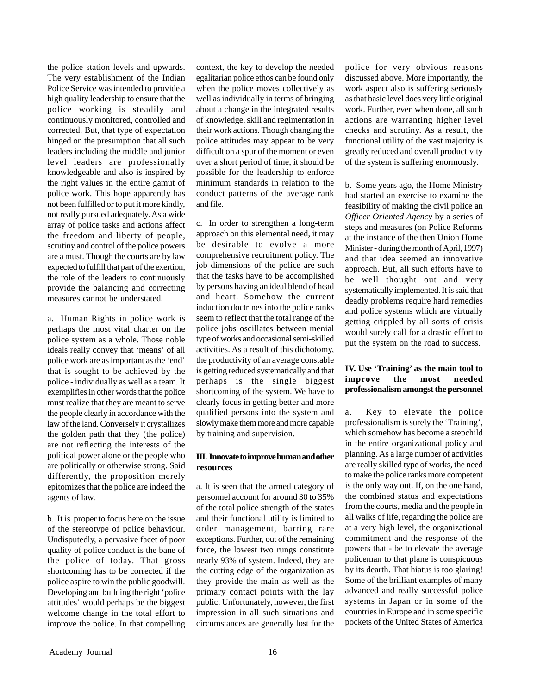the police station levels and upwards. The very establishment of the Indian Police Service was intended to provide a high quality leadership to ensure that the police working is steadily and continuously monitored, controlled and corrected. But, that type of expectation hinged on the presumption that all such leaders including the middle and junior level leaders are professionally knowledgeable and also is inspired by the right values in the entire gamut of police work. This hope apparently has not been fulfilled or to put it more kindly, not really pursued adequately. As a wide array of police tasks and actions affect the freedom and liberty of people, scrutiny and control of the police powers are a must. Though the courts are by law expected to fulfill that part of the exertion, the role of the leaders to continuously provide the balancing and correcting measures cannot be understated.

a. Human Rights in police work is perhaps the most vital charter on the police system as a whole. Those noble ideals really convey that 'means' of all police work are as important as the 'end' that is sought to be achieved by the police - individually as well as a team. It exemplifies in other words that the police must realize that they are meant to serve the people clearly in accordance with the law of the land. Conversely it crystallizes the golden path that they (the police) are not reflecting the interests of the political power alone or the people who are politically or otherwise strong. Said differently, the proposition merely epitomizes that the police are indeed the agents of law.

b. It is proper to focus here on the issue of the stereotype of police behaviour. Undisputedly, a pervasive facet of poor quality of police conduct is the bane of the police of today. That gross shortcoming has to be corrected if the police aspire to win the public goodwill. Developing and building the right 'police attitudes' would perhaps be the biggest welcome change in the total effort to improve the police. In that compelling

context, the key to develop the needed egalitarian police ethos can be found only when the police moves collectively as well as individually in terms of bringing about a change in the integrated results of knowledge, skill and regimentation in their work actions. Though changing the police attitudes may appear to be very difficult on a spur of the moment or even over a short period of time, it should be possible for the leadership to enforce minimum standards in relation to the conduct patterns of the average rank and file.

c. In order to strengthen a long-term approach on this elemental need, it may be desirable to evolve a more comprehensive recruitment policy. The job dimensions of the police are such that the tasks have to be accomplished by persons having an ideal blend of head and heart. Somehow the current induction doctrines into the police ranks seem to reflect that the total range of the police jobs oscillates between menial type of works and occasional semi-skilled activities. As a result of this dichotomy, the productivity of an average constable is getting reduced systematically and that perhaps is the single biggest shortcoming of the system. We have to clearly focus in getting better and more qualified persons into the system and slowly make them more and more capable by training and supervision.

#### **III. Innovate to improve human and other resources**

a. It is seen that the armed category of personnel account for around 30 to 35% of the total police strength of the states and their functional utility is limited to order management, barring rare exceptions. Further, out of the remaining force, the lowest two rungs constitute nearly 93% of system. Indeed, they are the cutting edge of the organization as they provide the main as well as the primary contact points with the lay public. Unfortunately, however, the first impression in all such situations and circumstances are generally lost for the

police for very obvious reasons discussed above. More importantly, the work aspect also is suffering seriously as that basic level does very little original work. Further, even when done, all such actions are warranting higher level checks and scrutiny. As a result, the functional utility of the vast majority is greatly reduced and overall productivity of the system is suffering enormously.

b. Some years ago, the Home Ministry had started an exercise to examine the feasibility of making the civil police an *Officer Oriented Agency* by a series of steps and measures (on Police Reforms at the instance of the then Union Home Minister - during the month of April, 1997) and that idea seemed an innovative approach. But, all such efforts have to be well thought out and very systematically implemented. It is said that deadly problems require hard remedies and police systems which are virtually getting crippled by all sorts of crisis would surely call for a drastic effort to put the system on the road to success.

#### **IV. Use 'Training' as the main tool to improve the most needed professionalism amongst the personnel**

a. Key to elevate the police professionalism is surely the 'Training', which somehow has become a stepchild in the entire organizational policy and planning. As a large number of activities are really skilled type of works, the need to make the police ranks more competent is the only way out. If, on the one hand, the combined status and expectations from the courts, media and the people in all walks of life, regarding the police are at a very high level, the organizational commitment and the response of the powers that - be to elevate the average policeman to that plane is conspicuous by its dearth. That hiatus is too glaring! Some of the brilliant examples of many advanced and really successful police systems in Japan or in some of the countries in Europe and in some specific pockets of the United States of America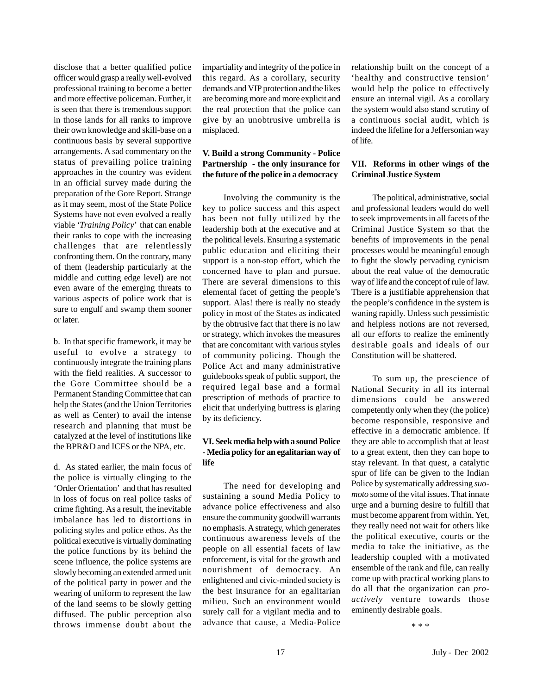disclose that a better qualified police officer would grasp a really well-evolved professional training to become a better and more effective policeman. Further, it is seen that there is tremendous support in those lands for all ranks to improve their own knowledge and skill-base on a continuous basis by several supportive arrangements. A sad commentary on the status of prevailing police training approaches in the country was evident in an official survey made during the preparation of the Gore Report. Strange as it may seem, most of the State Police Systems have not even evolved a really viable *'Training Policy*' that can enable their ranks to cope with the increasing challenges that are relentlessly confronting them. On the contrary, many of them (leadership particularly at the middle and cutting edge level) are not even aware of the emerging threats to various aspects of police work that is sure to engulf and swamp them sooner or later.

b. In that specific framework, it may be useful to evolve a strategy to continuously integrate the training plans with the field realities. A successor to the Gore Committee should be a Permanent Standing Committee that can help the States (and the Union Territories as well as Center) to avail the intense research and planning that must be catalyzed at the level of institutions like the BPR&D and ICFS or the NPA, etc.

d. As stated earlier, the main focus of the police is virtually clinging to the 'Order Orientation' and that has resulted in loss of focus on real police tasks of crime fighting. As a result, the inevitable imbalance has led to distortions in policing styles and police ethos. As the political executive is virtually dominating the police functions by its behind the scene influence, the police systems are slowly becoming an extended armed unit of the political party in power and the wearing of uniform to represent the law of the land seems to be slowly getting diffused. The public perception also throws immense doubt about the impartiality and integrity of the police in this regard. As a corollary, security demands and VIP protection and the likes are becoming more and more explicit and the real protection that the police can give by an unobtrusive umbrella is misplaced.

#### **V. Build a strong Community - Police Partnership - the only insurance for the future of the police in a democracy**

Involving the community is the key to police success and this aspect has been not fully utilized by the leadership both at the executive and at the political levels. Ensuring a systematic public education and eliciting their support is a non-stop effort, which the concerned have to plan and pursue. There are several dimensions to this elemental facet of getting the people's support. Alas! there is really no steady policy in most of the States as indicated by the obtrusive fact that there is no law or strategy, which invokes the measures that are concomitant with various styles of community policing. Though the Police Act and many administrative guidebooks speak of public support, the required legal base and a formal prescription of methods of practice to elicit that underlying buttress is glaring by its deficiency.

#### **VI. Seek media help with a sound Police** - **Media policy for an egalitarian way of life**

The need for developing and sustaining a sound Media Policy to advance police effectiveness and also ensure the community goodwill warrants no emphasis. A strategy, which generates continuous awareness levels of the people on all essential facets of law enforcement, is vital for the growth and nourishment of democracy. An enlightened and civic-minded society is the best insurance for an egalitarian milieu. Such an environment would surely call for a vigilant media and to advance that cause, a Media-Police

relationship built on the concept of a 'healthy and constructive tension' would help the police to effectively ensure an internal vigil. As a corollary the system would also stand scrutiny of a continuous social audit, which is indeed the lifeline for a Jeffersonian way of life.

#### **VII. Reforms in other wings of the Criminal Justice System**

The political, administrative, social and professional leaders would do well to seek improvements in all facets of the Criminal Justice System so that the benefits of improvements in the penal processes would be meaningful enough to fight the slowly pervading cynicism about the real value of the democratic way of life and the concept of rule of law. There is a justifiable apprehension that the people's confidence in the system is waning rapidly. Unless such pessimistic and helpless notions are not reversed, all our efforts to realize the eminently desirable goals and ideals of our Constitution will be shattered.

To sum up, the prescience of National Security in all its internal dimensions could be answered competently only when they (the police) become responsible, responsive and effective in a democratic ambience. If they are able to accomplish that at least to a great extent, then they can hope to stay relevant. In that quest, a catalytic spur of life can be given to the Indian Police by systematically addressing *suomoto* some of the vital issues. That innate urge and a burning desire to fulfill that must become apparent from within. Yet, they really need not wait for others like the political executive, courts or the media to take the initiative, as the leadership coupled with a motivated ensemble of the rank and file, can really come up with practical working plans to do all that the organization can *proactively* venture towards those eminently desirable goals.

\* \* \*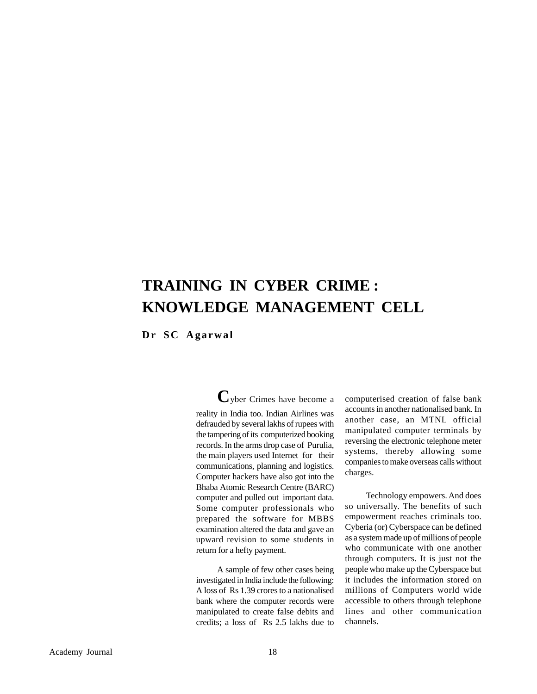## **TRAINING IN CYBER CRIME : KNOWLEDGE MANAGEMENT CELL**

**Dr SC Agarwal**

**C**yber Crimes have become a reality in India too. Indian Airlines was defrauded by several lakhs of rupees with the tampering of its computerized booking records. In the arms drop case of Purulia, the main players used Internet for their communications, planning and logistics. Computer hackers have also got into the Bhaba Atomic Research Centre (BARC) computer and pulled out important data. Some computer professionals who prepared the software for MBBS examination altered the data and gave an upward revision to some students in return for a hefty payment.

A sample of few other cases being investigated in India include the following: A loss of Rs 1.39 crores to a nationalised bank where the computer records were manipulated to create false debits and credits; a loss of Rs 2.5 lakhs due to

computerised creation of false bank accounts in another nationalised bank. In another case, an MTNL official manipulated computer terminals by reversing the electronic telephone meter systems, thereby allowing some companies to make overseas calls without charges.

Technology empowers. And does so universally. The benefits of such empowerment reaches criminals too. Cyberia (or) Cyberspace can be defined as a system made up of millions of people who communicate with one another through computers. It is just not the people who make up the Cyberspace but it includes the information stored on millions of Computers world wide accessible to others through telephone lines and other communication channels.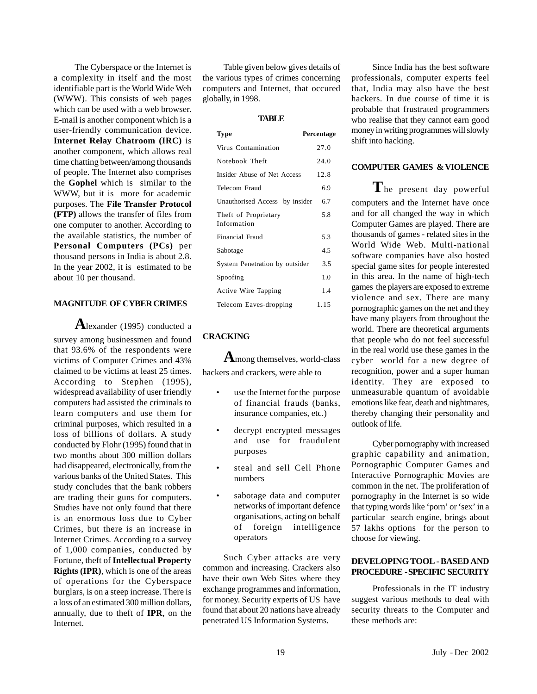The Cyberspace or the Internet is a complexity in itself and the most identifiable part is the World Wide Web (WWW). This consists of web pages which can be used with a web browser. E-mail is another component which is a user-friendly communication device. **Internet Relay Chatroom (IRC)** is another component, which allows real time chatting between/among thousands of people. The Internet also comprises the **Gophel** which is similar to the WWW, but it is more for academic purposes. The **File Transfer Protocol (FTP)** allows the transfer of files from one computer to another. According to the available statistics, the number of **Personal Computers (PCs)** per thousand persons in India is about 2.8. In the year 2002, it is estimated to be about 10 per thousand.

#### **MAGNITUDE OF CYBER CRIMES**

**A**lexander (1995) conducted a survey among businessmen and found that 93.6% of the respondents were victims of Computer Crimes and 43% claimed to be victims at least 25 times. According to Stephen (1995), widespread availability of user friendly computers had assisted the criminals to learn computers and use them for criminal purposes, which resulted in a loss of billions of dollars. A study conducted by Flohr (1995) found that in two months about 300 million dollars had disappeared, electronically, from the various banks of the United States. This study concludes that the bank robbers are trading their guns for computers. Studies have not only found that there is an enormous loss due to Cyber Crimes, but there is an increase in Internet Crimes. According to a survey of 1,000 companies, conducted by Fortune, theft of **Intellectual Property Rights (IPR)**, which is one of the areas of operations for the Cyberspace burglars, is on a steep increase. There is a loss of an estimated 300 million dollars, annually, due to theft of **IPR**, on the Internet.

Table given below gives details of the various types of crimes concerning computers and Internet, that occured globally, in 1998.

#### **TABLE**

| Type                                | Percentage |
|-------------------------------------|------------|
| Virus Contamination                 | 27.0       |
| Notebook Theft                      | 24.0       |
| Insider Abuse of Net Access         | 12.8       |
| Telecom Fraud                       | 6.9        |
| Unauthorised Access by insider      | 6.7        |
| Theft of Proprietary<br>Information | 5.8        |
| Financial Fraud                     | 5.3        |
| Sabotage                            | 4.5        |
| System Penetration by outsider      | 3.5        |
| Spoofing                            | 1.0        |
| Active Wire Tapping                 | 1.4        |
| Telecom Eaves-dropping              | 1.15       |

#### **CRACKING**

**A**mong themselves, world-class hackers and crackers, were able to

- use the Internet for the purpose of financial frauds (banks, insurance companies, etc.)
- decrypt encrypted messages and use for fraudulent purposes
- steal and sell Cell Phone numbers
- sabotage data and computer networks of important defence organisations, acting on behalf of foreign intelligence operators

Such Cyber attacks are very common and increasing. Crackers also have their own Web Sites where they exchange programmes and information, for money. Security experts of US have found that about 20 nations have already penetrated US Information Systems.

Since India has the best software professionals, computer experts feel that, India may also have the best hackers. In due course of time it is probable that frustrated programmers who realise that they cannot earn good money in writing programmes will slowly shift into hacking.

#### **COMPUTER GAMES & VIOLENCE**

The present day powerful computers and the Internet have once and for all changed the way in which Computer Games are played. There are thousands of games - related sites in the World Wide Web. Multi-national software companies have also hosted special game sites for people interested in this area. In the name of high-tech games the players are exposed to extreme violence and sex. There are many pornographic games on the net and they have many players from throughout the world. There are theoretical arguments that people who do not feel successful in the real world use these games in the cyber world for a new degree of recognition, power and a super human identity. They are exposed to unmeasurable quantum of avoidable emotions like fear, death and nightmares, thereby changing their personality and outlook of life.

Cyber pornography with increased graphic capability and animation, Pornographic Computer Games and Interactive Pornographic Movies are common in the net. The proliferation of pornography in the Internet is so wide that typing words like 'porn' or 'sex' in a particular search engine, brings about 57 lakhs options for the person to choose for viewing.

#### **DEVELOPING TOOL - BASED AND PROCEDURE - SPECIFIC SECURITY**

Professionals in the IT industry suggest various methods to deal with security threats to the Computer and these methods are: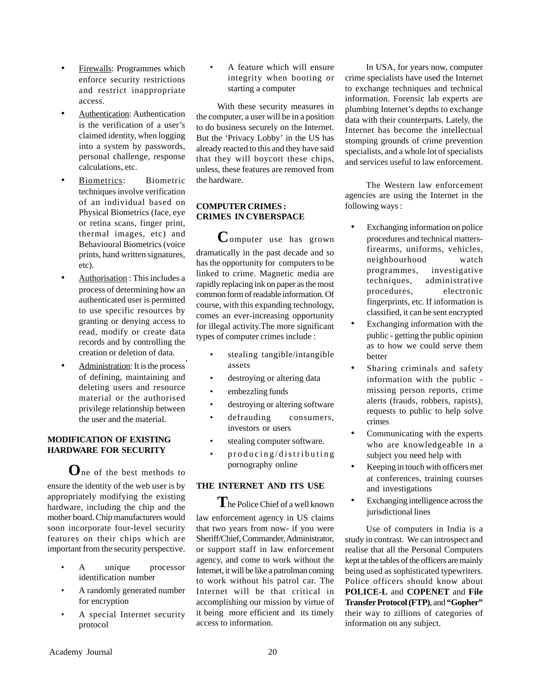- Firewalls: Programmes which enforce security restrictions and restrict inappropriate access.
- Authentication: Authentication is the verification of a user's claimed identity, when logging into a system by passwords, personal challenge, response calculations, etc.
- Biometrics: Biometric techniques involve verification of an individual based on Physical Biometrics (face, eye or retina scans, finger print, thermal images, etc) and Behavioural Biometrics (voice prints, hand written signatures, etc).
- Authorisation : This includes a process of determining how an authenticated user is permitted to use specific resources by granting or denying access to read, modify or create data records and by controlling the creation or deletion of data. .
- Administration: It is the process of defining, maintaining and deleting users and resource material or the authorised privilege relationship between the user and the material.

#### **MODIFICATION OF EXISTING HARDWARE FOR SECURITY**

**O**ne of the best methods to ensure the identity of the web user is by appropriately modifying the existing hardware, including the chip and the mother board. Chip manufacturers would soon incorporate four-level security features on their chips which are important from the security perspective.

- A unique processor identification number
- A randomly generated number for encryption
- A special Internet security protocol

A feature which will ensure integrity when booting or starting a computer

With these security measures in the computer, a user will be in a position to do business securely on the Internet. But the 'Privacy Lobby' in the US has already reacted to this and they have said that they will boycott these chips, unless, these features are removed from the hardware.

#### **COMPUTER CRIMES : CRIMES IN CYBERSPACE**

**C**omputer use has grown dramatically in the past decade and so has the opportunity for computers to be linked to crime. Magnetic media are rapidly replacing ink on paper as the most common form of readable information. Of course, with this expanding technology, comes an ever-increasing opportunity for illegal activity.The more significant types of computer crimes include :

- stealing tangible/intangible assets
- destroying or altering data
- embezzling funds
- destroying or altering software
- defrauding consumers, investors or users
- stealing computer software.
- producing/distributing pornography online

#### **THE INTERNET AND ITS USE**

**T**he Police Chief of a well known law enforcement agency in US claims that two years from now- if you were Sheriff/Chief, Commander, Administrator, or support staff in law enforcement agency, and come to work without the Internet, it will be like a patrolman coming to work without his patrol car. The Internet will be that critical in accomplishing our mission by virtue of it being more efficient and its timely access to information.

In USA, for years now, computer crime specialists have used the Internet to exchange techniques and technical information. Forensic lab experts are plumbing Internet's depths to exchange data with their counterparts. Lately, the Internet has become the intellectual stomping grounds of crime prevention specialists, and a whole lot of specialists and services useful to law enforcement.

The Western law enforcement agencies are using the Internet in the following ways :

- Exchanging information on police procedures and technical mattersfirearms, uniforms, vehicles, neighbourhood watch programmes, investigative techniques, administrative procedures, electronic fingerprints, etc*.* If information is classified, it can be sent encrypted
- Exchanging information with the public - getting the public opinion as to how we could serve them better
- Sharing criminals and safety information with the public missing person reports, crime alerts (frauds, robbers, rapists), requests to public to help solve crimes
- Communicating with the experts who are knowledgeable in a subject you need help with
- Keeping in touch with officers met at conferences, training courses and investigations
- Exchanging intelligence across the jurisdictional lines

Use of computers in India is a study in contrast. We can introspect and realise that all the Personal Computers kept at the tables of the officers are mainly being used as sophisticated typewriters. Police officers should know about **POLICE-L** and **COPENET** and **File Transfer Protocol (FTP)**, and **"Gopher"** their way to zillions of categories of information on any subject.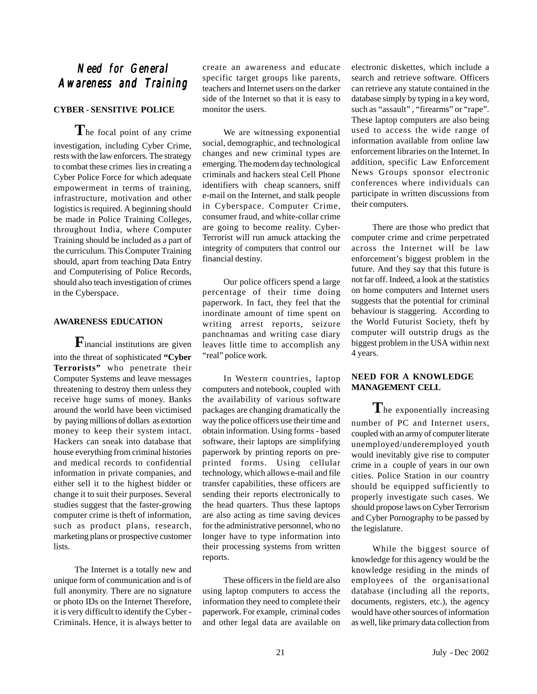### *Need for General Need for Awareness and Training and*

#### **CYBER - SENSITIVE POLICE**

**T**he focal point of any crime investigation, including Cyber Crime, rests with the law enforcers. The strategy to combat these crimes lies in creating a Cyber Police Force for which adequate empowerment in terms of training, infrastructure, motivation and other logistics is required. A beginning should be made in Police Training Colleges, throughout India, where Computer Training should be included as a part of the curriculum. This Computer Training should, apart from teaching Data Entry and Computerising of Police Records, should also teach investigation of crimes in the Cyberspace.

#### **AWARENESS EDUCATION**

**F**inancial institutions are given into the threat of sophisticated **"Cyber Terrorists"** who penetrate their Computer Systems and leave messages threatening to destroy them unless they receive huge sums of money. Banks around the world have been victimised by paying millions of dollars as extortion money to keep their system intact. Hackers can sneak into database that house everything from criminal histories and medical records to confidential information in private companies, and either sell it to the highest bidder or change it to suit their purposes. Several studies suggest that the faster-growing computer crime is theft of information, such as product plans, research, marketing plans or prospective customer lists.

The Internet is a totally new and unique form of communication and is of full anonymity. There are no signature or photo IDs on the Internet Therefore, it is very difficult to identify the Cyber - Criminals. Hence, it is always better to create an awareness and educate specific target groups like parents, teachers and Internet users on the darker side of the Internet so that it is easy to monitor the users.

We are witnessing exponential social, demographic, and technological changes and new criminal types are emerging. The modern day technological criminals and hackers steal Cell Phone identifiers with cheap scanners, sniff e-mail on the Internet, and stalk people in Cyberspace. Computer Crime, consumer fraud, and white-collar crime are going to become reality. Cyber-Terrorist will run amuck attacking the integrity of computers that control our financial destiny.

Our police officers spend a large percentage of their time doing paperwork. In fact, they feel that the inordinate amount of time spent on writing arrest reports, seizure panchnamas and writing case diary leaves little time to accomplish any "real" police work.

In Western countries, laptop computers and notebook, coupled with the availability of various software packages are changing dramatically the way the police officers use their time and obtain information. Using forms - based software, their laptops are simplifying paperwork by printing reports on preprinted forms. Using cellular technology, which allows e-mail and file transfer capabilities, these officers are sending their reports electronically to the head quarters. Thus these laptops are also acting as time saving devices for the administrative personnel, who no longer have to type information into their processing systems from written reports.

These officers in the field are also using laptop computers to access the information they need to complete their paperwork. For example, criminal codes and other legal data are available on

electronic diskettes, which include a search and retrieve software. Officers can retrieve any statute contained in the database simply by typing in a key word, such as "assault", "firearms" or "rape". These laptop computers are also being used to access the wide range of information available from online law enforcement libraries on the Internet. In addition, specific Law Enforcement News Groups sponsor electronic conferences where individuals can participate in written discussions from their computers.

There are those who predict that computer crime and crime perpetrated across the Internet will be law enforcement's biggest problem in the future. And they say that this future is not far off. Indeed, a look at the statistics on home computers and Internet users suggests that the potential for criminal behaviour is staggering. According to the World Futurist Society, theft by computer will outstrip drugs as the biggest problem in the USA within next 4 years.

#### **NEED FOR A KNOWLEDGE MANAGEMENT CELL**

**T**he exponentially increasing number of PC and Internet users, coupled with an army of computer literate unemployed/underemployed youth would inevitably give rise to computer crime in a couple of years in our own cities. Police Station in our country should be equipped sufficiently to properly investigate such cases. We should propose laws on Cyber Terrorism and Cyber Pornography to be passed by the legislature.

While the biggest source of knowledge for this agency would be the knowledge residing in the minds of employees of the organisational database (including all the reports, documents, registers, etc.), the agency would have other sources of information as well, like primary data collection from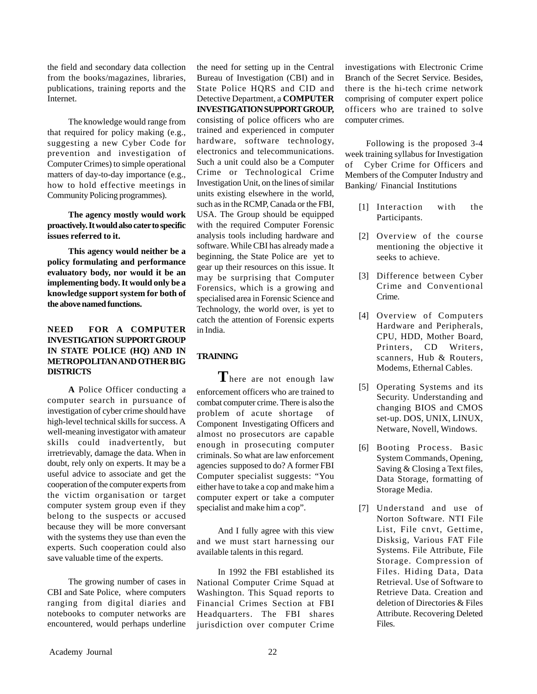the field and secondary data collection from the books/magazines, libraries, publications, training reports and the Internet.

The knowledge would range from that required for policy making (e.g., suggesting a new Cyber Code for prevention and investigation of Computer Crimes) to simple operational matters of day-to-day importance (e.g., how to hold effective meetings in Community Policing programmes).

**The agency mostly would work proactively. It would also cater to specific issues referred to it.**

**This agency would neither be a policy formulating and performance evaluatory body, nor would it be an implementing body. It would only be a knowledge support system for both of the above named functions.**

#### **NEED FOR A COMPUTER INVESTIGATION SUPPORT GROUP IN STATE POLICE (HQ) AND IN METROPOLITAN AND OTHER BIG DISTRICTS**

**A** Police Officer conducting a computer search in pursuance of investigation of cyber crime should have high-level technical skills for success. A well-meaning investigator with amateur skills could inadvertently, but irretrievably, damage the data. When in doubt, rely only on experts. It may be a useful advice to associate and get the cooperation of the computer experts from the victim organisation or target computer system group even if they belong to the suspects or accused because they will be more conversant with the systems they use than even the experts. Such cooperation could also save valuable time of the experts.

The growing number of cases in CBI and Sate Police, where computers ranging from digital diaries and notebooks to computer networks are encountered, would perhaps underline

the need for setting up in the Central Bureau of Investigation (CBI) and in State Police HQRS and CID and Detective Department, a **COMPUTER INVESTIGATION SUPPORT GROUP,** consisting of police officers who are trained and experienced in computer hardware, software technology, electronics and telecommunications. Such a unit could also be a Computer Crime or Technological Crime Investigation Unit, on the lines of similar units existing elsewhere in the world, such as in the RCMP, Canada or the FBI, USA. The Group should be equipped with the required Computer Forensic analysis tools including hardware and software. While CBI has already made a beginning, the State Police are yet to gear up their resources on this issue. It may be surprising that Computer Forensics, which is a growing and specialised area in Forensic Science and Technology, the world over, is yet to catch the attention of Forensic experts in India.

#### **TRAINING**

**T**here are not enough law enforcement officers who are trained to combat computer crime. There is also the problem of acute shortage of Component Investigating Officers and almost no prosecutors are capable enough in prosecuting computer criminals. So what are law enforcement agencies supposed to do? A former FBI Computer specialist suggests: "You either have to take a cop and make him a computer expert or take a computer specialist and make him a cop".

And I fully agree with this view and we must start harnessing our available talents in this regard.

In 1992 the FBI established its National Computer Crime Squad at Washington. This Squad reports to Financial Crimes Section at FBI Headquarters. The FBI shares jurisdiction over computer Crime

investigations with Electronic Crime Branch of the Secret Service. Besides, there is the hi-tech crime network comprising of computer expert police officers who are trained to solve computer crimes.

Following is the proposed 3-4 week training syllabus for Investigation of Cyber Crime for Officers and Members of the Computer Industry and Banking/ Financial Institutions

- [1] Interaction with the Participants.
- [2] Overview of the course mentioning the objective it seeks to achieve.
- [3] Difference between Cyber Crime and Conventional Crime.
- [4] Overview of Computers Hardware and Peripherals, CPU, HDD, Mother Board, Printers, CD Writers, scanners, Hub & Routers, Modems, Ethernal Cables.
- [5] Operating Systems and its Security. Understanding and changing BIOS and CMOS set-up. DOS, UNIX, LINUX, Netware, Novell, Windows.
- [6] Booting Process. Basic System Commands, Opening, Saving & Closing a Text files, Data Storage, formatting of Storage Media.
- [7] Understand and use of Norton Software. NTI File List, File cnvt, Gettime, Disksig, Various FAT File Systems. File Attribute, File Storage. Compression of Files. Hiding Data, Data Retrieval. Use of Software to Retrieve Data. Creation and deletion of Directories & Files Attribute. Recovering Deleted Files.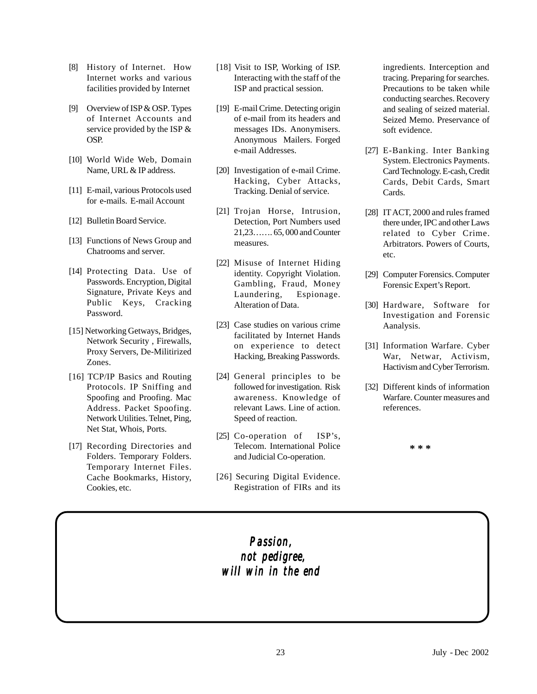- [8] History of Internet. How Internet works and various facilities provided by Internet
- [9] Overview of ISP & OSP*.* Types of Internet Accounts and service provided by the ISP & OSP.
- [10] World Wide Web, Domain Name, URL & IP address.
- [11] E-mail, various Protocols used for e-mails. E-mail Account
- [12] Bulletin Board Service.
- [13] Functions of News Group and Chatrooms and server.
- [14] Protecting Data. Use of Passwords. Encryption, Digital Signature, Private Keys and Public Keys, Cracking Password.
- [15] Networking Getways, Bridges, Network Security , Firewalls, Proxy Servers, De-Militirized Zones.
- [16] TCP/IP Basics and Routing Protocols. IP Sniffing and Spoofing and Proofing. Mac Address. Packet Spoofing. Network Utilities. Telnet, Ping, Net Stat, Whois, Ports.
- [17] Recording Directories and Folders. Temporary Folders. Temporary Internet Files. Cache Bookmarks, History, Cookies, etc.
- [18] Visit to ISP, Working of ISP. Interacting with the staff of the ISP and practical session.
- [19] E-mail Crime. Detecting origin of e-mail from its headers and messages IDs. Anonymisers. Anonymous Mailers. Forged e-mail Addresses.
- [20] Investigation of e-mail Crime. Hacking, Cyber Attacks, Tracking. Denial of service.
- [21] Trojan Horse, Intrusion, Detection, Port Numbers used 21,23……. 65, 000 and Counter measures.
- [22] Misuse of Internet Hiding identity. Copyright Violation. Gambling, Fraud, Money Laundering, Espionage. Alteration of Data.
- [23] Case studies on various crime facilitated by Internet Hands on experience to detect Hacking, Breaking Passwords.
- [24] General principles to be followed for investigation. Risk awareness. Knowledge of relevant Laws. Line of action. Speed of reaction.
- [25] Co-operation of ISP's, Telecom. International Police and Judicial Co-operation.
- [26] Securing Digital Evidence. Registration of FIRs and its

ingredients. Interception and tracing. Preparing for searches. Precautions to be taken while conducting searches. Recovery and sealing of seized material. Seized Memo. Preservance of soft evidence.

- [27] E-Banking. Inter Banking System. Electronics Payments. Card Technology. E-cash, Credit Cards, Debit Cards, Smart Cards.
- [28] IT ACT, 2000 and rules framed there under, IPC and other Laws related to Cyber Crime. Arbitrators. Powers of Courts, etc.
- [29] Computer Forensics. Computer Forensic Expert's Report.
- [30] Hardware, Software for Investigation and Forensic Aanalysis.
- [31] Information Warfare. Cyber War, Netwar, Activism, Hactivism and Cyber Terrorism.
- [32] Different kinds of information Warfare. Counter measures and references.

**\* \* \***

### *Passion, not pedigree, not not pedigree, will win in the end will win the end*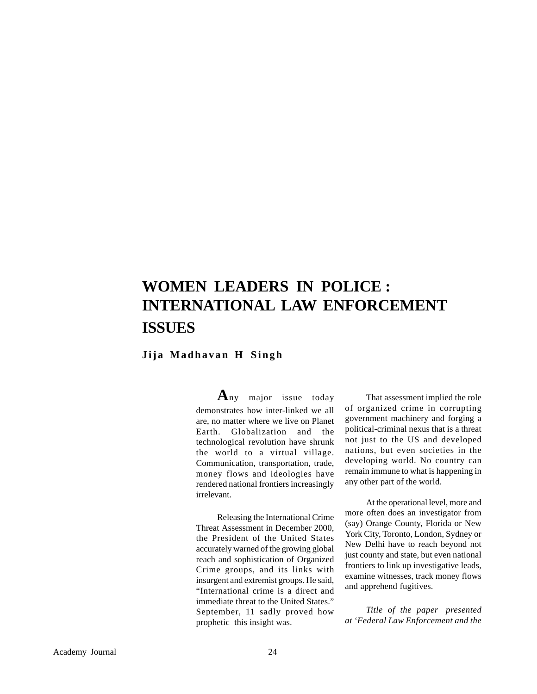## **WOMEN LEADERS IN POLICE : INTERNATIONAL LAW ENFORCEMENT ISSUES**

#### **Jija Madhavan H Singh**

**A**ny major issue today demonstrates how inter-linked we all are, no matter where we live on Planet Earth. Globalization and the technological revolution have shrunk the world to a virtual village. Communication, transportation, trade, money flows and ideologies have rendered national frontiers increasingly irrelevant.

Releasing the International Crime Threat Assessment in December 2000, the President of the United States accurately warned of the growing global reach and sophistication of Organized Crime groups, and its links with insurgent and extremist groups. He said, "International crime is a direct and immediate threat to the United States." September, 11 sadly proved how prophetic this insight was.

That assessment implied the role of organized crime in corrupting government machinery and forging a political-criminal nexus that is a threat not just to the US and developed nations, but even societies in the developing world. No country can remain immune to what is happening in any other part of the world.

At the operational level, more and more often does an investigator from (say) Orange County, Florida or New York City, Toronto, London, Sydney or New Delhi have to reach beyond not just county and state, but even national frontiers to link up investigative leads, examine witnesses, track money flows and apprehend fugitives.

*Title of the paper presented at 'Federal Law Enforcement and the*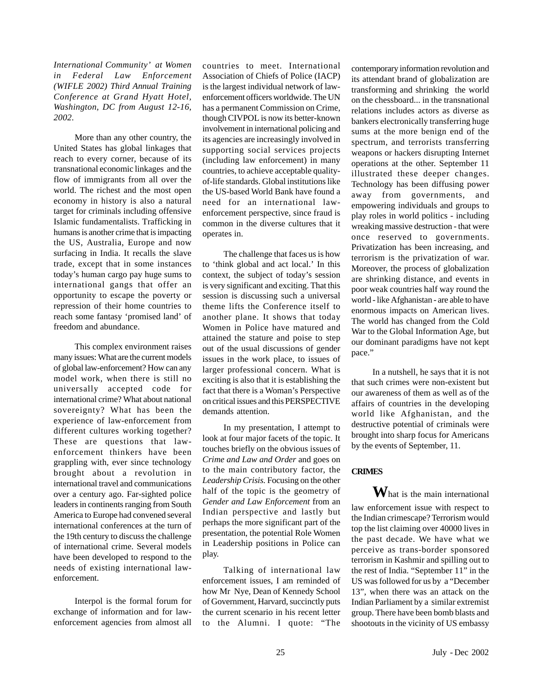*International Community' at Women in Federal Law Enforcement (WIFLE 2002) Third Annual Training Conference at Grand Hyatt Hotel, Washington, DC from August 12-16, 2002.*

More than any other country, the United States has global linkages that reach to every corner, because of its transnational economic linkages and the flow of immigrants from all over the world. The richest and the most open economy in history is also a natural target for criminals including offensive Islamic fundamentalists. Trafficking in humans is another crime that is impacting the US, Australia, Europe and now surfacing in India. It recalls the slave trade, except that in some instances today's human cargo pay huge sums to international gangs that offer an opportunity to escape the poverty or repression of their home countries to reach some fantasy 'promised land' of freedom and abundance.

This complex environment raises many issues: What are the current models of global law-enforcement? How can any model work, when there is still no universally accepted code for international crime? What about national sovereignty? What has been the experience of law-enforcement from different cultures working together? These are questions that lawenforcement thinkers have been grappling with, ever since technology brought about a revolution in international travel and communications over a century ago. Far-sighted police leaders in continents ranging from South America to Europe had convened several international conferences at the turn of the 19th century to discuss the challenge of international crime. Several models have been developed to respond to the needs of existing international lawenforcement.

Interpol is the formal forum for exchange of information and for lawenforcement agencies from almost all countries to meet. International Association of Chiefs of Police (IACP) is the largest individual network of lawenforcement officers worldwide. The UN has a permanent Commission on Crime, though CIVPOL is now its better-known involvement in international policing and its agencies are increasingly involved in supporting social services projects (including law enforcement) in many countries, to achieve acceptable qualityof-life standards. Global institutions like the US-based World Bank have found a need for an international lawenforcement perspective, since fraud is common in the diverse cultures that it operates in.

The challenge that faces us is how to 'think global and act local.' In this context, the subject of today's session is very significant and exciting. That this session is discussing such a universal theme lifts the Conference itself to another plane. It shows that today Women in Police have matured and attained the stature and poise to step out of the usual discussions of gender issues in the work place, to issues of larger professional concern. What is exciting is also that it is establishing the fact that there is a Woman's Perspective on critical issues and this PERSPECTIVE demands attention.

In my presentation, I attempt to look at four major facets of the topic. It touches briefly on the obvious issues of *Crime and Law and Order* and goes on to the main contributory factor, the *Leadership Crisis.* Focusing on the other half of the topic is the geometry of *Gender and Law Enforcement* from an Indian perspective and lastly but perhaps the more significant part of the presentation, the potential Role Women in Leadership positions in Police can play.

Talking of international law enforcement issues, I am reminded of how Mr Nye, Dean of Kennedy School of Government, Harvard, succinctly puts the current scenario in his recent letter to the Alumni. I quote: "The

contemporary information revolution and its attendant brand of globalization are transforming and shrinking the world on the chessboard... in the transnational relations includes actors as diverse as bankers electronically transferring huge sums at the more benign end of the spectrum, and terrorists transferring weapons or hackers disrupting Internet operations at the other. September 11 illustrated these deeper changes. Technology has been diffusing power away from governments, and empowering individuals and groups to play roles in world politics - including wreaking massive destruction - that were once reserved to governments. Privatization has been increasing, and terrorism is the privatization of war. Moreover, the process of globalization are shrinking distance, and events in poor weak countries half way round the world - like Afghanistan - are able to have enormous impacts on American lives. The world has changed from the Cold War to the Global Information Age, but our dominant paradigms have not kept pace."

In a nutshell, he says that it is not that such crimes were non-existent but our awareness of them as well as of the affairs of countries in the developing world like Afghanistan, and the destructive potential of criminals were brought into sharp focus for Americans by the events of September, 11.

#### **CRIMES**

**W**hat is the main international law enforcement issue with respect to the Indian crimescape? Terrorism would top the list claiming over 40000 lives in the past decade. We have what we perceive as trans-border sponsored terrorism in Kashmir and spilling out to the rest of India. "September 11" in the US was followed for us by a "December 13", when there was an attack on the Indian Parliament by a similar extremist group. There have been bomb blasts and shootouts in the vicinity of US embassy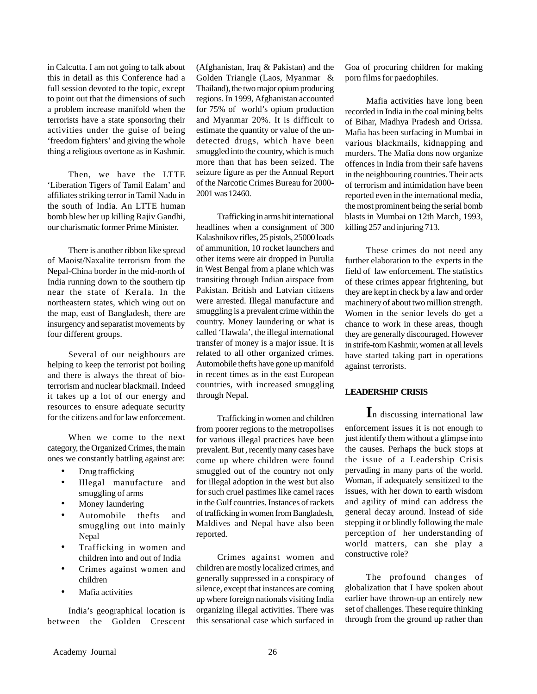in Calcutta. I am not going to talk about this in detail as this Conference had a full session devoted to the topic, except to point out that the dimensions of such a problem increase manifold when the terrorists have a state sponsoring their activities under the guise of being 'freedom fighters' and giving the whole thing a religious overtone as in Kashmir.

Then, we have the LTTE 'Liberation Tigers of Tamil Ealam' and affiliates striking terror in Tamil Nadu in the south of India. An LTTE human bomb blew her up killing Rajiv Gandhi, our charismatic former Prime Minister.

There is another ribbon like spread of Maoist/Naxalite terrorism from the Nepal-China border in the mid-north of India running down to the southern tip near the state of Kerala. In the northeastern states, which wing out on the map, east of Bangladesh, there are insurgency and separatist movements by four different groups.

Several of our neighbours are helping to keep the terrorist pot boiling and there is always the threat of bioterrorism and nuclear blackmail. Indeed it takes up a lot of our energy and resources to ensure adequate security for the citizens and for law enforcement.

When we come to the next category, the Organized Crimes, the main ones we constantly battling against are:

- Drug trafficking
- Illegal manufacture and smuggling of arms
- Money laundering
- Automobile thefts and smuggling out into mainly Nepal
- Trafficking in women and children into and out of India
- Crimes against women and children
- Mafia activities

India's geographical location is between the Golden Crescent

(Afghanistan, Iraq & Pakistan) and the Golden Triangle (Laos, Myanmar & Thailand), the two major opium producing regions. In 1999, Afghanistan accounted for 75% of world's opium production and Myanmar 20%. It is difficult to estimate the quantity or value of the undetected drugs, which have been smuggled into the country, which is much more than that has been seized. The seizure figure as per the Annual Report of the Narcotic Crimes Bureau for 2000- 2001 was 12460.

Trafficking in arms hit international headlines when a consignment of 300 Kalashnikov rifles, 25 pistols, 25000 loads of ammunition, 10 rocket launchers and other items were air dropped in Purulia in West Bengal from a plane which was transiting through Indian airspace from Pakistan. British and Latvian citizens were arrested. Illegal manufacture and smuggling is a prevalent crime within the country. Money laundering or what is called 'Hawala', the illegal international transfer of money is a major issue. It is related to all other organized crimes. Automobile thefts have gone up manifold in recent times as in the east European countries, with increased smuggling through Nepal.

Trafficking in women and children from poorer regions to the metropolises for various illegal practices have been prevalent. But , recently many cases have come up where children were found smuggled out of the country not only for illegal adoption in the west but also for such cruel pastimes like camel races in the Gulf countries. Instances of rackets of trafficking in women from Bangladesh, Maldives and Nepal have also been reported.

Crimes against women and children are mostly localized crimes, and generally suppressed in a conspiracy of silence, except that instances are coming up where foreign nationals visiting India organizing illegal activities. There was this sensational case which surfaced in Goa of procuring children for making porn films for paedophiles.

Mafia activities have long been recorded in India in the coal mining belts of Bihar, Madhya Pradesh and Orissa. Mafia has been surfacing in Mumbai in various blackmails, kidnapping and murders. The Mafia dons now organize offences in India from their safe havens in the neighbouring countries. Their acts of terrorism and intimidation have been reported even in the international media, the most prominent being the serial bomb blasts in Mumbai on 12th March, 1993, killing 257 and injuring 713.

These crimes do not need any further elaboration to the experts in the field of law enforcement. The statistics of these crimes appear frightening, but they are kept in check by a law and order machinery of about two million strength. Women in the senior levels do get a chance to work in these areas, though they are generally discouraged. However in strife-torn Kashmir, women at all levels have started taking part in operations against terrorists.

#### **LEADERSHIP CRISIS**

**I**n discussing international law enforcement issues it is not enough to just identify them without a glimpse into the causes. Perhaps the buck stops at the issue of a Leadership Crisis pervading in many parts of the world. Woman, if adequately sensitized to the issues, with her down to earth wisdom and agility of mind can address the general decay around. Instead of side stepping it or blindly following the male perception of her understanding of world matters, can she play a constructive role?

The profound changes of globalization that I have spoken about earlier have thrown-up an entirely new set of challenges. These require thinking through from the ground up rather than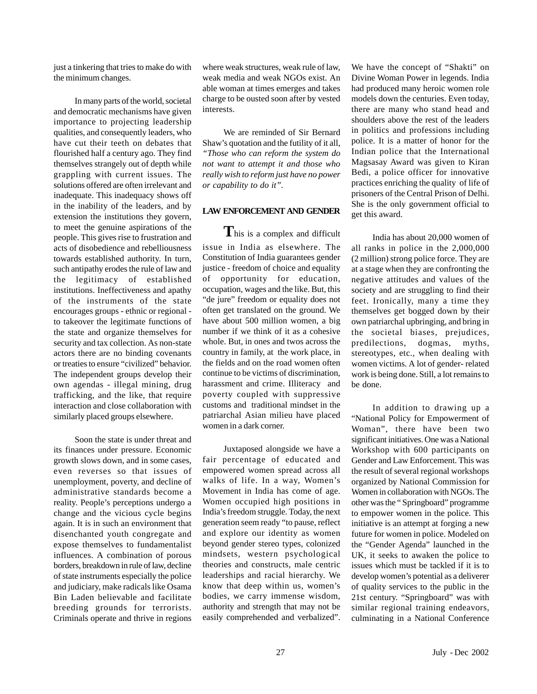just a tinkering that tries to make do with the minimum changes.

In many parts of the world, societal and democratic mechanisms have given importance to projecting leadership qualities, and consequently leaders, who have cut their teeth on debates that flourished half a century ago. They find themselves strangely out of depth while grappling with current issues. The solutions offered are often irrelevant and inadequate. This inadequacy shows off in the inability of the leaders, and by extension the institutions they govern, to meet the genuine aspirations of the people. This gives rise to frustration and acts of disobedience and rebelliousness towards established authority. In turn, such antipathy erodes the rule of law and the legitimacy of established institutions. Ineffectiveness and apathy of the instruments of the state encourages groups - ethnic or regional to takeover the legitimate functions of the state and organize themselves for security and tax collection. As non-state actors there are no binding covenants or treaties to ensure "civilized" behavior. The independent groups develop their own agendas - illegal mining, drug trafficking, and the like, that require interaction and close collaboration with similarly placed groups elsewhere.

Soon the state is under threat and its finances under pressure. Economic growth slows down, and in some cases, even reverses so that issues of unemployment, poverty, and decline of administrative standards become a reality. People's perceptions undergo a change and the vicious cycle begins again. It is in such an environment that disenchanted youth congregate and expose themselves to fundamentalist influences. A combination of porous borders, breakdown in rule of law, decline of state instruments especially the police and judiciary, make radicals like Osama Bin Laden believable and facilitate breeding grounds for terrorists. Criminals operate and thrive in regions where weak structures, weak rule of law, weak media and weak NGOs exist. An able woman at times emerges and takes charge to be ousted soon after by vested interests.

We are reminded of Sir Bernard Shaw's quotation and the futility of it all, *"Those who can reform the system do not want to attempt it and those who really wish to reform just have no power or capability to do it".*

#### **LAW ENFORCEMENT AND GENDER**

**T**his is a complex and difficult issue in India as elsewhere. The Constitution of India guarantees gender justice - freedom of choice and equality of opportunity for education, occupation, wages and the like. But, this "de jure" freedom or equality does not often get translated on the ground. We have about 500 million women, a big number if we think of it as a cohesive whole. But, in ones and twos across the country in family, at the work place, in the fields and on the road women often continue to be victims of discrimination, harassment and crime. Illiteracy and poverty coupled with suppressive customs and traditional mindset in the patriarchal Asian milieu have placed women in a dark corner.

Juxtaposed alongside we have a fair percentage of educated and empowered women spread across all walks of life. In a way, Women's Movement in India has come of age. Women occupied high positions in India's freedom struggle. Today, the next generation seem ready "to pause, reflect and explore our identity as women beyond gender stereo types, colonized mindsets, western psychological theories and constructs, male centric leaderships and racial hierarchy. We know that deep within us, women's bodies, we carry immense wisdom, authority and strength that may not be easily comprehended and verbalized".

We have the concept of "Shakti" on Divine Woman Power in legends. India had produced many heroic women role models down the centuries. Even today, there are many who stand head and shoulders above the rest of the leaders in politics and professions including police. It is a matter of honor for the Indian police that the International Magsasay Award was given to Kiran Bedi, a police officer for innovative practices enriching the quality of life of prisoners of the Central Prison of Delhi. She is the only government official to get this award.

India has about 20,000 women of all ranks in police in the 2,000,000 (2 million) strong police force. They are at a stage when they are confronting the negative attitudes and values of the society and are struggling to find their feet. Ironically, many a time they themselves get bogged down by their own patriarchal upbringing, and bring in the societal biases, prejudices, predilections, dogmas, myths, stereotypes, etc., when dealing with women victims. A lot of gender- related work is being done. Still, a lot remains to be done.

In addition to drawing up a "National Policy for Empowerment of Woman", there have been two significant initiatives. One was a National Workshop with 600 participants on Gender and Law Enforcement. This was the result of several regional workshops organized by National Commission for Women in collaboration with NGOs. The other was the " Springboard" programme to empower women in the police. This initiative is an attempt at forging a new future for women in police. Modeled on the "Gender Agenda" launched in the UK, it seeks to awaken the police to issues which must be tackled if it is to develop women's potential as a deliverer of quality services to the public in the 21st century. "Springboard" was with similar regional training endeavors, culminating in a National Conference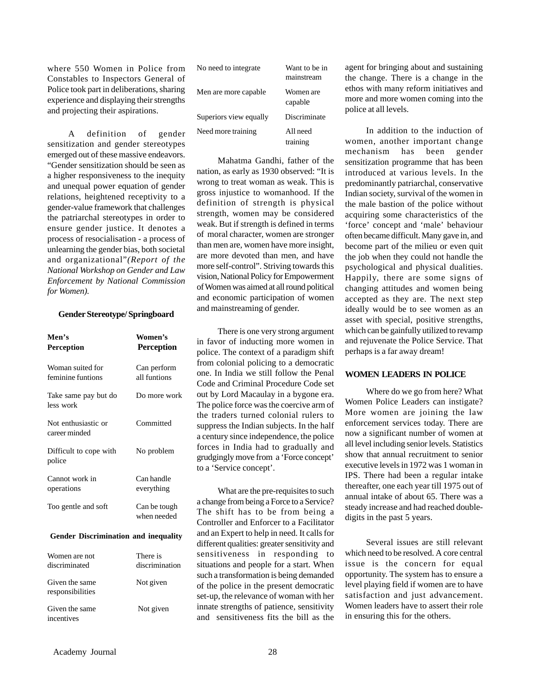where 550 Women in Police from Constables to Inspectors General of Police took part in deliberations, sharing experience and displaying their strengths and projecting their aspirations.

A definition of gender sensitization and gender stereotypes emerged out of these massive endeavors. "Gender sensitization should be seen as a higher responsiveness to the inequity and unequal power equation of gender relations, heightened receptivity to a gender-value framework that challenges the patriarchal stereotypes in order to ensure gender justice. It denotes a process of resocialisation - a process of unlearning the gender bias, both societal and organizational"*(Report of the National Workshop on Gender and Law Enforcement by National Commission for Women).*

#### **Gender Stereotype/ Springboard**

| Men's<br>Perception                   | Women's<br><b>Perception</b> |
|---------------------------------------|------------------------------|
| Woman suited for<br>feminine funtions | Can perform<br>all funtions  |
| Take same pay but do<br>less work     | Do more work                 |
| Not enthusiastic or<br>career minded  | Committed                    |
| Difficult to cope with<br>police      | No problem                   |
| Cannot work in<br>operations          | Can handle<br>everything     |
| Too gentle and soft                   | Can be tough<br>when needed  |

#### **Gender Discrimination and inequality**

| Women are not<br>discriminated     | There is<br>discrimination |
|------------------------------------|----------------------------|
| Given the same<br>responsibilities | Not given                  |
| Given the same<br>incentives       | Not given                  |

| No need to integrate   | Want to be in<br>mainstream |  |  |
|------------------------|-----------------------------|--|--|
| Men are more capable   | Women are<br>capable        |  |  |
| Superiors view equally | Discriminate                |  |  |
| Need more training     | All need<br>training        |  |  |

Mahatma Gandhi, father of the nation, as early as 1930 observed: "It is wrong to treat woman as weak. This is gross injustice to womanhood. If the definition of strength is physical strength, women may be considered weak. But if strength is defined in terms of moral character, women are stronger than men are, women have more insight, are more devoted than men, and have more self-control". Striving towards this vision, National Policy for Empowerment of Women was aimed at all round political and economic participation of women and mainstreaming of gender.

There is one very strong argument in favor of inducting more women in police. The context of a paradigm shift from colonial policing to a democratic one. In India we still follow the Penal Code and Criminal Procedure Code set out by Lord Macaulay in a bygone era. The police force was the coercive arm of the traders turned colonial rulers to suppress the Indian subjects. In the half a century since independence, the police forces in India had to gradually and grudgingly move from a 'Force concept' to a 'Service concept'.

What are the pre-requisites to such a change from being a Force to a Service? The shift has to be from being a Controller and Enforcer to a Facilitator and an Expert to help in need. It calls for different qualities: greater sensitivity and sensitiveness in responding to situations and people for a start. When such a transformation is being demanded of the police in the present democratic set-up, the relevance of woman with her innate strengths of patience, sensitivity and sensitiveness fits the bill as the

agent for bringing about and sustaining the change. There is a change in the ethos with many reform initiatives and more and more women coming into the police at all levels.

In addition to the induction of women, another important change mechanism has been gender sensitization programme that has been introduced at various levels. In the predominantly patriarchal, conservative Indian society, survival of the women in the male bastion of the police without acquiring some characteristics of the 'force' concept and 'male' behaviour often became difficult. Many gave in, and become part of the milieu or even quit the job when they could not handle the psychological and physical dualities. Happily, there are some signs of changing attitudes and women being accepted as they are. The next step ideally would be to see women as an asset with special, positive strengths, which can be gainfully utilized to revamp and rejuvenate the Police Service. That perhaps is a far away dream!

#### **WOMEN LEADERS IN POLICE**

Where do we go from here? What Women Police Leaders can instigate? More women are joining the law enforcement services today. There are now a significant number of women at all level including senior levels. Statistics show that annual recruitment to senior executive levels in 1972 was 1 woman in IPS. There had been a regular intake thereafter, one each year till 1975 out of annual intake of about 65. There was a steady increase and had reached doubledigits in the past 5 years.

Several issues are still relevant which need to be resolved. A core central issue is the concern for equal opportunity. The system has to ensure a level playing field if women are to have satisfaction and just advancement. Women leaders have to assert their role in ensuring this for the others.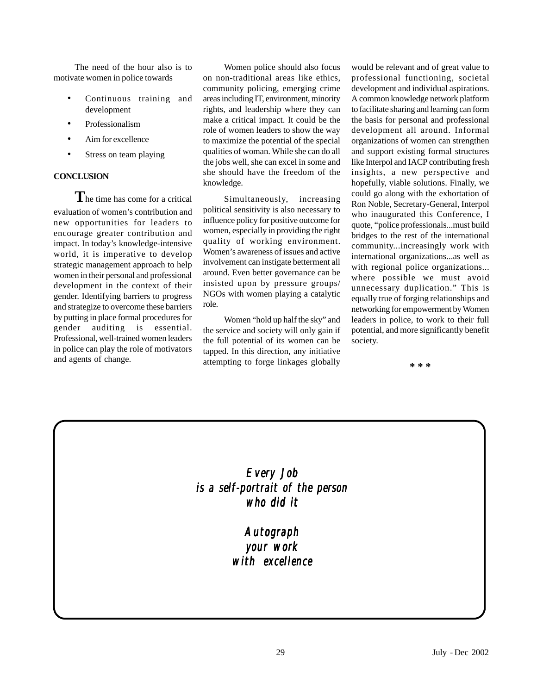The need of the hour also is to motivate women in police towards

- Continuous training and development
- Professionalism
- Aim for excellence
- Stress on team playing

#### **CONCLUSION**

**T**he time has come for a critical evaluation of women's contribution and new opportunities for leaders to encourage greater contribution and impact. In today's knowledge-intensive world, it is imperative to develop strategic management approach to help women in their personal and professional development in the context of their gender. Identifying barriers to progress and strategize to overcome these barriers by putting in place formal procedures for gender auditing is essential. Professional, well-trained women leaders in police can play the role of motivators and agents of change.

Women police should also focus on non-traditional areas like ethics, community policing, emerging crime areas including IT, environment, minority rights, and leadership where they can make a critical impact. It could be the role of women leaders to show the way to maximize the potential of the special qualities of woman. While she can do all the jobs well, she can excel in some and she should have the freedom of the knowledge.

Simultaneously, increasing political sensitivity is also necessary to influence policy for positive outcome for women, especially in providing the right quality of working environment. Women's awareness of issues and active involvement can instigate betterment all around. Even better governance can be insisted upon by pressure groups/ NGOs with women playing a catalytic role.

Women "hold up half the sky" and the service and society will only gain if the full potential of its women can be tapped. In this direction, any initiative attempting to forge linkages globally

would be relevant and of great value to professional functioning, societal development and individual aspirations. A common knowledge network platform to facilitate sharing and learning can form the basis for personal and professional development all around. Informal organizations of women can strengthen and support existing formal structures like Interpol and IACP contributing fresh insights, a new perspective and hopefully, viable solutions. Finally, we could go along with the exhortation of Ron Noble, Secretary-General, Interpol who inaugurated this Conference, I quote, "police professionals...must build bridges to the rest of the international community...increasingly work with international organizations...as well as with regional police organizations... where possible we must avoid unnecessary duplication." This is equally true of forging relationships and networking for empowerment by Women leaders in police, to work to their full potential, and more significantly benefit society.

**\* \* \***

*Every Job is a self-portrait of the person a of person who did it who it*

> *Autograph your work your work with excellence with excellence*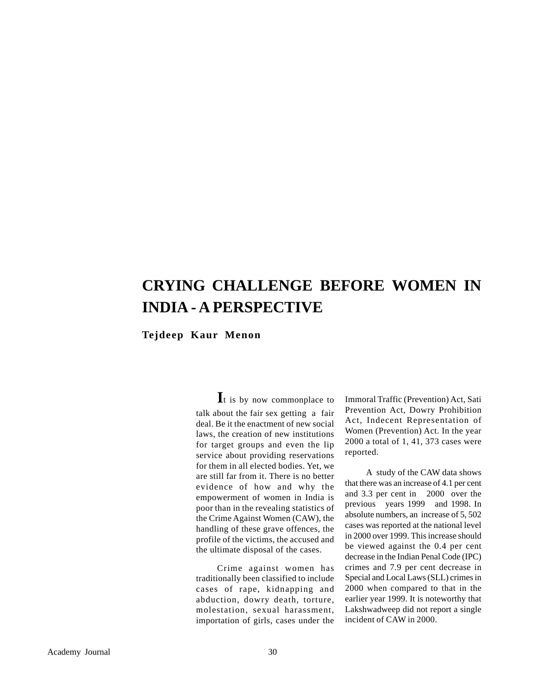## **CRYING CHALLENGE BEFORE WOMEN IN INDIA - A PERSPECTIVE**

**Tejdeep Kaur Menon**

**I**t is by now commonplace to talk about the fair sex getting a fair deal. Be it the enactment of new social laws, the creation of new institutions for target groups and even the lip service about providing reservations for them in all elected bodies. Yet, we are still far from it. There is no better evidence of how and why the empowerment of women in India is poor than in the revealing statistics of the Crime Against Women (CAW), the handling of these grave offences, the profile of the victims, the accused and the ultimate disposal of the cases.

Crime against women has traditionally been classified to include cases of rape, kidnapping and abduction, dowry death, torture, molestation, sexual harassment, importation of girls, cases under the

Immoral Traffic (Prevention) Act, Sati Prevention Act, Dowry Prohibition Act, Indecent Representation of Women (Prevention) Act. In the year 2000 a total of 1, 41, 373 cases were reported.

A study of the CAW data shows that there was an increase of 4.1 per cent and 3.3 per cent in 2000 over the previous years 1999 and 1998. In absolute numbers, an increase of 5, 502 cases was reported at the national level in 2000 over 1999. This increase should be viewed against the 0.4 per cent decrease in the Indian Penal Code (IPC) crimes and 7.9 per cent decrease in Special and Local Laws (SLL) crimes in 2000 when compared to that in the earlier year 1999. It is noteworthy that Lakshwadweep did not report a single incident of CAW in 2000.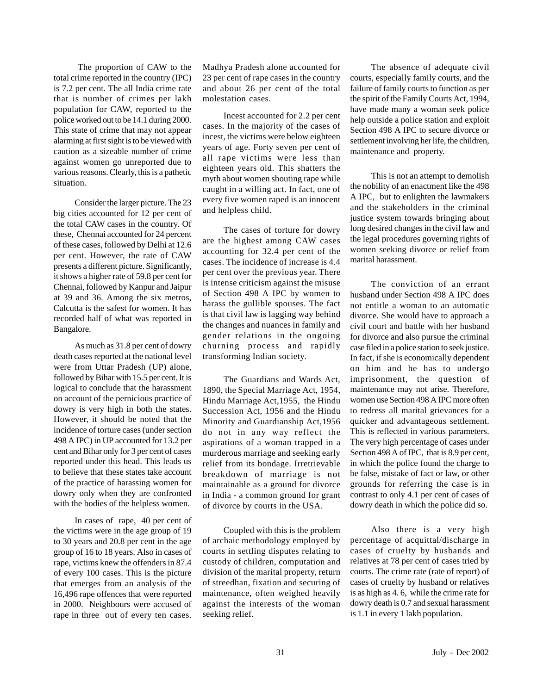The proportion of CAW to the total crime reported in the country (IPC) is 7.2 per cent. The all India crime rate that is number of crimes per lakh population for CAW, reported to the police worked out to be 14.1 during 2000. This state of crime that may not appear alarming at first sight is to be viewed with caution as a sizeable number of crime against women go unreported due to various reasons. Clearly, this is a pathetic situation.

Consider the larger picture. The 23 big cities accounted for 12 per cent of the total CAW cases in the country. Of these, Chennai accounted for 24 percent of these cases, followed by Delhi at 12.6 per cent. However, the rate of CAW presents a different picture. Significantly, it shows a higher rate of 59.8 per cent for Chennai, followed by Kanpur and Jaipur at 39 and 36. Among the six metros, Calcutta is the safest for women. It has recorded half of what was reported in Bangalore.

As much as 31.8 per cent of dowry death cases reported at the national level were from Uttar Pradesh (UP) alone, followed by Bihar with 15.5 per cent. It is logical to conclude that the harassment on account of the pernicious practice of dowry is very high in both the states. However, it should be noted that the incidence of torture cases (under section 498 A IPC) in UP accounted for 13.2 per cent and Bihar only for 3 per cent of cases reported under this head. This leads us to believe that these states take account of the practice of harassing women for dowry only when they are confronted with the bodies of the helpless women.

In cases of rape, 40 per cent of the victims were in the age group of 19 to 30 years and 20.8 per cent in the age group of 16 to 18 years. Also in cases of rape, victims knew the offenders in 87.4 of every 100 cases. This is the picture that emerges from an analysis of the 16,496 rape offences that were reported in 2000. Neighbours were accused of rape in three out of every ten cases.

Madhya Pradesh alone accounted for 23 per cent of rape cases in the country and about 26 per cent of the total molestation cases.

Incest accounted for 2.2 per cent cases. In the majority of the cases of incest, the victims were below eighteen years of age. Forty seven per cent of all rape victims were less than eighteen years old. This shatters the myth about women shouting rape while caught in a willing act. In fact, one of every five women raped is an innocent and helpless child.

The cases of torture for dowry are the highest among CAW cases accounting for 32.4 per cent of the cases. The incidence of increase is 4.4 per cent over the previous year. There is intense criticism against the misuse of Section 498 A IPC by women to harass the gullible spouses. The fact is that civil law is lagging way behind the changes and nuances in family and gender relations in the ongoing churning process and rapidly transforming Indian society.

The Guardians and Wards Act, 1890, the Special Marriage Act, 1954, Hindu Marriage Act,1955, the Hindu Succession Act, 1956 and the Hindu Minority and Guardianship Act,1956 do not in any way reflect the aspirations of a woman trapped in a murderous marriage and seeking early relief from its bondage. Irretrievable breakdown of marriage is not maintainable as a ground for divorce in India - a common ground for grant of divorce by courts in the USA.

Coupled with this is the problem of archaic methodology employed by courts in settling disputes relating to custody of children, computation and division of the marital property, return of streedhan, fixation and securing of maintenance, often weighed heavily against the interests of the woman seeking relief.

The absence of adequate civil courts, especially family courts, and the failure of family courts to function as per the spirit of the Family Courts Act, 1994, have made many a woman seek police help outside a police station and exploit Section 498 A IPC to secure divorce or settlement involving her life, the children, maintenance and property.

This is not an attempt to demolish the nobility of an enactment like the 498 A IPC, but to enlighten the lawmakers and the stakeholders in the criminal justice system towards bringing about long desired changes in the civil law and the legal procedures governing rights of women seeking divorce or relief from marital harassment.

The conviction of an errant husband under Section 498 A IPC does not entitle a woman to an automatic divorce. She would have to approach a civil court and battle with her husband for divorce and also pursue the criminal case filed in a police station to seek justice. In fact, if she is economically dependent on him and he has to undergo imprisonment, the question of maintenance may not arise. Therefore, women use Section 498 A IPC more often to redress all marital grievances for a quicker and advantageous settlement. This is reflected in various parameters. The very high percentage of cases under Section 498 A of IPC, that is 8.9 per cent, in which the police found the charge to be false, mistake of fact or law, or other grounds for referring the case is in contrast to only 4.1 per cent of cases of dowry death in which the police did so.

Also there is a very high percentage of acquittal/discharge in cases of cruelty by husbands and relatives at 78 per cent of cases tried by courts. The crime rate (rate of report) of cases of cruelty by husband or relatives is as high as 4. 6, while the crime rate for dowry death is 0.7 and sexual harassment is 1.1 in every 1 lakh population.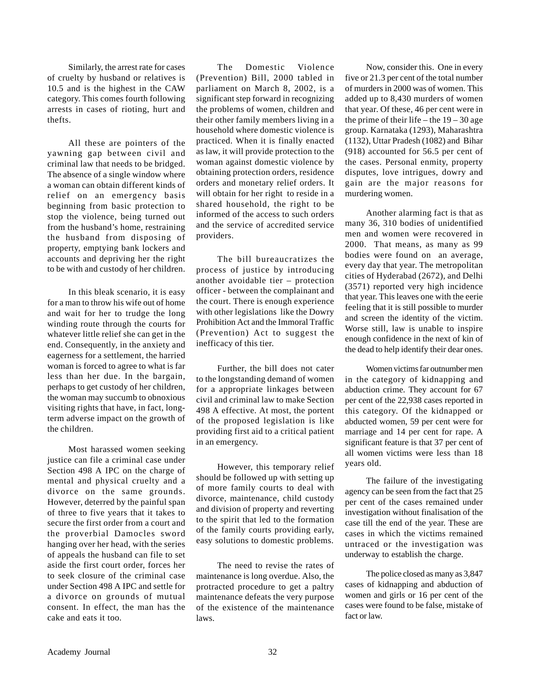Similarly, the arrest rate for cases of cruelty by husband or relatives is 10.5 and is the highest in the CAW category. This comes fourth following arrests in cases of rioting, hurt and thefts.

All these are pointers of the yawning gap between civil and criminal law that needs to be bridged. The absence of a single window where a woman can obtain different kinds of relief on an emergency basis beginning from basic protection to stop the violence, being turned out from the husband's home, restraining the husband from disposing of property, emptying bank lockers and accounts and depriving her the right to be with and custody of her children.

In this bleak scenario, it is easy for a man to throw his wife out of home and wait for her to trudge the long winding route through the courts for whatever little relief she can get in the end. Consequently, in the anxiety and eagerness for a settlement, the harried woman is forced to agree to what is far less than her due. In the bargain, perhaps to get custody of her children, the woman may succumb to obnoxious visiting rights that have, in fact, longterm adverse impact on the growth of the children.

Most harassed women seeking justice can file a criminal case under Section 498 A IPC on the charge of mental and physical cruelty and a divorce on the same grounds. However, deterred by the painful span of three to five years that it takes to secure the first order from a court and the proverbial Damocles sword hanging over her head, with the series of appeals the husband can file to set aside the first court order, forces her to seek closure of the criminal case under Section 498 A IPC and settle for a divorce on grounds of mutual consent. In effect, the man has the cake and eats it too.

The Domestic Violence (Prevention) Bill, 2000 tabled in parliament on March 8, 2002, is a significant step forward in recognizing the problems of women, children and their other family members living in a household where domestic violence is practiced. When it is finally enacted as law, it will provide protection to the woman against domestic violence by obtaining protection orders, residence orders and monetary relief orders. It will obtain for her right to reside in a shared household, the right to be informed of the access to such orders and the service of accredited service providers.

The bill bureaucratizes the process of justice by introducing another avoidable tier – protection officer - between the complainant and the court. There is enough experience with other legislations like the Dowry Prohibition Act and the Immoral Traffic (Prevention) Act to suggest the inefficacy of this tier.

Further, the bill does not cater to the longstanding demand of women for a appropriate linkages between civil and criminal law to make Section 498 A effective. At most, the portent of the proposed legislation is like providing first aid to a critical patient in an emergency.

However, this temporary relief should be followed up with setting up of more family courts to deal with divorce, maintenance, child custody and division of property and reverting to the spirit that led to the formation of the family courts providing early, easy solutions to domestic problems.

The need to revise the rates of maintenance is long overdue. Also, the protracted procedure to get a paltry maintenance defeats the very purpose of the existence of the maintenance laws.

Now, consider this. One in every five or 21.3 per cent of the total number of murders in 2000 was of women. This added up to 8,430 murders of women that year. Of these, 46 per cent were in the prime of their life – the  $19 - 30$  age group. Karnataka (1293), Maharashtra (1132), Uttar Pradesh (1082) and Bihar (918) accounted for 56.5 per cent of the cases. Personal enmity, property disputes, love intrigues, dowry and gain are the major reasons for murdering women.

Another alarming fact is that as many 36, 310 bodies of unidentified men and women were recovered in 2000. That means, as many as 99 bodies were found on an average, every day that year. The metropolitan cities of Hyderabad (2672), and Delhi (3571) reported very high incidence that year. This leaves one with the eerie feeling that it is still possible to murder and screen the identity of the victim. Worse still, law is unable to inspire enough confidence in the next of kin of the dead to help identify their dear ones.

Women victims far outnumber men in the category of kidnapping and abduction crime. They account for 67 per cent of the 22,938 cases reported in this category. Of the kidnapped or abducted women, 59 per cent were for marriage and 14 per cent for rape. A significant feature is that 37 per cent of all women victims were less than 18 years old.

The failure of the investigating agency can be seen from the fact that 25 per cent of the cases remained under investigation without finalisation of the case till the end of the year. These are cases in which the victims remained untraced or the investigation was underway to establish the charge.

The police closed as many as 3,847 cases of kidnapping and abduction of women and girls or 16 per cent of the cases were found to be false, mistake of fact or law.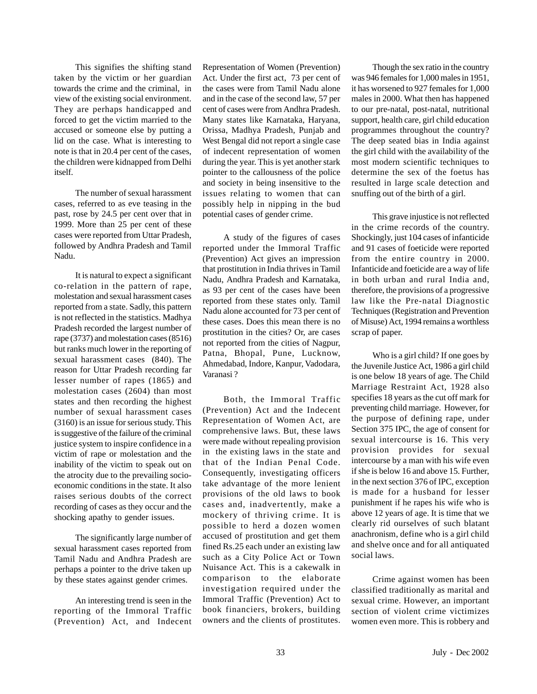This signifies the shifting stand taken by the victim or her guardian towards the crime and the criminal, in view of the existing social environment. They are perhaps handicapped and forced to get the victim married to the accused or someone else by putting a lid on the case. What is interesting to note is that in 20.4 per cent of the cases, the children were kidnapped from Delhi itself.

The number of sexual harassment cases, referred to as eve teasing in the past, rose by 24.5 per cent over that in 1999. More than 25 per cent of these cases were reported from Uttar Pradesh, followed by Andhra Pradesh and Tamil Nadu.

It is natural to expect a significant co-relation in the pattern of rape, molestation and sexual harassment cases reported from a state. Sadly, this pattern is not reflected in the statistics. Madhya Pradesh recorded the largest number of rape (3737) and molestation cases (8516) but ranks much lower in the reporting of sexual harassment cases (840). The reason for Uttar Pradesh recording far lesser number of rapes (1865) and molestation cases (2604) than most states and then recording the highest number of sexual harassment cases (3160) is an issue for serious study. This is suggestive of the failure of the criminal justice system to inspire confidence in a victim of rape or molestation and the inability of the victim to speak out on the atrocity due to the prevailing socioeconomic conditions in the state. It also raises serious doubts of the correct recording of cases as they occur and the shocking apathy to gender issues.

The significantly large number of sexual harassment cases reported from Tamil Nadu and Andhra Pradesh are perhaps a pointer to the drive taken up by these states against gender crimes.

An interesting trend is seen in the reporting of the Immoral Traffic (Prevention) Act, and Indecent Representation of Women (Prevention) Act. Under the first act, 73 per cent of the cases were from Tamil Nadu alone and in the case of the second law, 57 per cent of cases were from Andhra Pradesh. Many states like Karnataka, Haryana, Orissa, Madhya Pradesh, Punjab and West Bengal did not report a single case of indecent representation of women during the year. This is yet another stark pointer to the callousness of the police and society in being insensitive to the issues relating to women that can possibly help in nipping in the bud potential cases of gender crime.

A study of the figures of cases reported under the Immoral Traffic (Prevention) Act gives an impression that prostitution in India thrives in Tamil Nadu, Andhra Pradesh and Karnataka, as 93 per cent of the cases have been reported from these states only. Tamil Nadu alone accounted for 73 per cent of these cases. Does this mean there is no prostitution in the cities? Or, are cases not reported from the cities of Nagpur, Patna, Bhopal, Pune, Lucknow, Ahmedabad, Indore, Kanpur, Vadodara, Varanasi ?

Both, the Immoral Traffic (Prevention) Act and the Indecent Representation of Women Act, are comprehensive laws. But, these laws were made without repealing provision in the existing laws in the state and that of the Indian Penal Code. Consequently, investigating officers take advantage of the more lenient provisions of the old laws to book cases and, inadvertently, make a mockery of thriving crime. It is possible to herd a dozen women accused of prostitution and get them fined Rs.25 each under an existing law such as a City Police Act or Town Nuisance Act. This is a cakewalk in comparison to the elaborate investigation required under the Immoral Traffic (Prevention) Act to book financiers, brokers, building owners and the clients of prostitutes.

Though the sex ratio in the country was 946 females for 1,000 males in 1951, it has worsened to 927 females for 1,000 males in 2000. What then has happened to our pre-natal, post-natal, nutritional support, health care, girl child education programmes throughout the country? The deep seated bias in India against the girl child with the availability of the most modern scientific techniques to determine the sex of the foetus has resulted in large scale detection and snuffing out of the birth of a girl.

This grave injustice is not reflected in the crime records of the country. Shockingly, just 104 cases of infanticide and 91 cases of foeticide were reported from the entire country in 2000. Infanticide and foeticide are a way of life in both urban and rural India and, therefore, the provisions of a progressive law like the Pre-natal Diagnostic Techniques (Registration and Prevention of Misuse) Act, 1994 remains a worthless scrap of paper.

Who is a girl child? If one goes by the Juvenile Justice Act, 1986 a girl child is one below 18 years of age. The Child Marriage Restraint Act, 1928 also specifies 18 years as the cut off mark for preventing child marriage. However, for the purpose of defining rape, under Section 375 IPC, the age of consent for sexual intercourse is 16. This very provision provides for sexual intercourse by a man with his wife even if she is below 16 and above 15. Further, in the next section 376 of IPC, exception is made for a husband for lesser punishment if he rapes his wife who is above 12 years of age. It is time that we clearly rid ourselves of such blatant anachronism, define who is a girl child and shelve once and for all antiquated social laws.

Crime against women has been classified traditionally as marital and sexual crime. However, an important section of violent crime victimizes women even more. This is robbery and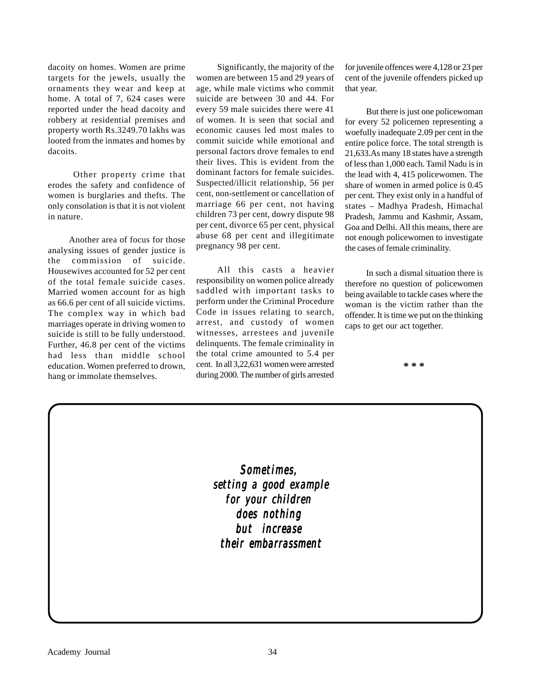dacoity on homes. Women are prime targets for the jewels, usually the ornaments they wear and keep at home. A total of 7, 624 cases were reported under the head dacoity and robbery at residential premises and property worth Rs.3249.70 lakhs was looted from the inmates and homes by dacoits.

 Other property crime that erodes the safety and confidence of women is burglaries and thefts. The only consolation is that it is not violent in nature.

Another area of focus for those analysing issues of gender justice is the commission of suicide. Housewives accounted for 52 per cent of the total female suicide cases. Married women account for as high as 66.6 per cent of all suicide victims. The complex way in which bad marriages operate in driving women to suicide is still to be fully understood. Further, 46.8 per cent of the victims had less than middle school education. Women preferred to drown, hang or immolate themselves.

Significantly, the majority of the women are between 15 and 29 years of age, while male victims who commit suicide are between 30 and 44. For every 59 male suicides there were 41 of women. It is seen that social and economic causes led most males to commit suicide while emotional and personal factors drove females to end their lives. This is evident from the dominant factors for female suicides. Suspected/illicit relationship, 56 per cent, non-settlement or cancellation of marriage 66 per cent, not having children 73 per cent, dowry dispute 98 per cent, divorce 65 per cent, physical abuse 68 per cent and illegitimate pregnancy 98 per cent.

All this casts a heavier responsibility on women police already saddled with important tasks to perform under the Criminal Procedure Code in issues relating to search, arrest, and custody of women witnesses, arrestees and juvenile delinquents. The female criminality in the total crime amounted to 5.4 per cent. In all 3,22,631 women were arrested during 2000. The number of girls arrested

for juvenile offences were 4,128 or 23 per cent of the juvenile offenders picked up that year.

But there is just one policewoman for every 52 policemen representing a woefully inadequate 2.09 per cent in the entire police force. The total strength is 21,633.As many 18 states have a strength of less than 1,000 each. Tamil Nadu is in the lead with 4, 415 policewomen. The share of women in armed police is 0.45 per cent. They exist only in a handful of states – Madhya Pradesh, Himachal Pradesh, Jammu and Kashmir, Assam, Goa and Delhi. All this means, there are not enough policewomen to investigate the cases of female criminality.

In such a dismal situation there is therefore no question of policewomen being available to tackle cases where the woman is the victim rather than the offender. It is time we put on the thinking caps to get our act together.

**\* \* \***

*Sometimes, setting a good example for your children for your children does nothing but increase their embarrassment their embarrassment*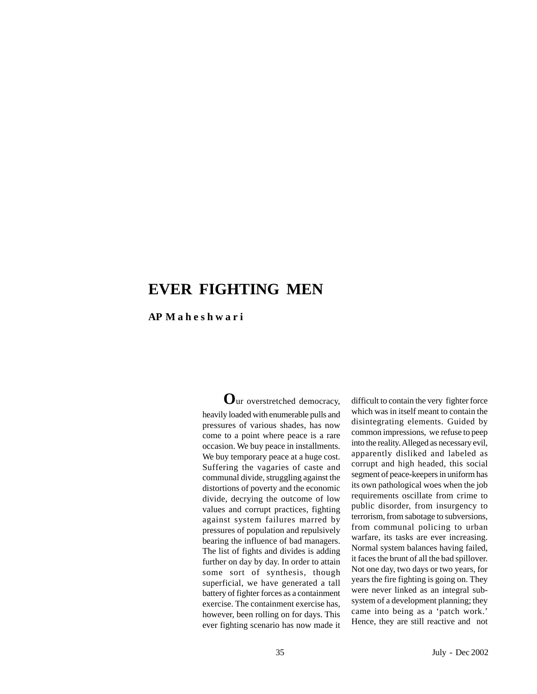### **EVER FIGHTING MEN**

**AP M a h e s h w a r i**

**O**ur overstretched democracy, heavily loaded with enumerable pulls and pressures of various shades, has now come to a point where peace is a rare occasion. We buy peace in installments. We buy temporary peace at a huge cost. Suffering the vagaries of caste and communal divide, struggling against the distortions of poverty and the economic divide, decrying the outcome of low values and corrupt practices, fighting against system failures marred by pressures of population and repulsively bearing the influence of bad managers. The list of fights and divides is adding further on day by day. In order to attain some sort of synthesis, though superficial, we have generated a tall battery of fighter forces as a containment exercise. The containment exercise has, however, been rolling on for days. This ever fighting scenario has now made it

difficult to contain the very fighter force which was in itself meant to contain the disintegrating elements. Guided by common impressions, we refuse to peep into the reality. Alleged as necessary evil, apparently disliked and labeled as corrupt and high headed, this social segment of peace-keepers in uniform has its own pathological woes when the job requirements oscillate from crime to public disorder, from insurgency to terrorism, from sabotage to subversions, from communal policing to urban warfare, its tasks are ever increasing. Normal system balances having failed, it faces the brunt of all the bad spillover. Not one day, two days or two years, for years the fire fighting is going on. They were never linked as an integral subsystem of a development planning; they came into being as a 'patch work.' Hence, they are still reactive and not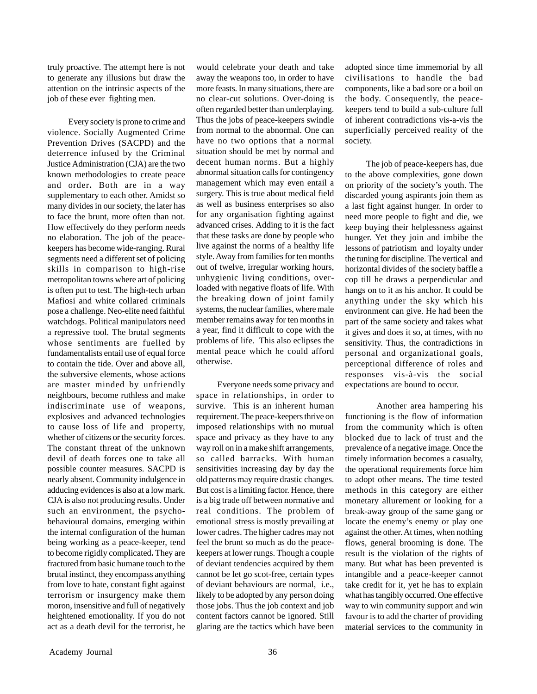truly proactive. The attempt here is not to generate any illusions but draw the attention on the intrinsic aspects of the job of these ever fighting men.

Every society is prone to crime and violence. Socially Augmented Crime Prevention Drives (SACPD) and the deterrence infused by the Criminal Justice Administration (CJA) are the two known methodologies to create peace and order**.** Both are in a way supplementary to each other. Amidst so many divides in our society, the later has to face the brunt, more often than not. How effectively do they perform needs no elaboration. The job of the peacekeepers has become wide-ranging. Rural segments need a different set of policing skills in comparison to high-rise metropolitan towns where art of policing is often put to test. The high-tech urban Mafiosi and white collared criminals pose a challenge. Neo-elite need faithful watchdogs. Political manipulators need a repressive tool. The brutal segments whose sentiments are fuelled by fundamentalists entail use of equal force to contain the tide. Over and above all, the subversive elements, whose actions are master minded by unfriendly neighbours, become ruthless and make indiscriminate use of weapons, explosives and advanced technologies to cause loss of life and property, whether of citizens or the security forces. The constant threat of the unknown devil of death forces one to take all possible counter measures. SACPD is nearly absent. Community indulgence in adducing evidences is also at a low mark. CJA is also not producing results. Under such an environment, the psychobehavioural domains, emerging within the internal configuration of the human being working as a peace-keeper, tend to become rigidly complicated**.** They are fractured from basic humane touch to the brutal instinct, they encompass anything from love to hate, constant fight against terrorism or insurgency make them moron, insensitive and full of negatively heightened emotionality. If you do not act as a death devil for the terrorist, he

would celebrate your death and take away the weapons too, in order to have more feasts. In many situations, there are no clear-cut solutions. Over-doing is often regarded better than underplaying. Thus the jobs of peace-keepers swindle from normal to the abnormal. One can have no two options that a normal situation should be met by normal and decent human norms. But a highly abnormal situation calls for contingency management which may even entail a surgery. This is true about medical field as well as business enterprises so also for any organisation fighting against advanced crises. Adding to it is the fact that these tasks are done by people who live against the norms of a healthy life style. Away from families for ten months out of twelve, irregular working hours, unhygienic living conditions, overloaded with negative floats of life. With the breaking down of joint family systems, the nuclear families, where male member remains away for ten months in a year, find it difficult to cope with the problems of life. This also eclipses the mental peace which he could afford otherwise.

Everyone needs some privacy and space in relationships, in order to survive. This is an inherent human requirement. The peace-keepers thrive on imposed relationships with no mutual space and privacy as they have to any way roll on in a make shift arrangements, so called barracks. With human sensitivities increasing day by day the old patterns may require drastic changes. But cost is a limiting factor. Hence, there is a big trade off between normative and real conditions. The problem of emotional stress is mostly prevailing at lower cadres. The higher cadres may not feel the brunt so much as do the peacekeepers at lower rungs. Though a couple of deviant tendencies acquired by them cannot be let go scot-free, certain types of deviant behaviours are normal, i.e., likely to be adopted by any person doing those jobs. Thus the job context and job content factors cannot be ignored. Still glaring are the tactics which have been adopted since time immemorial by all civilisations to handle the bad components, like a bad sore or a boil on the body. Consequently, the peacekeepers tend to build a sub-culture full of inherent contradictions vis-a-vis the superficially perceived reality of the society.

The job of peace-keepers has, due to the above complexities, gone down on priority of the society's youth. The discarded young aspirants join them as a last fight against hunger. In order to need more people to fight and die, we keep buying their helplessness against hunger. Yet they join and imbibe the lessons of patriotism and loyalty under the tuning for discipline. The vertical and horizontal divides of the society baffle a cop till he draws a perpendicular and hangs on to it as his anchor. It could be anything under the sky which his environment can give. He had been the part of the same society and takes what it gives and does it so, at times, with no sensitivity. Thus, the contradictions in personal and organizational goals, perceptional difference of roles and responses vis-à-vis the social expectations are bound to occur.

Another area hampering his functioning is the flow of information from the community which is often blocked due to lack of trust and the prevalence of a negative image. Once the timely information becomes a casualty, the operational requirements force him to adopt other means. The time tested methods in this category are either monetary allurement or looking for a break-away group of the same gang or locate the enemy's enemy or play one against the other. At times, when nothing flows, general brooming is done. The result is the violation of the rights of many. But what has been prevented is intangible and a peace-keeper cannot take credit for it, yet he has to explain what has tangibly occurred. One effective way to win community support and win favour is to add the charter of providing material services to the community in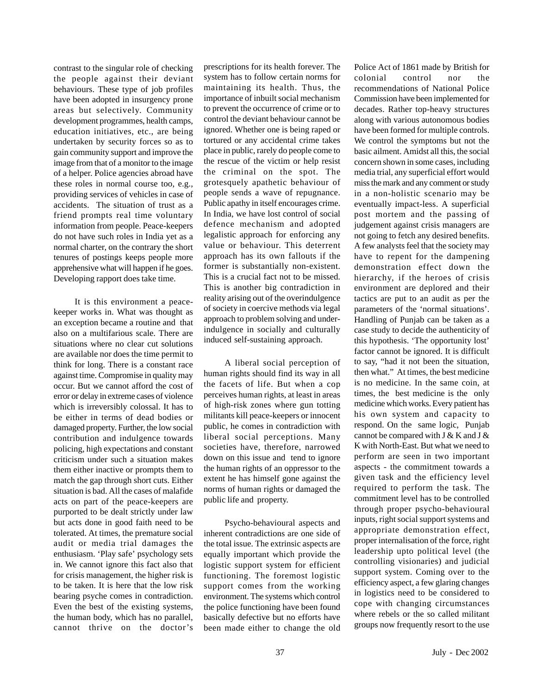contrast to the singular role of checking the people against their deviant behaviours. These type of job profiles have been adopted in insurgency prone areas but selectively. Community development programmes, health camps, education initiatives, etc., are being undertaken by security forces so as to gain community support and improve the image from that of a monitor to the image of a helper. Police agencies abroad have these roles in normal course too, e.g., providing services of vehicles in case of accidents. The situation of trust as a friend prompts real time voluntary information from people. Peace-keepers do not have such roles in India yet as a normal charter, on the contrary the short tenures of postings keeps people more apprehensive what will happen if he goes. Developing rapport does take time.

It is this environment a peacekeeper works in. What was thought as an exception became a routine and that also on a multifarious scale. There are situations where no clear cut solutions are available nor does the time permit to think for long. There is a constant race against time. Compromise in quality may occur. But we cannot afford the cost of error or delay in extreme cases of violence which is irreversibly colossal. It has to be either in terms of dead bodies or damaged property. Further, the low social contribution and indulgence towards policing, high expectations and constant criticism under such a situation makes them either inactive or prompts them to match the gap through short cuts. Either situation is bad. All the cases of malafide acts on part of the peace-keepers are purported to be dealt strictly under law but acts done in good faith need to be tolerated. At times, the premature social audit or media trial damages the enthusiasm. 'Play safe' psychology sets in. We cannot ignore this fact also that for crisis management, the higher risk is to be taken. It is here that the low risk bearing psyche comes in contradiction. Even the best of the existing systems, the human body, which has no parallel, cannot thrive on the doctor's

prescriptions for its health forever. The system has to follow certain norms for maintaining its health. Thus, the importance of inbuilt social mechanism to prevent the occurrence of crime or to control the deviant behaviour cannot be ignored. Whether one is being raped or tortured or any accidental crime takes place in public, rarely do people come to the rescue of the victim or help resist the criminal on the spot. The grotesquely apathetic behaviour of people sends a wave of repugnance. Public apathy in itself encourages crime. In India, we have lost control of social defence mechanism and adopted legalistic approach for enforcing any value or behaviour. This deterrent approach has its own fallouts if the former is substantially non-existent. This is a crucial fact not to be missed. This is another big contradiction in reality arising out of the overindulgence of society in coercive methods via legal approach to problem solving and underindulgence in socially and culturally induced self-sustaining approach.

A liberal social perception of human rights should find its way in all the facets of life. But when a cop perceives human rights, at least in areas of high-risk zones where gun totting militants kill peace-keepers or innocent public, he comes in contradiction with liberal social perceptions. Many societies have, therefore, narrowed down on this issue and tend to ignore the human rights of an oppressor to the extent he has himself gone against the norms of human rights or damaged the public life and property.

Psycho-behavioural aspects and inherent contradictions are one side of the total issue. The extrinsic aspects are equally important which provide the logistic support system for efficient functioning. The foremost logistic support comes from the working environment. The systems which control the police functioning have been found basically defective but no efforts have been made either to change the old

Police Act of 1861 made by British for colonial control nor the recommendations of National Police Commission have been implemented for decades. Rather top-heavy structures along with various autonomous bodies have been formed for multiple controls. We control the symptoms but not the basic ailment. Amidst all this, the social concern shown in some cases, including media trial, any superficial effort would miss the mark and any comment or study in a non-holistic scenario may be eventually impact-less. A superficial post mortem and the passing of judgement against crisis managers are not going to fetch any desired benefits. A few analysts feel that the society may have to repent for the dampening demonstration effect down the hierarchy, if the heroes of crisis environment are deplored and their tactics are put to an audit as per the parameters of the 'normal situations'. Handling of Punjab can be taken as a case study to decide the authenticity of this hypothesis. 'The opportunity lost' factor cannot be ignored. It is difficult to say, "had it not been the situation, then what." At times, the best medicine is no medicine. In the same coin, at times, the best medicine is the only medicine which works. Every patient has his own system and capacity to respond. On the same logic, Punjab cannot be compared with  $J & K$  and  $J & K$ K with North-East. But what we need to perform are seen in two important aspects - the commitment towards a given task and the efficiency level required to perform the task. The commitment level has to be controlled through proper psycho-behavioural inputs, right social support systems and appropriate demonstration effect, proper internalisation of the force, right leadership upto political level (the controlling visionaries) and judicial support system. Coming over to the efficiency aspect, a few glaring changes in logistics need to be considered to cope with changing circumstances where rebels or the so called militant groups now frequently resort to the use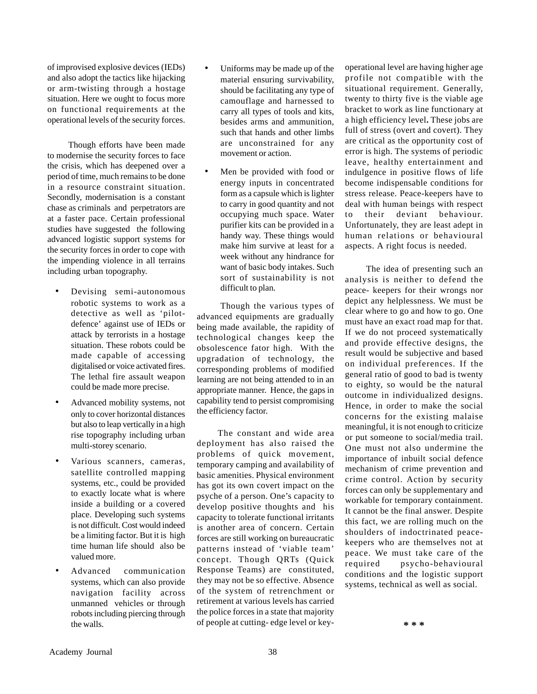of improvised explosive devices (IEDs) and also adopt the tactics like hijacking or arm-twisting through a hostage situation. Here we ought to focus more on functional requirements at the operational levels of the security forces.

Though efforts have been made to modernise the security forces to face the crisis, which has deepened over a period of time, much remains to be done in a resource constraint situation. Secondly, modernisation is a constant chase as criminals and perpetrators are at a faster pace. Certain professional studies have suggested the following advanced logistic support systems for the security forces in order to cope with the impending violence in all terrains including urban topography.

- Devising semi-autonomous robotic systems to work as a detective as well as 'pilotdefence' against use of IEDs or attack by terrorists in a hostage situation. These robots could be made capable of accessing digitalised or voice activated fires. The lethal fire assault weapon could be made more precise.
- Advanced mobility systems, not only to cover horizontal distances but also to leap vertically in a high rise topography including urban multi-storey scenario.
- *•* Various scanners, cameras, satellite controlled mapping systems, etc., could be provided to exactly locate what is where inside a building or a covered place. Developing such systems is not difficult. Cost would indeed be a limiting factor. But it is high time human life should also be valued more.
- *•* Advanced communication systems, which can also provide navigation facility across unmanned vehicles or through robots including piercing through the walls.
- Uniforms may be made up of the material ensuring survivability, should be facilitating any type of camouflage and harnessed to carry all types of tools and kits, besides arms and ammunition, such that hands and other limbs are unconstrained for any movement or action.
- Men be provided with food or energy inputs in concentrated form as a capsule which is lighter to carry in good quantity and not occupying much space. Water purifier kits can be provided in a handy way. These things would make him survive at least for a week without any hindrance for want of basic body intakes. Such sort of sustainability is not difficult to plan.

Though the various types of advanced equipments are gradually being made available, the rapidity of technological changes keep the obsolescence fator high. With the upgradation of technology, the corresponding problems of modified learning are not being attended to in an appropriate manner. Hence, the gaps in capability tend to persist compromising the efficiency factor.

The constant and wide area deployment has also raised the problems of quick movement, temporary camping and availability of basic amenities. Physical environment has got its own covert impact on the psyche of a person. One's capacity to develop positive thoughts and his capacity to tolerate functional irritants is another area of concern. Certain forces are still working on bureaucratic patterns instead of 'viable team' concept. Though QRTs (Quick Response Teams) are constituted, they may not be so effective. Absence of the system of retrenchment or retirement at various levels has carried the police forces in a state that majority of people at cutting- edge level or keyoperational level are having higher age profile not compatible with the situational requirement. Generally, twenty to thirty five is the viable age bracket to work as line functionary at a high efficiency level**.** These jobs are full of stress (overt and covert). They are critical as the opportunity cost of error is high. The systems of periodic leave, healthy entertainment and indulgence in positive flows of life become indispensable conditions for stress release. Peace-keepers have to deal with human beings with respect to their deviant behaviour. Unfortunately, they are least adept in human relations or behavioural aspects. A right focus is needed.

The idea of presenting such an analysis is neither to defend the peace- keepers for their wrongs nor depict any helplessness. We must be clear where to go and how to go. One must have an exact road map for that. If we do not proceed systematically and provide effective designs, the result would be subjective and based on individual preferences. If the general ratio of good to bad is twenty to eighty, so would be the natural outcome in individualized designs. Hence, in order to make the social concerns for the existing malaise meaningful, it is not enough to criticize or put someone to social/media trail. One must not also undermine the importance of inbuilt social defence mechanism of crime prevention and crime control. Action by security forces can only be supplementary and workable for temporary containment. It cannot be the final answer. Despite this fact, we are rolling much on the shoulders of indoctrinated peacekeepers who are themselves not at peace. We must take care of the required psycho-behavioural conditions and the logistic support systems, technical as well as social.

**\* \* \***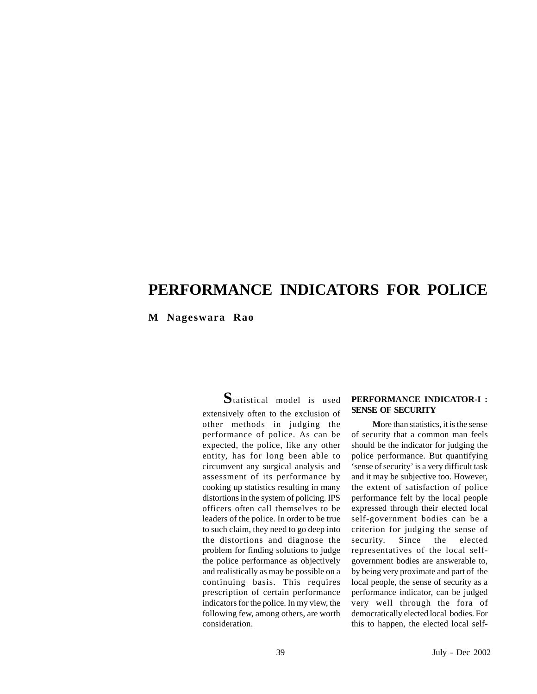### **PERFORMANCE INDICATORS FOR POLICE**

**M Nageswara Rao**

**S**tatistical model is used extensively often to the exclusion of other methods in judging the performance of police. As can be expected, the police, like any other entity, has for long been able to circumvent any surgical analysis and assessment of its performance by cooking up statistics resulting in many distortions in the system of policing. IPS officers often call themselves to be leaders of the police. In order to be true to such claim, they need to go deep into the distortions and diagnose the problem for finding solutions to judge the police performance as objectively and realistically as may be possible on a continuing basis. This requires prescription of certain performance indicators for the police. In my view, the following few, among others, are worth consideration.

#### **PERFORMANCE INDICATOR-I : SENSE OF SECURITY**

**M**ore than statistics, it is the sense of security that a common man feels should be the indicator for judging the police performance. But quantifying 'sense of security' is a very difficult task and it may be subjective too. However, the extent of satisfaction of police performance felt by the local people expressed through their elected local self-government bodies can be a criterion for judging the sense of security. Since the elected representatives of the local selfgovernment bodies are answerable to, by being very proximate and part of the local people, the sense of security as a performance indicator, can be judged very well through the fora of democratically elected local bodies. For this to happen, the elected local self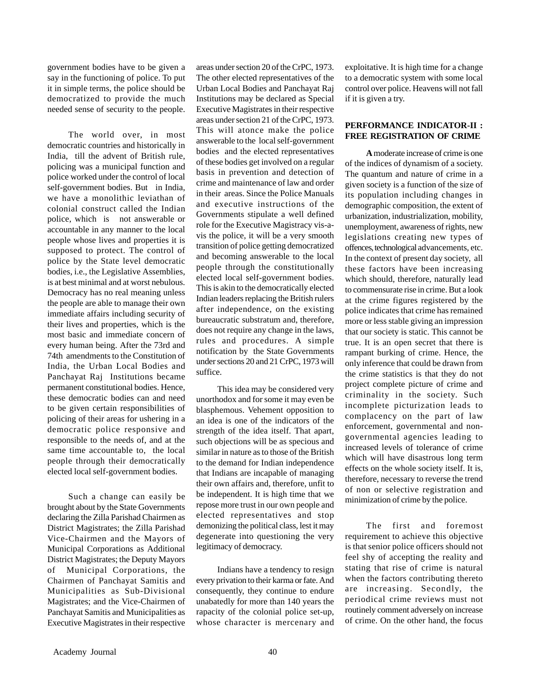government bodies have to be given a say in the functioning of police. To put it in simple terms, the police should be democratized to provide the much needed sense of security to the people.

The world over, in most democratic countries and historically in India, till the advent of British rule, policing was a municipal function and police worked under the control of local self-government bodies. But in India, we have a monolithic leviathan of colonial construct called the Indian police, which is not answerable or accountable in any manner to the local people whose lives and properties it is supposed to protect. The control of police by the State level democratic bodies, i.e., the Legislative Assemblies, is at best minimal and at worst nebulous. Democracy has no real meaning unless the people are able to manage their own immediate affairs including security of their lives and properties, which is the most basic and immediate concern of every human being. After the 73rd and 74th amendments to the Constitution of India, the Urban Local Bodies and Panchayat Raj Institutions became permanent constitutional bodies. Hence, these democratic bodies can and need to be given certain responsibilities of policing of their areas for ushering in a democratic police responsive and responsible to the needs of, and at the same time accountable to, the local people through their democratically elected local self-government bodies.

Such a change can easily be brought about by the State Governments declaring the Zilla Parishad Chairmen as District Magistrates; the Zilla Parishad Vice-Chairmen and the Mayors of Municipal Corporations as Additional District Magistrates; the Deputy Mayors of Municipal Corporations, the Chairmen of Panchayat Samitis and Municipalities as Sub-Divisional Magistrates; and the Vice-Chairmen of Panchayat Samitis and Municipalities as Executive Magistrates in their respective

areas under section 20 of the CrPC, 1973. The other elected representatives of the Urban Local Bodies and Panchayat Raj Institutions may be declared as Special Executive Magistrates in their respective areas under section 21 of the CrPC, 1973. This will atonce make the police answerable to the local self-government bodies and the elected representatives of these bodies get involved on a regular basis in prevention and detection of crime and maintenance of law and order in their areas. Since the Police Manuals and executive instructions of the Governments stipulate a well defined role for the Executive Magistracy vis-avis the police, it will be a very smooth transition of police getting democratized and becoming answerable to the local people through the constitutionally elected local self-government bodies. This is akin to the democratically elected Indian leaders replacing the British rulers after independence, on the existing bureaucratic substratum and, therefore, does not require any change in the laws, rules and procedures. A simple notification by the State Governments under sections 20 and 21 CrPC, 1973 will suffice.

This idea may be considered very unorthodox and for some it may even be blasphemous. Vehement opposition to an idea is one of the indicators of the strength of the idea itself. That apart, such objections will be as specious and similar in nature as to those of the British to the demand for Indian independence that Indians are incapable of managing their own affairs and, therefore, unfit to be independent. It is high time that we repose more trust in our own people and elected representatives and stop demonizing the political class, lest it may degenerate into questioning the very legitimacy of democracy.

Indians have a tendency to resign every privation to their karma or fate. And consequently, they continue to endure unabatedly for more than 140 years the rapacity of the colonial police set-up, whose character is mercenary and exploitative. It is high time for a change to a democratic system with some local control over police. Heavens will not fall if it is given a try.

#### **PERFORMANCE INDICATOR-II : FREE REGISTRATION OF CRIME**

**A** moderate increase of crime is one of the indices of dynamism of a society. The quantum and nature of crime in a given society is a function of the size of its population including changes in demographic composition, the extent of urbanization, industrialization, mobility, unemployment, awareness of rights, new legislations creating new types of offences, technological advancements, etc. In the context of present day society, all these factors have been increasing which should, therefore, naturally lead to commensurate rise in crime. But a look at the crime figures registered by the police indicates that crime has remained more or less stable giving an impression that our society is static. This cannot be true. It is an open secret that there is rampant burking of crime. Hence, the only inference that could be drawn from the crime statistics is that they do not project complete picture of crime and criminality in the society. Such incomplete picturization leads to complacency on the part of law enforcement, governmental and nongovernmental agencies leading to increased levels of tolerance of crime which will have disastrous long term effects on the whole society itself. It is, therefore, necessary to reverse the trend of non or selective registration and minimization of crime by the police.

The first and foremost requirement to achieve this objective is that senior police officers should not feel shy of accepting the reality and stating that rise of crime is natural when the factors contributing thereto are increasing. Secondly, the periodical crime reviews must not routinely comment adversely on increase of crime. On the other hand, the focus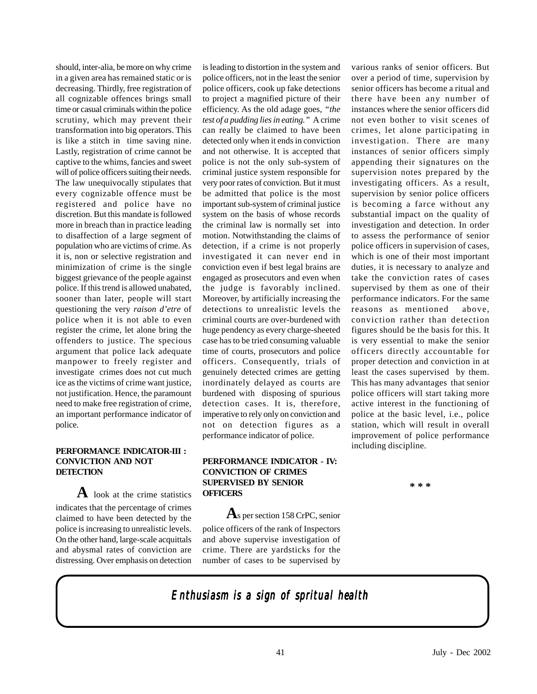should, inter-alia, be more on why crime in a given area has remained static or is decreasing. Thirdly, free registration of all cognizable offences brings small time or casual criminals within the police scrutiny, which may prevent their transformation into big operators. This is like a stitch in time saving nine. Lastly, registration of crime cannot be captive to the whims, fancies and sweet will of police officers suiting their needs. The law unequivocally stipulates that every cognizable offence must be registered and police have no discretion. But this mandate is followed more in breach than in practice leading to disaffection of a large segment of population who are victims of crime. As it is, non or selective registration and minimization of crime is the single biggest grievance of the people against police. If this trend is allowed unabated, sooner than later, people will start questioning the very *raison d'etre* of police when it is not able to even register the crime, let alone bring the offenders to justice. The specious argument that police lack adequate manpower to freely register and investigate crimes does not cut much ice as the victims of crime want justice, not justification. Hence, the paramount need to make free registration of crime, an important performance indicator of police.

#### **PERFORMANCE INDICATOR-III : CONVICTION AND NOT DETECTION**

**A** look at the crime statistics indicates that the percentage of crimes claimed to have been detected by the police is increasing to unrealistic levels. On the other hand, large-scale acquittals and abysmal rates of conviction are distressing. Over emphasis on detection is leading to distortion in the system and police officers, not in the least the senior police officers, cook up fake detections to project a magnified picture of their efficiency. As the old adage goes, *"the test of a pudding lies in eating."* A crime can really be claimed to have been detected only when it ends in conviction and not otherwise. It is accepted that police is not the only sub-system of criminal justice system responsible for very poor rates of conviction. But it must be admitted that police is the most important sub-system of criminal justice system on the basis of whose records the criminal law is normally set into motion. Notwithstanding the claims of detection, if a crime is not properly investigated it can never end in conviction even if best legal brains are engaged as prosecutors and even when the judge is favorably inclined. Moreover, by artificially increasing the detections to unrealistic levels the criminal courts are over-burdened with huge pendency as every charge-sheeted case has to be tried consuming valuable time of courts, prosecutors and police officers. Consequently, trials of genuinely detected crimes are getting inordinately delayed as courts are burdened with disposing of spurious detection cases. It is, therefore, imperative to rely only on conviction and not on detection figures as a performance indicator of police.

#### **PERFORMANCE INDICATOR - IV: CONVICTION OF CRIMES SUPERVISED BY SENIOR OFFICERS**

 **A**s per section 158 CrPC, senior police officers of the rank of Inspectors and above supervise investigation of crime. There are yardsticks for the number of cases to be supervised by

various ranks of senior officers. But over a period of time, supervision by senior officers has become a ritual and there have been any number of instances where the senior officers did not even bother to visit scenes of crimes, let alone participating in investigation. There are many instances of senior officers simply appending their signatures on the supervision notes prepared by the investigating officers. As a result, supervision by senior police officers is becoming a farce without any substantial impact on the quality of investigation and detection. In order to assess the performance of senior police officers in supervision of cases, which is one of their most important duties, it is necessary to analyze and take the conviction rates of cases supervised by them as one of their performance indicators. For the same reasons as mentioned above, conviction rather than detection figures should be the basis for this. It is very essential to make the senior officers directly accountable for proper detection and conviction in at least the cases supervised by them. This has many advantages that senior police officers will start taking more active interest in the functioning of police at the basic level, i.e., police station, which will result in overall improvement of police performance including discipline.

**\* \* \***

### *Enthusiasm is a sign of spritual health Enthusiasm is sign of*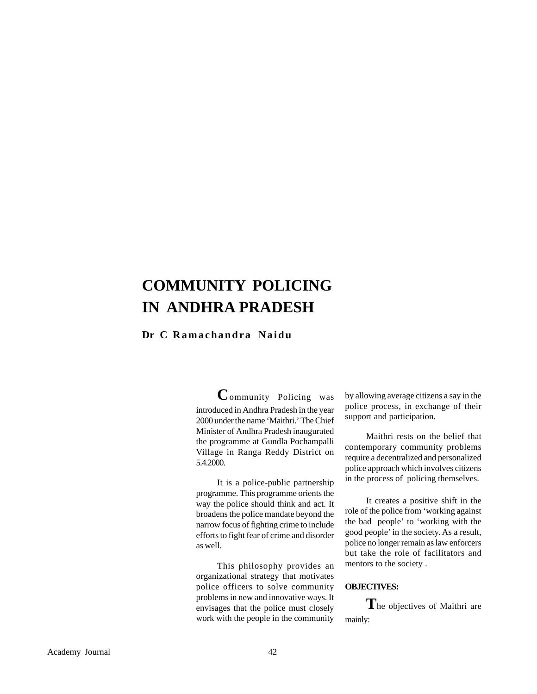## **COMMUNITY POLICING IN ANDHRA PRADESH**

#### **Dr C Ramachandra Naidu**

**C**ommunity Policing was introduced in Andhra Pradesh in the year 2000 under the name 'Maithri.' The Chief Minister of Andhra Pradesh inaugurated the programme at Gundla Pochampalli Village in Ranga Reddy District on 5.4.2000.

It is a police-public partnership programme. This programme orients the way the police should think and act. It broadens the police mandate beyond the narrow focus of fighting crime to include efforts to fight fear of crime and disorder as well.

This philosophy provides an organizational strategy that motivates police officers to solve community problems in new and innovative ways. It envisages that the police must closely work with the people in the community by allowing average citizens a say in the police process, in exchange of their support and participation.

Maithri rests on the belief that contemporary community problems require a decentralized and personalized police approach which involves citizens in the process of policing themselves.

It creates a positive shift in the role of the police from 'working against the bad people' to 'working with the good people' in the society. As a result, police no longer remain as law enforcers but take the role of facilitators and mentors to the society .

#### **OBJECTIVES:**

**T**he objectives of Maithri are mainly: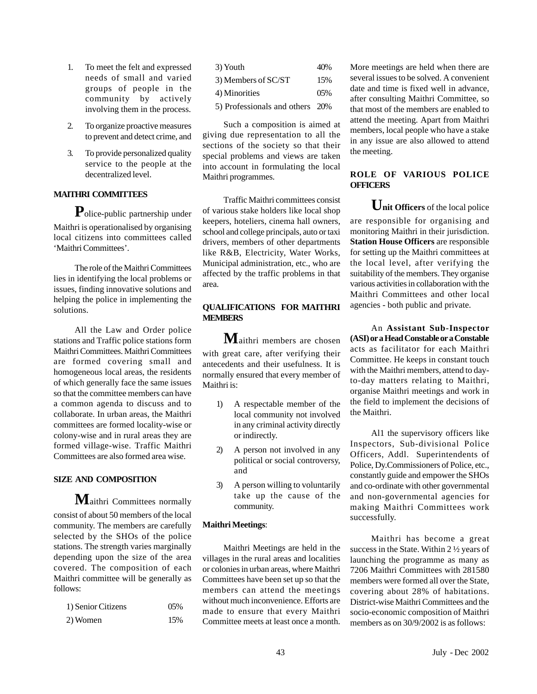- 1. To meet the felt and expressed needs of small and varied groups of people in the community by actively involving them in the process.
- 2. To organize proactive measures to prevent and detect crime, and
- 3. To provide personalized quality service to the people at the decentralized level.

#### **MAITHRI COMMITTEES**

**P**olice-public partnership under Maithri is operationalised by organising local citizens into committees called 'Maithri Committees'.

The role of the Maithri Committees lies in identifying the local problems or issues, finding innovative solutions and helping the police in implementing the solutions.

All the Law and Order police stations and Traffic police stations form Maithri Committees. Maithri Committees are formed covering small and homogeneous local areas, the residents of which generally face the same issues so that the committee members can have a common agenda to discuss and to collaborate. In urban areas, the Maithri committees are formed locality-wise or colony-wise and in rural areas they are formed village-wise. Traffic Maithri Committees are also formed area wise.

#### **SIZE AND COMPOSITION**

**M**aithri Committees normally consist of about 50 members of the local community. The members are carefully selected by the SHOs of the police stations. The strength varies marginally depending upon the size of the area covered. The composition of each Maithri committee will be generally as follows:

| 1) Senior Citizens | $0.5\%$ |
|--------------------|---------|
| 2) Women           | 15%     |

| 3) Youth                            | 40\% |
|-------------------------------------|------|
| 3) Members of SC/ST                 | 15%  |
| 4) Minorities                       | 05%  |
| $\sqrt{2}$ Drafoccionals and others | റ∩ല  |

5) Professionals and others 20%

Such a composition is aimed at giving due representation to all the sections of the society so that their special problems and views are taken into account in formulating the local Maithri programmes.

Traffic Maithri committees consist of various stake holders like local shop keepers, hoteliers, cinema hall owners, school and college principals, auto or taxi drivers, members of other departments like R&B, Electricity, Water Works, Municipal administration, etc., who are affected by the traffic problems in that area.

#### **QUALIFICATIONS FOR MAITHRI MEMBERS**

**M**aithri members are chosen with great care, after verifying their antecedents and their usefulness. It is normally ensured that every member of Maithri is:

- 1) A respectable member of the local community not involved in any criminal activity directly or indirectly.
- 2) A person not involved in any political or social controversy, and
- 3) A person willing to voluntarily take up the cause of the community.

#### **Maithri Meetings**:

Maithri Meetings are held in the villages in the rural areas and localities or colonies in urban areas, where Maithri Committees have been set up so that the members can attend the meetings without much inconvenience. Efforts are made to ensure that every Maithri Committee meets at least once a month.

More meetings are held when there are several issues to be solved. A convenient date and time is fixed well in advance, after consulting Maithri Committee, so that most of the members are enabled to attend the meeting. Apart from Maithri members, local people who have a stake in any issue are also allowed to attend the meeting.

#### **ROLE OF VARIOUS POLICE OFFICERS**

Unit Officers of the local police are responsible for organising and monitoring Maithri in their jurisdiction. **Station House Officers** are responsible for setting up the Maithri committees at the local level, after verifying the suitability of the members. They organise various activities in collaboration with the Maithri Committees and other local agencies - both public and private.

An **Assistant Sub-Inspector (ASI) or a Head Constable or a Constable** acts as facilitator for each Maithri Committee. He keeps in constant touch with the Maithri members, attend to dayto-day matters relating to Maithri, organise Maithri meetings and work in the field to implement the decisions of the Maithri.

Al1 the supervisory officers like Inspectors, Sub-divisional Police Officers, Addl. Superintendents of Police, Dy.Commissioners of Police, etc., constantly guide and empower the SHOs and co-ordinate with other governmental and non-governmental agencies for making Maithri Committees work successfully.

Maithri has become a great success in the State. Within 2 ½ years of launching the programme as many as 7206 Maithri Committees with 281580 members were formed all over the State, covering about 28% of habitations. District-wise Maithri Committees and the socio-economic composition of Maithri members as on 30/9/2002 is as follows: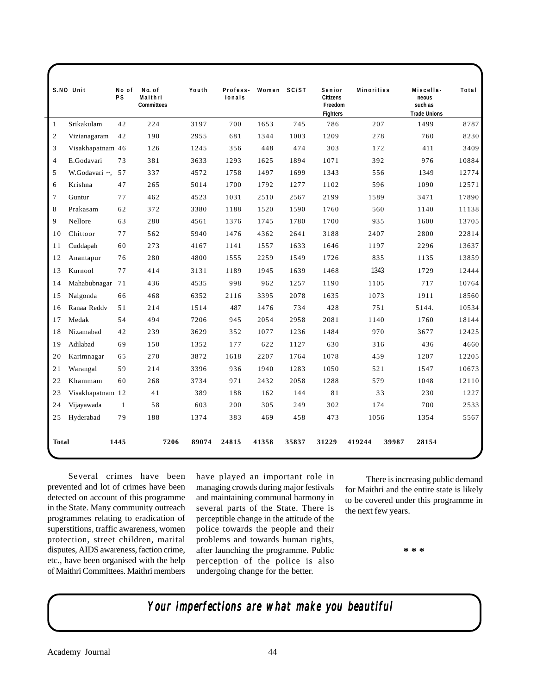|                | S.NO Unit        | No of<br><b>PS</b> | No. of<br>Maithri<br><b>Committees</b> | Youth | Profess-<br>ionals | Women SC/ST |       | Senior<br><b>Citizens</b><br>Freedom<br><b>Fighters</b> | <b>Minorities</b> |       | Miscella-<br>neous<br>such as<br><b>Trade Unions</b> | Total |
|----------------|------------------|--------------------|----------------------------------------|-------|--------------------|-------------|-------|---------------------------------------------------------|-------------------|-------|------------------------------------------------------|-------|
| $\mathbf{1}$   | Srikakulam       | 42                 | 224                                    | 3197  | 700                | 1653        | 745   | 786                                                     | 207               |       | 1499                                                 | 8787  |
| $\mathfrak{2}$ | Vizianagaram     | 42                 | 190                                    | 2955  | 681                | 1344        | 1003  | 1209                                                    | 278               |       | 760                                                  | 8230  |
| 3              | Visakhapatnam 46 |                    | 126                                    | 1245  | 356                | 448         | 474   | 303                                                     | 172               |       | 411                                                  | 3409  |
| $\overline{4}$ | E.Godavari       | 73                 | 381                                    | 3633  | 1293               | 1625        | 1894  | 1071                                                    | 392               |       | 976                                                  | 10884 |
| 5              | W.Godavari ~, 57 |                    | 337                                    | 4572  | 1758               | 1497        | 1699  | 1343                                                    | 556               |       | 1349                                                 | 12774 |
| 6              | Krishna          | 47                 | 265                                    | 5014  | 1700               | 1792        | 1277  | 1102                                                    | 596               |       | 1090                                                 | 12571 |
| $\overline{7}$ | Guntur           | 77                 | 462                                    | 4523  | 1031               | 2510        | 2567  | 2199                                                    | 1589              |       | 3471                                                 | 17890 |
| 8              | Prakasam         | 62                 | 372                                    | 3380  | 1188               | 1520        | 1590  | 1760                                                    | 560               |       | 1140                                                 | 11138 |
| 9              | Nellore          | 63                 | 280                                    | 4561  | 1376               | 1745        | 1780  | 1700                                                    | 935               |       | 1600                                                 | 13705 |
| 10             | Chittoor         | 77                 | 562                                    | 5940  | 1476               | 4362        | 2641  | 3188                                                    | 2407              |       | 2800                                                 | 22814 |
| 11             | Cuddapah         | 60                 | 273                                    | 4167  | 1141               | 1557        | 1633  | 1646                                                    | 1197              |       | 2296                                                 | 13637 |
| 12             | Anantapur        | 76                 | 280                                    | 4800  | 1555               | 2259        | 1549  | 1726                                                    | 835               |       | 1135                                                 | 13859 |
| 13             | Kurnool          | 77                 | 414                                    | 3131  | 1189               | 1945        | 1639  | 1468                                                    | 1343              |       | 1729                                                 | 12444 |
| 14             | Mahabubnagar 71  |                    | 436                                    | 4535  | 998                | 962         | 1257  | 1190                                                    | 1105              |       | 717                                                  | 10764 |
| 15             | Nalgonda         | 66                 | 468                                    | 6352  | 2116               | 3395        | 2078  | 1635                                                    | 1073              |       | 1911                                                 | 18560 |
| 16             | Ranaa Reddy      | 51                 | 214                                    | 1514  | 487                | 1476        | 734   | 428                                                     | 751               |       | 5144.                                                | 10534 |
| 17             | Medak            | 54                 | 494                                    | 7206  | 945                | 2054        | 2958  | 2081                                                    | 1140              |       | 1760                                                 | 18144 |
| 18             | Nizamabad        | 42                 | 239                                    | 3629  | 352                | 1077        | 1236  | 1484                                                    | 970               |       | 3677                                                 | 12425 |
| 19             | Adilabad         | 69                 | 150                                    | 1352  | 177                | 622         | 1127  | 630                                                     | 316               |       | 436                                                  | 4660  |
| 20             | Karimnagar       | 65                 | 270                                    | 3872  | 1618               | 2207        | 1764  | 1078                                                    | 459               |       | 1207                                                 | 12205 |
| 21             | Warangal         | 59                 | 214                                    | 3396  | 936                | 1940        | 1283  | 1050                                                    | 521               |       | 1547                                                 | 10673 |
| 22             | Khammam          | 60                 | 268                                    | 3734  | 971                | 2432        | 2058  | 1288                                                    | 579               |       | 1048                                                 | 12110 |
| 23             | Visakhapatnam 12 |                    | 41                                     | 389   | 188                | 162         | 144   | 81                                                      |                   | 33    | 230                                                  | 1227  |
| 24             | Vijayawada       | $\mathbf{1}$       | 58                                     | 603   | 200                | 305         | 249   | 302                                                     | 174               |       | 700                                                  | 2533  |
| 25             | Hyderabad        | 79                 | 188                                    | 1374  | 383                | 469         | 458   | 473                                                     | 1056              |       | 1354                                                 | 5567  |
| <b>Total</b>   |                  | 1445               | 7206                                   | 89074 | 24815              | 41358       | 35837 | 31229                                                   | 419244            | 39987 | 28154                                                |       |

Several crimes have been prevented and lot of crimes have been detected on account of this programme in the State. Many community outreach programmes relating to eradication of superstitions, traffic awareness, women protection, street children, marital disputes, AIDS awareness, faction crime, etc., have been organised with the help of Maithri Committees. Maithri members

have played an important role in managing crowds during major festivals and maintaining communal harmony in several parts of the State. There is perceptible change in the attitude of the police towards the people and their problems and towards human rights, after launching the programme. Public perception of the police is also undergoing change for the better.

There is increasing public demand for Maithri and the entire state is likely to be covered under this programme in the next few years.

**\* \* \***

*Your imperfections are what make you beautiful imperfections what you*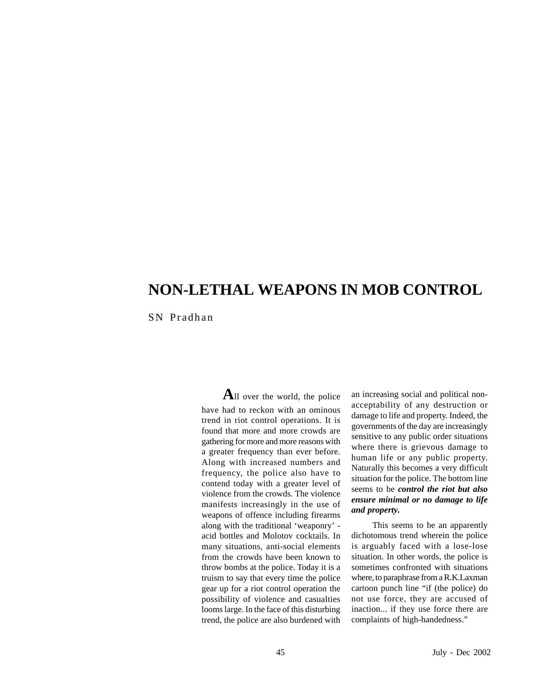## **NON-LETHAL WEAPONS IN MOB CONTROL**

SN Pradhan

**A**ll over the world, the police have had to reckon with an ominous trend in riot control operations. It is found that more and more crowds are gathering for more and more reasons with a greater frequency than ever before. Along with increased numbers and frequency, the police also have to contend today with a greater level of violence from the crowds. The violence manifests increasingly in the use of weapons of offence including firearms along with the traditional 'weaponry' acid bottles and Molotov cocktails. In many situations, anti-social elements from the crowds have been known to throw bombs at the police. Today it is a truism to say that every time the police gear up for a riot control operation the possibility of violence and casualties looms large. In the face of this disturbing trend, the police are also burdened with

an increasing social and political nonacceptability of any destruction or damage to life and property. Indeed, the governments of the day are increasingly sensitive to any public order situations where there is grievous damage to human life or any public property. Naturally this becomes a very difficult situation for the police. The bottom line seems to be *control the riot but also ensure minimal or no damage to life and property.*

This seems to be an apparently dichotomous trend wherein the police is arguably faced with a lose-lose situation. In other words, the police is sometimes confronted with situations where, to paraphrase from a R.K.Laxman cartoon punch line "if (the police) do not use force, they are accused of inaction... if they use force there are complaints of high-handedness."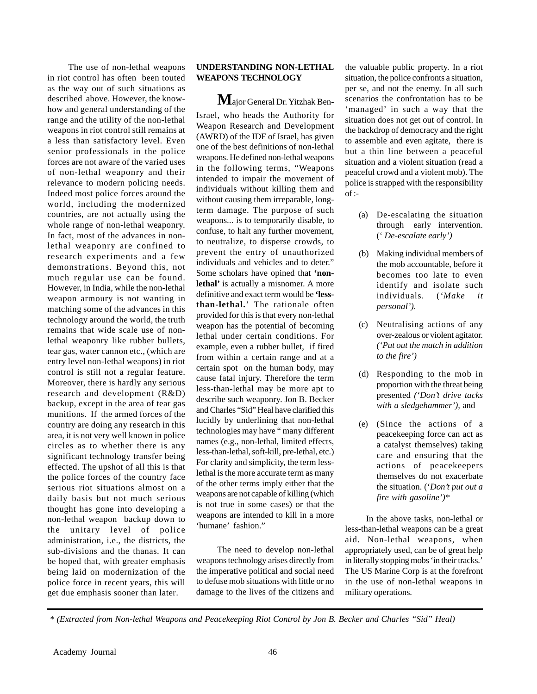The use of non-lethal weapons in riot control has often been touted as the way out of such situations as described above. However, the knowhow and general understanding of the range and the utility of the non-lethal weapons in riot control still remains at a less than satisfactory level. Even senior professionals in the police forces are not aware of the varied uses of non-lethal weaponry and their relevance to modern policing needs. Indeed most police forces around the world, including the modernized countries, are not actually using the whole range of non-lethal weaponry. In fact, most of the advances in nonlethal weaponry are confined to research experiments and a few demonstrations. Beyond this, not much regular use can be found. However, in India, while the non-lethal weapon armoury is not wanting in matching some of the advances in this technology around the world, the truth remains that wide scale use of nonlethal weaponry like rubber bullets, tear gas, water cannon etc., (which are entry level non-lethal weapons) in riot control is still not a regular feature. Moreover, there is hardly any serious research and development (R&D) backup, except in the area of tear gas munitions. If the armed forces of the country are doing any research in this area, it is not very well known in police circles as to whether there is any significant technology transfer being effected. The upshot of all this is that the police forces of the country face serious riot situations almost on a daily basis but not much serious thought has gone into developing a non-lethal weapon backup down to the unitary level of police administration, i.e., the districts, the sub-divisions and the thanas. It can be hoped that, with greater emphasis being laid on modernization of the police force in recent years, this will get due emphasis sooner than later.

#### **UNDERSTANDING NON-LETHAL WEAPONS TECHNOLOGY**

**M**ajor General Dr. Yitzhak Ben-Israel, who heads the Authority for Weapon Research and Development (AWRD) of the IDF of Israel, has given one of the best definitions of non-lethal weapons. He defined non-lethal weapons in the following terms, "Weapons intended to impair the movement of individuals without killing them and without causing them irreparable, longterm damage. The purpose of such weapons... is to temporarily disable, to confuse, to halt any further movement, to neutralize, to disperse crowds, to prevent the entry of unauthorized individuals and vehicles and to deter." Some scholars have opined that **'non**lethal' is actually a misnomer. A more definitive and exact term would be **'lessthan-lethal.**' The rationale often provided for this is that every non-lethal weapon has the potential of becoming lethal under certain conditions. For example, even a rubber bullet, if fired from within a certain range and at a certain spot on the human body, may cause fatal injury. Therefore the term less-than-lethal may be more apt to describe such weaponry. Jon B. Becker and Charles "Sid" Heal have clarified this lucidly by underlining that non-lethal technologies may have " many different names (e.g., non-lethal, limited effects, less-than-lethal, soft-kill, pre-lethal, etc.) For clarity and simplicity, the term lesslethal is the more accurate term as many of the other terms imply either that the weapons are not capable of killing (which is not true in some cases) or that the weapons are intended to kill in a more 'humane' fashion."

The need to develop non-lethal weapons technology arises directly from the imperative political and social need to defuse mob situations with little or no damage to the lives of the citizens and the valuable public property. In a riot situation, the police confronts a situation, per se, and not the enemy. In all such scenarios the confrontation has to be 'managed' in such a way that the situation does not get out of control. In the backdrop of democracy and the right to assemble and even agitate, there is but a thin line between a peaceful situation and a violent situation (read a peaceful crowd and a violent mob). The police is strapped with the responsibility  $of$  :-

- (a) De-escalating the situation through early intervention. (' *De-escalate early')*
- (b) Making individual members of the mob accountable, before it becomes too late to even identify and isolate such individuals. (*'Make it personal').*
- (c) Neutralising actions of any over-zealous or violent agitator. *('Put out the match in addition to the fire')*
- (d) Responding to the mob in proportion with the threat being presented *('Don't drive tacks with a sledgehammer'),* and
- (e) (Since the actions of a peacekeeping force can act as a catalyst themselves) taking care and ensuring that the actions of peacekeepers themselves do not exacerbate the situation. ('*Don't put out a fire with gasoline')\**

In the above tasks, non-lethal or less-than-lethal weapons can be a great aid. Non-lethal weapons, when appropriately used, can be of great help in literally stopping mobs 'in their tracks.' The US Marine Corp is at the forefront in the use of non-lethal weapons in military operations.

*<sup>\* (</sup>Extracted from Non-lethal Weapons and Peacekeeping Riot Control by Jon B. Becker and Charles "Sid" Heal)*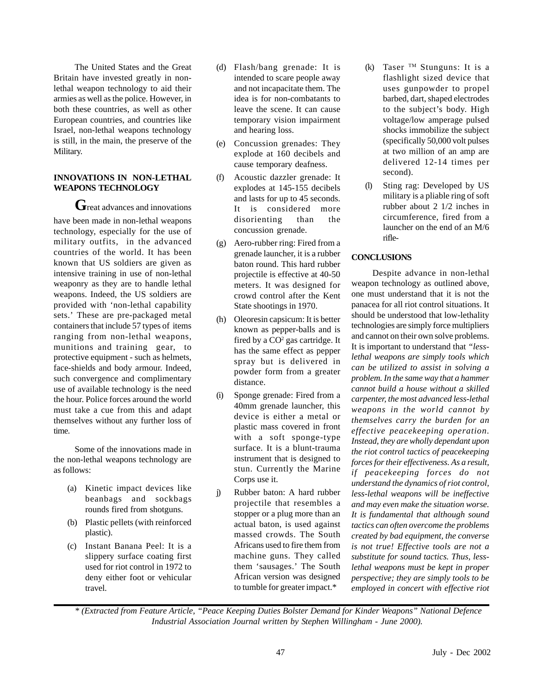The United States and the Great Britain have invested greatly in nonlethal weapon technology to aid their armies as well as the police. However, in both these countries, as well as other European countries, and countries like Israel, non-lethal weapons technology is still, in the main, the preserve of the Military.

#### **INNOVATIONS IN NON-LETHAL WEAPONS TECHNOLOGY**

Great advances and innovations have been made in non-lethal weapons technology, especially for the use of military outfits, in the advanced countries of the world. It has been known that US soldiers are given as intensive training in use of non-lethal weaponry as they are to handle lethal weapons. Indeed, the US soldiers are provided with 'non-lethal capability sets.' These are pre-packaged metal containers that include 57 types of items ranging from non-lethal weapons, munitions and training gear, to protective equipment - such as helmets, face-shields and body armour. Indeed, such convergence and complimentary use of available technology is the need the hour. Police forces around the world must take a cue from this and adapt themselves without any further loss of time.

Some of the innovations made in the non-lethal weapons technology are as follows:

- (a) Kinetic impact devices like beanbags and sockbags rounds fired from shotguns.
- (b) Plastic pellets (with reinforced plastic).
- (c) Instant Banana Peel: It is a slippery surface coating first used for riot control in 1972 to deny either foot or vehicular travel.
- (d) Flash/bang grenade: It is intended to scare people away and not incapacitate them. The idea is for non-combatants to leave the scene. It can cause temporary vision impairment and hearing loss.
- (e) Concussion grenades: They explode at 160 decibels and cause temporary deafness.
- (f) Acoustic dazzler grenade: It explodes at 145-155 decibels and lasts for up to 45 seconds. It is considered more disorienting than the concussion grenade.
- (g) Aero-rubber ring: Fired from a grenade launcher, it is a rubber baton round. This hard rubber projectile is effective at 40-50 meters. It was designed for crowd control after the Kent State shootings in 1970.
- (h) Oleoresin capsicum: It is better known as pepper-balls and is fired by a  $CO<sup>2</sup>$  gas cartridge. It has the same effect as pepper spray but is delivered in powder form from a greater distance.
- (i) Sponge grenade: Fired from a 40mm grenade launcher, this device is either a metal or plastic mass covered in front with a soft sponge-type surface. It is a blunt-trauma instrument that is designed to stun. Currently the Marine Corps use it.
- j) Rubber baton: A hard rubber projectile that resembles a stopper or a plug more than an actual baton, is used against massed crowds. The South Africans used to fire them from machine guns. They called them 'sausages.' The South African version was designed to tumble for greater impact.\*
- (k) Taser TM Stunguns: It is a flashlight sized device that uses gunpowder to propel barbed, dart, shaped electrodes to the subject's body. High voltage/low amperage pulsed shocks immobilize the subject (specifically 50,000 volt pulses at two million of an amp are delivered 12-14 times per second).
- (l) Sting rag: Developed by US military is a pliable ring of soft rubber about 2 1/2 inches in circumference, fired from a launcher on the end of an M/6 rifle-

#### **CONCLUSIONS**

Despite advance in non-lethal weapon technology as outlined above, one must understand that it is not the panacea for all riot control situations. It should be understood that low-lethality technologies are simply force multipliers and cannot on their own solve problems. It is important to understand that *"lesslethal weapons are simply tools which can be utilized to assist in solving a problem. In the same way that a hammer cannot build a house without a skilled carpenter, the most advanced less-lethal weapons in the world cannot by themselves carry the burden for an effective peacekeeping operation. Instead, they are wholly dependant upon the riot control tactics of peacekeeping forces for their effectiveness. As a result, if peacekeeping forces do not understand the dynamics of riot control, less-lethal weapons will be ineffective and may even make the situation worse. It is fundamental that although sound tactics can often overcome the problems created by bad equipment, the converse is not true! Effective tools are not a substitute for sound tactics. Thus, lesslethal weapons must be kept in proper perspective; they are simply tools to be employed in concert with effective riot*

*\* (Extracted from Feature Article, "Peace Keeping Duties Bolster Demand for Kinder Weapons" National Defence Industrial Association Journal written by Stephen Willingham - June 2000).*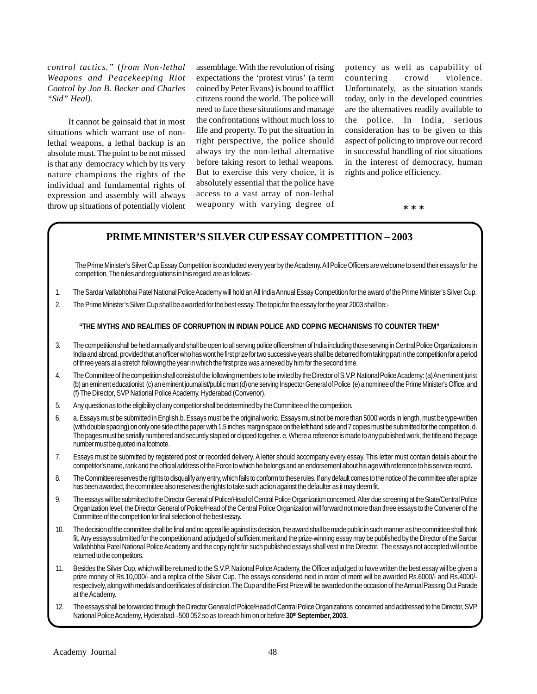*control tactics."* (*from Non-lethal Weapons and Peacekeeping Riot Control by Jon B. Becker and Charles "Sid" Heal).*

It cannot be gainsaid that in most situations which warrant use of nonlethal weapons, a lethal backup is an absolute must. The point to be not missed is that any democracy which by its very nature champions the rights of the individual and fundamental rights of expression and assembly will always throw up situations of potentially violent assemblage. With the revolution of rising expectations the 'protest virus' (a term coined by Peter Evans) is bound to afflict citizens round the world. The police will need to face these situations and manage the confrontations without much loss to life and property. To put the situation in right perspective, the police should always try the non-lethal alternative before taking resort to lethal weapons. But to exercise this very choice, it is absolutely essential that the police have access to a vast array of non-lethal weaponry with varying degree of

potency as well as capability of countering crowd violence. Unfortunately, as the situation stands today, only in the developed countries are the alternatives readily available to the police. In India, serious consideration has to be given to this aspect of policing to improve our record in successful handling of riot situations in the interest of democracy, human rights and police efficiency.

**\* \* \***

#### **PRIME MINISTER'S SILVER CUP ESSAY COMPETITION – 2003**

The Prime Minister's Silver Cup Essay Competition is conducted every year by the Academy. All Police Officers are welcome to send their essays for the competition. The rules and regulations in this regard are as follows:-

- 1. The Sardar Vallabhbhai Patel National Police Academy will hold an All India Annual Essay Competition for the award of the Prime Minister's Silver Cup.
- 2. The Prime Minister's Silver Cup shall be awarded for the best essay. The topic for the essay for the year 2003 shall be:-

#### **"THE MYTHS AND REALITIES OF CORRUPTION IN INDIAN POLICE AND COPING MECHANISMS TO COUNTER THEM"**

- 3. The competition shall be held annually and shall be open to all serving police officers/men of India including those serving in Central Police Organizations in India and abroad, provided that an officer who has wont he first prize for two successive years shall be debarred from taking part in the competition for a period of three years at a stretch following the year in which the first prize was annexed by him for the second time.
- 4. The Committee of the competition shall consist of the following members to be invited by the Director of S.V.P. National Police Academy: (a) An eminent jurist (b) an eminent educationist (c) an eminent journalist/public man (d) one serving Inspector General of Police (e) a nominee of the Prime Minister's Office, and (f) The Director, SVP National Police Academy, Hyderabad (Convenor).
- 5. Any question as to the eligibility of any competitor shall be determined by the Committee of the competition.
- 6. a. Essays must be submitted in English.b. Essays must be the original workc. Essays must not be more than 5000 words in length, must be type-written (with double spacing) on only one side of the paper with 1.5 inches margin space on the left hand side and 7 copies must be submitted for the competition. d. The pages must be serially numbered and securely stapled or clipped together. e. Where a reference is made to any published work, the title and the page number must be quoted in a footnote.
- 7. Essays must be submitted by registered post or recorded delivery. A letter should accompany every essay. This letter must contain details about the competitor's name, rank and the official address of the Force to which he belongs and an endorsement about his age with reference to his service record.
- 8. The Committee reserves the rights to disqualify any entry, which fails to conform to these rules. If any default comes to the notice of the committee after a prize has been awarded, the committee also reserves the rights to take such action against the defaulter as it may deem fit.
- 9. The essays will be submitted to the Director General of Police/Head of Central Police Organization concerned. After due screening at the State/Central Police Organization level, the Director General of Police/Head of the Central Police Organization will forward not more than three essays to the Convener of the Committee of the competition for final selection of the best essay.
- 10. The decision of the committee shall be final and no appeal lie against its decision, the award shall be made public in such manner as the committee shall think fit. Any essays submitted for the competition and adjudged of sufficient merit and the prize-winning essay may be published by the Director of the Sardar Vallabhbhai Patel National Police Academy and the copy right for such published essays shall vest in the Director. The essays not accepted will not be returned to the competitors.
- 11. Besides the Silver Cup, which will be returned to the S.V.P. National Police Academy, the Officer adjudged to have written the best essay will be given a prize money of Rs.10,000/- and a replica of the Silver Cup. The essays considered next in order of merit will be awarded Rs.6000/- and Rs.4000/respectively, along with medals and certificates of distinction. The Cup and the First Prize will be awarded on the occasion of the Annual Passing Out Parade at the Academy.
- 12. The essays shall be forwarded through the Director General of Police/Head of Central Police Organizations concerned and addressed to the Director, SVP National Police Academy, Hyderabad –500 052 so as to reach him on or before 30<sup>th</sup> September, 2003.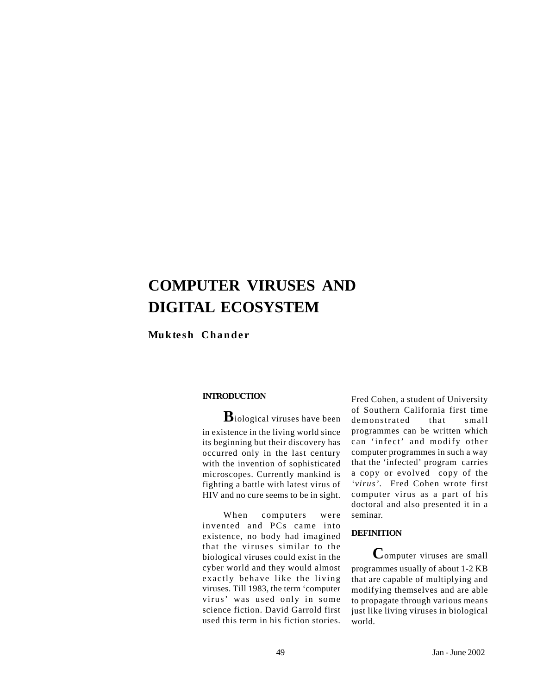## **COMPUTER VIRUSES AND DIGITAL ECOSYSTEM**

**Muktesh Chander**

#### **INTRODUCTION**

**B**iological viruses have been in existence in the living world since its beginning but their discovery has occurred only in the last century with the invention of sophisticated microscopes. Currently mankind is fighting a battle with latest virus of HIV and no cure seems to be in sight.

When computers were invented and PCs came into existence, no body had imagined that the viruses similar to the biological viruses could exist in the cyber world and they would almost exactly behave like the living viruses. Till 1983, the term 'computer virus' was used only in some science fiction. David Garrold first used this term in his fiction stories. Fred Cohen, a student of University of Southern California first time demonstrated that small programmes can be written which can 'infect' and modify other computer programmes in such a way that the 'infected' program carries a copy or evolved copy of the *'virus'.* Fred Cohen wrote first computer virus as a part of his doctoral and also presented it in a seminar.

#### **DEFINITION**

**C**omputer viruses are small programmes usually of about 1-2 KB that are capable of multiplying and modifying themselves and are able to propagate through various means just like living viruses in biological world.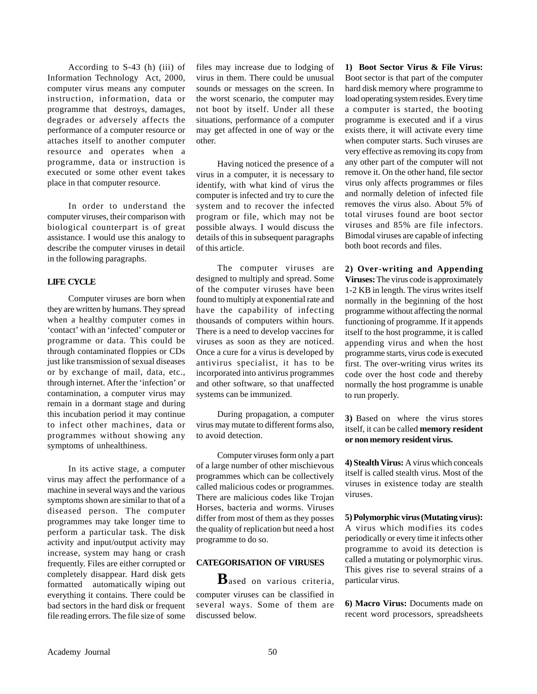According to S-43 (h) (iii) of Information Technology Act, 2000, computer virus means any computer instruction*,* information, data or programme that destroys, damages, degrades or adversely affects the performance of a computer resource or attaches itself to another computer resource and operates when a programme, data or instruction is executed or some other event takes place in that computer resource.

In order to understand the computer viruses, their comparison with biological counterpart is of great assistance. I would use this analogy to describe the computer viruses in detail in the following paragraphs.

#### **LIFE CYCLE**

Computer viruses are born when they are written by humans. They spread when a healthy computer comes in 'contact' with an 'infected' computer or programme or data. This could be through contaminated floppies or CDs just like transmission of sexual diseases or by exchange of mail, data, etc., through internet. After the 'infection' or contamination, a computer virus may remain in a dormant stage and during this incubation period it may continue to infect other machines, data or programmes without showing any symptoms of unhealthiness.

In its active stage, a computer virus may affect the performance of a machine in several ways and the various symptoms shown are similar to that of a diseased person. The computer programmes may take longer time to perform a particular task. The disk activity and input/output activity may increase, system may hang or crash frequently. Files are either corrupted or completely disappear. Hard disk gets formatted automatically wiping out everything it contains. There could be bad sectors in the hard disk or frequent file reading errors. The file size of some

files may increase due to lodging of virus in them. There could be unusual sounds or messages on the screen. In the worst scenario, the computer may not boot by itself. Under all these situations, performance of a computer may get affected in one of way or the other.

Having noticed the presence of a virus in a computer, it is necessary to identify, with what kind of virus the computer is infected and try to cure the system and to recover the infected program or file, which may not be possible always. I would discuss the details of this in subsequent paragraphs of this article.

The computer viruses are designed to multiply and spread. Some of the computer viruses have been found to multiply at exponential rate and have the capability of infecting thousands of computers within hours. There is a need to develop vaccines for viruses as soon as they are noticed. Once a cure for a virus is developed by antivirus specialist, it has to be incorporated into antivirus programmes and other software, so that unaffected systems can be immunized.

During propagation, a computer virus may mutate to different forms also, to avoid detection.

Computer viruses form only a part of a large number of other mischievous programmes which can be collectively called malicious codes or programmes. There are malicious codes like Trojan Horses, bacteria and worms. Viruses differ from most of them as they posses the quality of replication but need a host programme to do so.

#### **CATEGORISATION OF VIRUSES**

**B**ased on various criteria, computer viruses can be classified in several ways. Some of them are discussed below.

**1) Boot Sector Virus & File Virus:** Boot sector is that part of the computer hard disk memory where programme to load operating system resides. Every time a computer is started, the booting programme is executed and if a virus exists there, it will activate every time when computer starts. Such viruses are very effective as removing its copy from any other part of the computer will not remove it. On the other hand, file sector virus only affects programmes or files and normally deletion of infected file removes the virus also. About 5% of total viruses found are boot sector viruses and 85% are file infectors. Bimodal viruses are capable of infecting both boot records and files.

**2) Over-writing and Appending Viruses:** The virus code is approximately 1-2 KB in length. The virus writes itself normally in the beginning of the host programme without affecting the normal functioning of programme. If it appends itself to the host programme, it is called appending virus and when the host programme starts, virus code is executed first. The over-writing virus writes its code over the host code and thereby normally the host programme is unable to run properly.

**3)** Based on where the virus stores itself, it can be called **memory resident or non memory resident virus.**

**4) Stealth Virus:** A virus which conceals itself is called stealth virus. Most of the viruses in existence today are stealth viruses.

**5) Polymorphic virus (Mutating virus):** A virus which modifies its codes periodically or every time it infects other programme to avoid its detection is called a mutating or polymorphic virus. This gives rise to several strains of a particular virus.

**6) Macro Virus:** Documents made on recent word processors, spreadsheets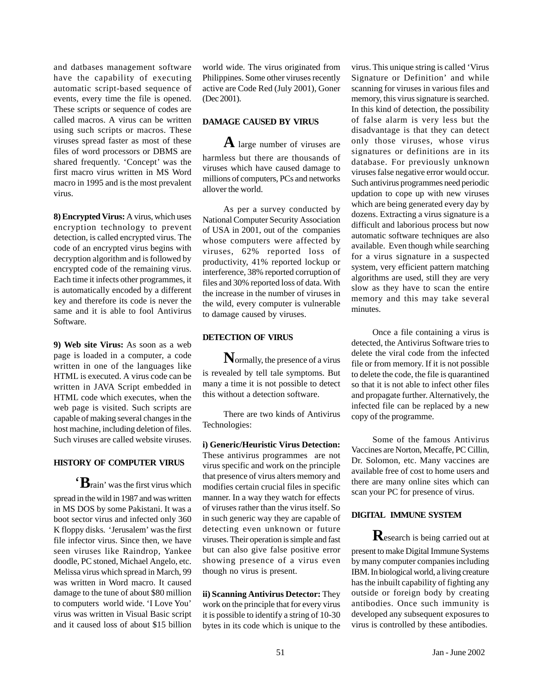and datbases management software have the capability of executing automatic script-based sequence of events, every time the file is opened. These scripts or sequence of codes are called macros. A virus can be written using such scripts or macros. These viruses spread faster as most of these files of word processors or DBMS are shared frequently. 'Concept' was the first macro virus written in MS Word macro in 1995 and is the most prevalent virus.

**8) Encrypted Virus:** A virus, which uses encryption technology to prevent detection, is called encrypted virus. The code of an encrypted virus begins with decryption algorithm and is followed by encrypted code of the remaining virus. Each time it infects other programmes, it is automatically encoded by a different key and therefore its code is never the same and it is able to fool Antivirus Software.

**9) Web site Virus:** As soon as a web page is loaded in a computer, a code written in one of the languages like HTML is executed. A virus code can be written in JAVA Script embedded in HTML code which executes, when the web page is visited. Such scripts are capable of making several changes in the host machine, including deletion of files. Such viruses are called website viruses.

#### **HISTORY OF COMPUTER VIRUS**

'**B**rain' was the first virus which spread in the wild in 1987 and was written in MS DOS by some Pakistani. It was a boot sector virus and infected only 360 K floppy disks. 'Jerusalem' was the first file infector virus. Since then, we have seen viruses like Raindrop, Yankee doodle, PC stoned, Michael Angelo, etc. Melissa virus which spread in March, 99 was written in Word macro. It caused damage to the tune of about \$80 million to computers world wide. 'I Love You' virus was written in Visual Basic script and it caused loss of about \$15 billion world wide. The virus originated from Philippines. Some other viruses recently active are Code Red (July 2001), Goner (Dec 2001).

#### **DAMAGE CAUSED BY VIRUS**

**A** large number of viruses are harmless but there are thousands of viruses which have caused damage to millions of computers, PCs and networks allover the world.

As per a survey conducted by National Computer Security Association of USA in 2001, out of the companies whose computers were affected by viruses, 62% reported loss of productivity, 41% reported lockup or interference, 38% reported corruption of files and 30% reported loss of data. With the increase in the number of viruses in the wild, every computer is vulnerable to damage caused by viruses.

#### **DETECTION OF VIRUS**

**N**ormally, the presence of a virus is revealed by tell tale symptoms. But many a time it is not possible to detect this without a detection software.

There are two kinds of Antivirus Technologies:

**i) Generic/Heuristic Virus Detection:** These antivirus programmes are not virus specific and work on the principle that presence of virus alters memory and modifies certain crucial files in specific manner. In a way they watch for effects of viruses rather than the virus itself. So in such generic way they are capable of detecting even unknown or future viruses. Their operation is simple and fast but can also give false positive error showing presence of a virus even though no virus is present.

**ii) Scanning Antivirus Detector:** They work on the principle that for every virus it is possible to identify a string of 10-30 bytes in its code which is unique to the

virus. This unique string is called 'Virus Signature or Definition' and while scanning for viruses in various files and memory, this virus signature is searched. In this kind of detection, the possibility of false alarm is very less but the disadvantage is that they can detect only those viruses, whose virus signatures or definitions are in its database. For previously unknown virusesfalse negative error would occur. Such antivirus programmes need periodic updation to cope up with new viruses which are being generated every day by dozens. Extracting a virus signature is a difficult and laborious process but now automatic software techniques are also available. Even though while searching for a virus signature in a suspected system, very efficient pattern matching algorithms are used, still they are very slow as they have to scan the entire memory and this may take several minutes.

Once a file containing a virus is detected, the Antivirus Software tries to delete the viral code from the infected file or from memory. If it is not possible to delete the code, the file is quarantined so that it is not able to infect other files and propagate further. Alternatively, the infected file can be replaced by a new copy of the programme.

Some of the famous Antivirus Vaccines are Norton, Mecaffe, PC Cillin, Dr. Solomon, etc. Many vaccines are available free of cost to home users and there are many online sites which can scan your PC for presence of virus.

#### **DIGITAL IMMUNE SYSTEM**

**R**esearch is being carried out at present to make Digital Immune Systems by many computer companies including IBM. In biological world, a living creature has the inbuilt capability of fighting any outside or foreign body by creating antibodies. Once such immunity is developed any subsequent exposures to virus is controlled by these antibodies.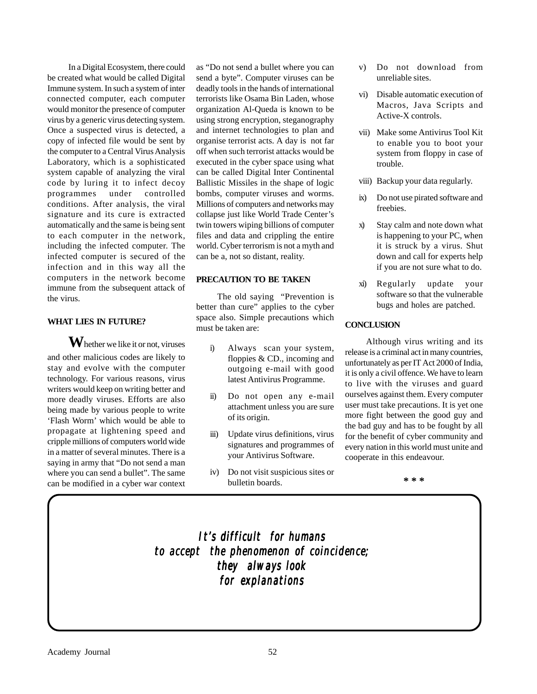In a Digital Ecosystem, there could be created what would be called Digital Immune system. In such a system of inter connected computer, each computer would monitor the presence of computer virus by a generic virus detecting system. Once a suspected virus is detected, a copy of infected file would be sent by the computer to a Central Virus Analysis Laboratory, which is a sophisticated system capable of analyzing the viral code by luring it to infect decoy programmes under controlled conditions. After analysis, the viral signature and its cure is extracted automatically and the same is being sent to each computer in the network, including the infected computer. The infected computer is secured of the infection and in this way all the computers in the network become immune from the subsequent attack of the virus.

#### **WHAT LIES IN FUTURE?**

**W**hether we like it or not, viruses and other malicious codes are likely to stay and evolve with the computer technology. For various reasons, virus writers would keep on writing better and more deadly viruses. Efforts are also being made by various people to write 'Flash Worm' which would be able to propagate at lightening speed and cripple millions of computers world wide in a matter of several minutes. There is a saying in army that "Do not send a man where you can send a bullet". The same can be modified in a cyber war context

as "Do not send a bullet where you can send a byte". Computer viruses can be deadly tools in the hands of international terrorists like Osama Bin Laden, whose organization Al-Queda is known to be using strong encryption, steganography and internet technologies to plan and organise terrorist acts. A day is not far off when such terrorist attacks would be executed in the cyber space using what can be called Digital Inter Continental Ballistic Missiles in the shape of logic bombs, computer viruses and worms. Millions of computers and networks may collapse just like World Trade Center's twin towers wiping billions of computer files and data and crippling the entire world. Cyber terrorism is not a myth and can be a, not so distant, reality.

#### **PRECAUTION TO BE TAKEN**

The old saying "Prevention is better than cure" applies to the cyber space also. Simple precautions which must be taken are:

- i) Always scan your system, floppies & CD., incoming and outgoing e-mail with good latest Antivirus Programme.
- ii) Do not open any e-mail attachment unless you are sure of its origin.
- iii) Update virus definitions, virus signatures and programmes of your Antivirus Software.
- iv) Do not visit suspicious sites or bulletin boards.
- v) Do not download from unreliable sites.
- vi) Disable automatic execution of Macros, Java Scripts and Active-X controls.
- vii) Make some Antivirus Tool Kit to enable you to boot your system from floppy in case of trouble.
- viii) Backup your data regularly.
- ix) Do not use pirated software and freebies.
- x) Stay calm and note down what is happening to your PC, when it is struck by a virus. Shut down and call for experts help if you are not sure what to do.
- xi) Regularly update your software so that the vulnerable bugs and holes are patched.

#### **CONCLUSION**

Although virus writing and its release is a criminal act in many countries, unfortunately as per IT Act 2000 of India, it is only a civil offence. We have to learn to live with the viruses and guard ourselves against them. Every computer user must take precautions. It is yet one more fight between the good guy and the bad guy and has to be fought by all for the benefit of cyber community and every nation in this world must unite and cooperate in this endeavour.

**\* \* \***

*It's difficult for humans It's difficult humans to accept the phenomenon of coincidence; to accept the of coincidence; they always look they look for explanations for explanations*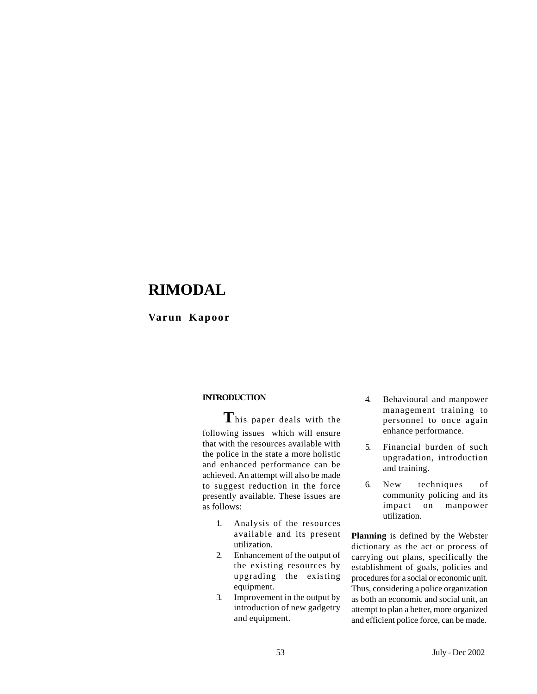## **RIMODAL**

#### **Varun Kapoor**

#### **INTRODUCTION**

**T**his paper deals with the following issues which will ensure that with the resources available with the police in the state a more holistic and enhanced performance can be achieved. An attempt will also be made to suggest reduction in the force presently available. These issues are as follows:

- 1. Analysis of the resources available and its present utilization.
- 2. Enhancement of the output of the existing resources by upgrading the existing equipment.
- 3. Improvement in the output by introduction of new gadgetry and equipment.
- 4. Behavioural and manpower management training to personnel to once again enhance performance.
- 5. Financial burden of such upgradation, introduction and training.
- 6. New techniques of community policing and its impact on manpower utilization.

**Planning** is defined by the Webster dictionary as the act or process of carrying out plans, specifically the establishment of goals, policies and procedures for a social or economic unit. Thus, considering a police organization as both an economic and social unit, an attempt to plan a better, more organized and efficient police force, can be made.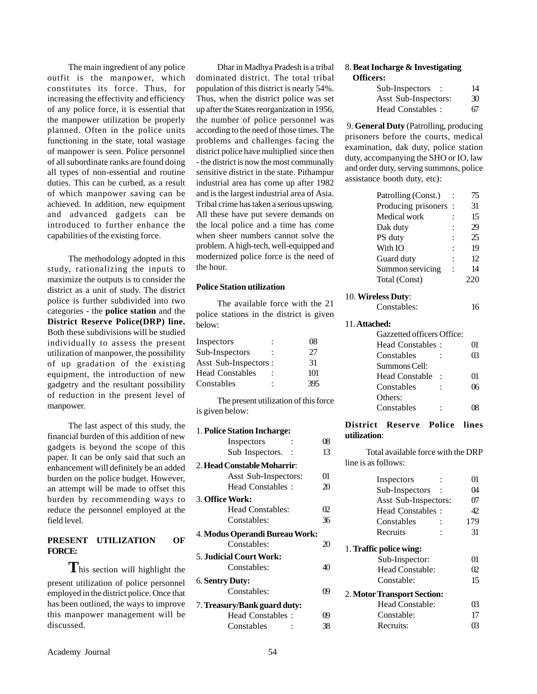The main ingredient of any police outfit is the manpower, which constitutes its force. Thus, for increasing the effectivity and efficiency of any police force, it is essential that the manpower utilization be properly planned. Often in the police units functioning in the state, total wastage of manpower is seen. Police personnel of all subordinate ranks are found doing all types of non-essential and routine duties. This can be curbed, as a result of which manpower saving can be achieved. In addition, new equipment and advanced gadgets can be introduced to further enhance the capabilities of the existing force.

The methodology adopted in this study, rationalizing the inputs to maximize the outputs is to consider the district as a unit of study. The district police is further subdivided into two categories - the **police station** and the **District Reserve Police(DRP) line.** Both these subdivisions will be studied individually to assess the present utilization of manpower, the possibility of up gradation of the existing equipment, the introduction of new gadgetry and the resultant possibility of reduction in the present level of manpower.

The last aspect of this study, the financial burden of this addition of new gadgets is beyond the scope of this paper. It can be only said that such an enhancement will definitely be an added burden on the police budget. However, an attempt will be made to offset this burden by recommending ways to reduce the personnel employed at the field level.

#### **PRESENT UTILIZATION OF FORCE:**

**T**his section will highlight the present utilization of police personnel employed in the district police. Once that has been outlined, the ways to improve this manpower management will be discussed.

Dhar in Madhya Pradesh is a tribal dominated district. The total tribal population of this district is nearly 54%. Thus, when the district police was set up after the States reorganization in 1956, the number of police personnel was according to the need of those times. The problems and challenges facing the district police have multiplied since then - the district is now the most communally sensitive district in the state. Pithampur industrial area has come up after 1982 and is the largest industrial area of Asia. Tribal crime has taken a serious upswing. All these have put severe demands on the local police and a time has come when sheer numbers cannot solve the problem. A high-tech, well-equipped and modernized police force is the need of the hour.

#### **Police Station utilization**

The available force with the 21 police stations in the district is given below:

| Inspectors            | 08  |
|-----------------------|-----|
| Sub-Inspectors        | 27  |
| Asst Sub-Inspectors : | 31  |
| Head Constables       | 101 |
| Constables            | 395 |
|                       |     |

The present utilization of this force is given below:

| 1. Police Station Incharge:    |    |
|--------------------------------|----|
| Inspectors                     | 08 |
| Sub Inspectors.                | 13 |
| 2. Head Constable Moharrir:    |    |
| Asst Sub-Inspectors:           | 01 |
| Head Constables:               | 20 |
| <b>3. Office Work:</b>         |    |
| <b>Head Constables:</b>        | O2 |
| Constables:                    | 36 |
|                                |    |
| 4. Modus Operandi Bureau Work: |    |
| Constables:                    | 20 |
| <b>5. Judicial Court Work:</b> |    |
| Constables:                    | 40 |
| 6. Sentry Duty:                |    |
| Constables:                    | 09 |
| 7. Treasury/Bank guard duty:   |    |
| Head Constables:               | 09 |

#### 8. **Beat Incharge & Investigating Officers:**

| Sub-Inspectors       | 14 |
|----------------------|----|
| Asst Sub-Inspectors: | 30 |
| Head Constables:     | 67 |

 9. **General Duty** (Patrolling, producing prisoners before the courts, medical examination, dak duty, police station duty, accompanying the SHO or IO, law and order duty, serving summons, police assistance booth duty, etc):

| Patrolling (Const.) |         | 75 |
|---------------------|---------|----|
| Producing prisoners | $\cdot$ | 31 |
| Medical work        |         | 15 |
| Dak duty            |         | 29 |
| PS duty             |         | 25 |
| With IO             |         | 19 |
| Guard duty          |         | 12 |
| Summon servicing    |         | 14 |
| Total (Const)       |         |    |
|                     |         |    |

#### 10. **Wireless Duty**:

| Constables: | 16 |
|-------------|----|
|             |    |

#### 11. **Attached:**

| Gazzetted officers Office: |    |
|----------------------------|----|
| Head Constables:           | 01 |
| Constables                 | 63 |
| Summons Cell:              |    |
| <b>Head Constable</b>      | 01 |
| Constables                 | በና |
| Others:                    |    |
| Constables                 |    |

#### **District Reserve Police lines utilization**:

Total available force with the DRP line is as follows:

| Inspectors                  | 01  |  |  |
|-----------------------------|-----|--|--|
| Sub-Inspectors              | (И  |  |  |
| Asst Sub-Inspectors:        | 617 |  |  |
| Head Constables:            | 42  |  |  |
| Constables                  | 179 |  |  |
| Recruits                    | 31  |  |  |
| 1. Traffic police wing:     |     |  |  |
| Sub-Inspector:              | O1  |  |  |
| Head Constable:             | O2  |  |  |
| Constable:                  | 15  |  |  |
| 2. Motor Transport Section: |     |  |  |
| Head Constable:             | 03  |  |  |
| Constable:                  | 17  |  |  |
| Recruits:                   |     |  |  |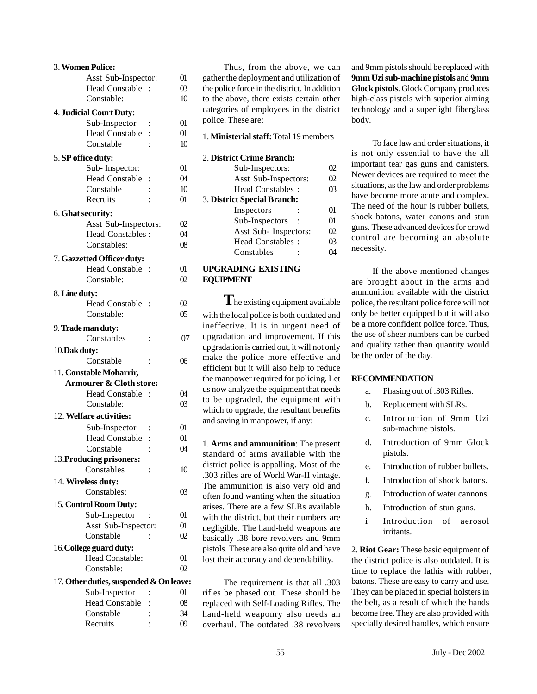|               | 3. Women Police:                        |                |          |
|---------------|-----------------------------------------|----------------|----------|
|               | Asst Sub-Inspector:                     |                | 01       |
|               | <b>Head Constable</b>                   |                | 03       |
|               | Constable:                              |                | 10       |
|               | <b>4. Judicial Court Duty:</b>          |                |          |
|               | Sub-Inspector                           |                | 01       |
|               | <b>Head Constable</b>                   | $\vdots$       | 01       |
|               | Constable                               |                | 10       |
|               |                                         |                |          |
|               | 5. SP office duty:                      |                |          |
|               | Sub-Inspector:                          |                | 01       |
|               | <b>Head Constable</b>                   |                | 04       |
|               | Constable                               |                | 10       |
|               | Recruits                                |                | 01       |
|               | 6. Ghat security:                       |                |          |
|               | Asst Sub-Inspectors:                    |                | 02       |
|               | <b>Head Constables:</b>                 |                | 04       |
|               | Constables:                             |                | 08       |
|               |                                         |                |          |
|               | 7. Gazzetted Officer duty:              |                |          |
|               | <b>Head Constable</b>                   |                | 01       |
|               | Constable:                              |                | $\Omega$ |
| 8. Line duty: |                                         |                |          |
|               | <b>Head Constable</b>                   |                | 02       |
|               | Constable:                              |                | 05       |
|               |                                         |                |          |
|               | 9. Trade man duty:                      |                |          |
|               | Constables                              | $\ddot{\cdot}$ | 07       |
| 10. Dak duty: |                                         |                |          |
|               | Constable                               | $\ddot{\cdot}$ | 06       |
|               | 11. Constable Moharrir,                 |                |          |
|               | <b>Armourer &amp; Cloth store:</b>      |                |          |
|               | <b>Head Constable</b>                   |                | 04       |
|               | Constable:                              |                | 03       |
|               | 12. Welfare activities:                 |                |          |
|               | Sub-Inspector                           |                | 01       |
|               | <b>Head Constable</b>                   |                | 01       |
|               | Constable                               |                | 04       |
|               |                                         |                |          |
|               | 13. Producing prisoners:<br>Constables  |                |          |
|               |                                         |                | 10       |
|               | 14. Wireless duty:                      |                |          |
|               | Constables:                             |                | 03       |
|               | 15. Control Room Duty:                  |                |          |
|               | Sub-Inspector                           |                | 01       |
|               | Asst Sub-Inspector:                     |                | 01       |
|               | Constable                               |                | $\Omega$ |
|               | 16. College guard duty:                 |                |          |
|               | Head Constable:                         |                | 01       |
|               | Constable:                              |                | $\Omega$ |
|               |                                         |                |          |
|               | 17. Other duties, suspended & On leave: |                |          |
|               | Sub-Inspector                           |                | 01       |
|               | <b>Head Constable</b>                   | $\vdots$       | $08\,$   |
|               | Constable                               |                | 34       |
|               | Recruits                                |                | 09       |

Thus, from the above, we can gather the deployment and utilization of the police force in the district. In addition to the above, there exists certain other categories of employees in the district police. These are:

1. **Ministerial staff:** Total 19 members

#### 2. **District Crime Branch:**

| Sub-Inspectors:             | 12  |  |
|-----------------------------|-----|--|
| Asst Sub-Inspectors:        | O2  |  |
| Head Constables:            | œ   |  |
| 3. District Special Branch: |     |  |
| Inspectors                  | 01  |  |
| Sub-Inspectors              | 01  |  |
| Asst Sub- Inspectors:       | O2  |  |
| Head Constables:            | ന്ദ |  |
| Constables                  |     |  |

#### **UPGRADING EXISTING EQUIPMENT**

**T**he existing equipment available with the local police is both outdated and ineffective. It is in urgent need of upgradation and improvement. If this upgradation is carried out, it will not only make the police more effective and efficient but it will also help to reduce the manpower required for policing. Let us now analyze the equipment that needs to be upgraded, the equipment with which to upgrade, the resultant benefits and saving in manpower, if any:

1. **Arms and ammunition**: The present standard of arms available with the district police is appalling. Most of the .303 rifles are of World War-II vintage. The ammunition is also very old and often found wanting when the situation arises. There are a few SLRs available with the district, but their numbers are negligible. The hand-held weapons are basically .38 bore revolvers and 9mm pistols. These are also quite old and have lost their accuracy and dependability.

The requirement is that all .303 rifles be phased out. These should be replaced with Self-Loading Rifles. The hand-held weaponry also needs an overhaul. The outdated .38 revolvers

and 9mm pistols should be replaced with **9mm Uzi sub-machine pistols** and **9mm Glock pistols**. Glock Company produces high-class pistols with superior aiming technology and a superlight fiberglass body.

To face law and order situations, it is not only essential to have the all important tear gas guns and canisters. Newer devices are required to meet the situations, as the law and order problems have become more acute and complex. The need of the hour is rubber bullets, shock batons, water canons and stun guns. These advanced devices for crowd control are becoming an absolute necessity.

If the above mentioned changes are brought about in the arms and ammunition available with the district police, the resultant police force will not only be better equipped but it will also be a more confident police force. Thus, the use of sheer numbers can be curbed and quality rather than quantity would be the order of the day.

#### **RECOMMENDATION**

- a. Phasing out of .303 Rifles.
- b. Replacement with SLRs.
- c. Introduction of 9mm Uzi sub-machine pistols.
- d. Introduction of 9mm Glock pistols.
- e. Introduction of rubber bullets.
- f. Introduction of shock batons.
- g. Introduction of water cannons.
- h. Introduction of stun guns.
- i. Introduction of aerosol irritants.

2. **Riot Gear:** These basic equipment of the district police is also outdated. It is time to replace the lathis with rubber .batons. These are easy to carry and use. They can be placed in special holsters in the belt, as a result of which the hands become free. They are also provided with specially desired handles, which ensure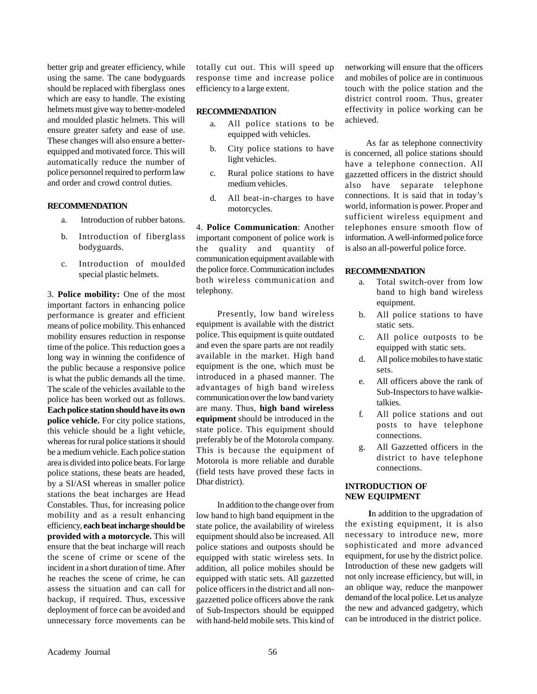better grip and greater efficiency, while using the same. The cane bodyguards should be replaced with fiberglass ones which are easy to handle. The existing helmets must give way to better-modeled and moulded plastic helmets. This will ensure greater safety and ease of use. These changes will also ensure a betterequipped and motivated force. This will automatically reduce the number of police personnel required to perform law and order and crowd control duties.

#### **RECOMMENDATION**

- a. Introduction of rubber batons.
- b. Introduction of fiberglass bodyguards.
- c. Introduction of moulded special plastic helmets.

3. **Police mobility:** One of the most important factors in enhancing police performance is greater and efficient means of police mobility. This enhanced mobility ensures reduction in response time of the police. This reduction goes a long way in winning the confidence of the public because a responsive police is what the public demands all the time. The scale of the vehicles available to the police has been worked out as follows. **Each police station should have its own police vehicle.** For city police stations, this vehicle should be a light vehicle, whereas for rural police stations it should be a medium vehicle. Each police station area is divided into police beats. For large police stations, these beats are headed, by a SI/ASI whereas in smaller police stations the beat incharges are Head Constables. Thus, for increasing police mobility and as a result enhancing efficiency, **each beat incharge should be provided with a motorcycle.** This will ensure that the beat incharge will reach the scene of crime or scene of the incident in a short duration of time. After he reaches the scene of crime, he can assess the situation and can call for backup, if required. Thus, excessive deployment of force can be avoided and unnecessary force movements can be

totally cut out. This will speed up response time and increase police efficiency to a large extent.

#### **RECOMMENDATION**

- a. All police stations to be equipped with vehicles.
- b. City police stations to have light vehicles.
- c. Rural police stations to have medium vehicles.
- d. All beat-in-charges to have motorcycles.

4. **Police Communication**: Another important component of police work is the quality and quantity of communication equipment available with the police force. Communication includes both wireless communication and telephony.

Presently, low band wireless equipment is available with the district police. This equipment is quite outdated and even the spare parts are not readily available in the market. High band equipment is the one, which must be introduced in a phased manner. The advantages of high band wireless communication over the low band variety are many. Thus, **high band wireless equipment** should be introduced in the state police. This equipment should preferably be of the Motorola company. This is because the equipment of Motorola is more reliable and durable (field tests have proved these facts in Dhar district).

In addition to the change over from low band to high band equipment in the state police, the availability of wireless equipment should also be increased. All police stations and outposts should be equipped with static wireless sets. In addition, all police mobiles should be equipped with static sets. All gazzetted police officers in the district and all nongazzetted police officers above the rank of Sub-Inspectors should be equipped with hand-held mobile sets. This kind of networking will ensure that the officers and mobiles of police are in continuous touch with the police station and the district control room. Thus, greater effectivity in police working can be achieved.

As far as telephone connectivity is concerned, all police stations should have a telephone connection. All gazzetted officers in the district should also have separate telephone connections. It is said that in today's world, information is power. Proper and sufficient wireless equipment and telephones ensure smooth flow of information. A well-informed police force is also an all-powerful police force.

#### **RECOMMENDATION**

- a. Total switch-over from low band to high band wireless equipment.
- b. All police stations to have static sets.
- c. All police outposts to be equipped with static sets.
- d. All police mobiles to have static sets.
- e. All officers above the rank of Sub-Inspectors to have walkietalkies.
- f. All police stations and out posts to have telephone connections.
- g. All Gazzetted officers in the district to have telephone connections.

#### **INTRODUCTION OF NEW EQUIPMENT**

 **I**n addition to the upgradation of the existing equipment, it is also necessary to introduce new, more sophisticated and more advanced equipment, for use by the district police. Introduction of these new gadgets will not only increase efficiency, but will, in an oblique way, reduce the manpower demand of the local police. Let us analyze the new and advanced gadgetry, which can be introduced in the district police.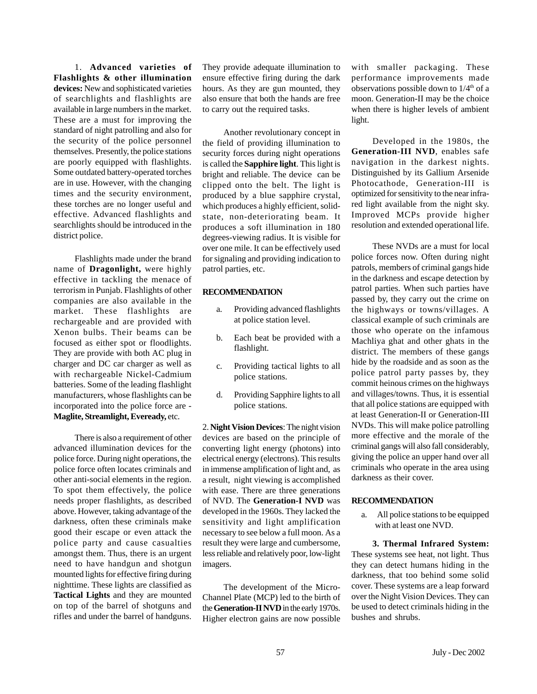1. **Advanced varieties of Flashlights & other illumination devices:** New and sophisticated varieties of searchlights and flashlights are available in large numbers in the market. These are a must for improving the standard of night patrolling and also for the security of the police personnel themselves. Presently, the police stations are poorly equipped with flashlights. Some outdated battery-operated torches are in use. However, with the changing times and the security environment, these torches are no longer useful and effective. Advanced flashlights and searchlights should be introduced in the district police.

Flashlights made under the brand name of **Dragonlight,** were highly effective in tackling the menace of terrorism in Punjab. Flashlights of other companies are also available in the market. These flashlights are rechargeable and are provided with Xenon bulbs. Their beams can be focused as either spot or floodlights. They are provide with both AC plug in charger and DC car charger as well as with rechargeable Nickel-Cadmium batteries. Some of the leading flashlight manufacturers, whose flashlights can be incorporated into the police force are - **Maglite, Streamlight, Eveready,** etc.

There is also a requirement of other advanced illumination devices for the police force. During night operations, the police force often locates criminals and other anti-social elements in the region. To spot them effectively, the police needs proper flashlights, as described above. However, taking advantage of the darkness, often these criminals make good their escape or even attack the police party and cause casualties amongst them. Thus, there is an urgent need to have handgun and shotgun mounted lights for effective firing during nighttime. These lights are classified as **Tactical Lights** and they are mounted on top of the barrel of shotguns and rifles and under the barrel of handguns. They provide adequate illumination to ensure effective firing during the dark hours. As they are gun mounted, they also ensure that both the hands are free to carry out the required tasks.

Another revolutionary concept in the field of providing illumination to security forces during night operations is called the **Sapphire light**. This light is bright and reliable. The device can be clipped onto the belt. The light is produced by a blue sapphire crystal, which produces a highly efficient, solidstate, non-deteriorating beam. It produces a soft illumination in 180 degrees-viewing radius. It is visible for over one mile. It can be effectively used for signaling and providing indication to patrol parties, etc.

#### **RECOMMENDATION**

- a. Providing advanced flashlights at police station level.
- b. Each beat be provided with a flashlight.
- c. Providing tactical lights to all police stations.
- d. Providing Sapphire lights to all police stations.

2. **Night Vision Devices**: The night vision devices are based on the principle of converting light energy (photons) into electrical energy (electrons). This results in immense amplification of light and, as a result, night viewing is accomplished with ease. There are three generations of NVD. The **Generation-I NVD** was developed in the 1960s. They lacked the sensitivity and light amplification necessary to see below a full moon. As a result they were large and cumbersome, less reliable and relatively poor, low-light imagers.

The development of the Micro-Channel Plate (MCP) led to the birth of the **Generation-II NVD** in the early 1970s. Higher electron gains are now possible

with smaller packaging. These performance improvements made observations possible down to  $1/4<sup>th</sup>$  of a moon. Generation-II may be the choice when there is higher levels of ambient light.

Developed in the 1980s, the **Generation-III NVD**, enables safe navigation in the darkest nights. Distinguished by its Gallium Arsenide Photocathode, Generation-III is optimized for sensitivity to the near infrared light available from the night sky. Improved MCPs provide higher resolution and extended operational life.

These NVDs are a must for local police forces now. Often during night patrols, members of criminal gangs hide in the darkness and escape detection by patrol parties. When such parties have passed by, they carry out the crime on the highways or towns/villages. A classical example of such criminals are those who operate on the infamous Machliya ghat and other ghats in the district. The members of these gangs hide by the roadside and as soon as the police patrol party passes by, they commit heinous crimes on the highways and villages/towns. Thus, it is essential that all police stations are equipped with at least Generation-II or Generation-III NVDs. This will make police patrolling more effective and the morale of the criminal gangs will also fall considerably, giving the police an upper hand over all criminals who operate in the area using darkness as their cover.

#### **RECOMMENDATION**

a. All police stations to be equipped with at least one NVD.

**3. Thermal Infrared System:** These systems see heat, not light. Thus they can detect humans hiding in the darkness, that too behind some solid cover. These systems are a leap forward over the Night Vision Devices. They can be used to detect criminals hiding in the bushes and shrubs.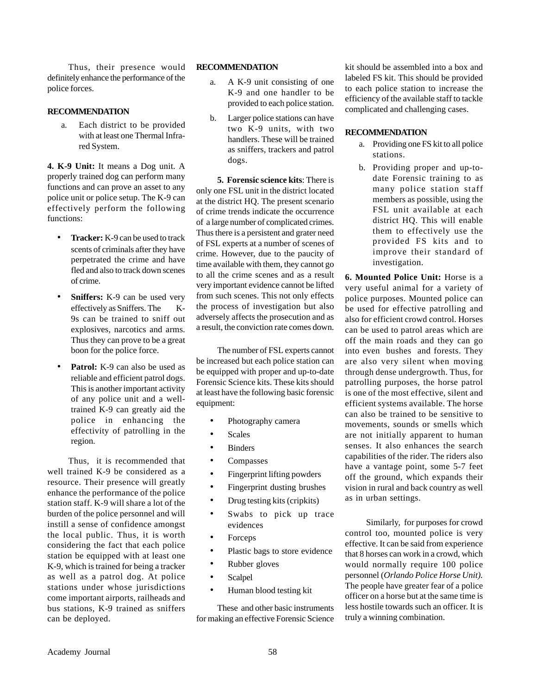Thus, their presence would definitely enhance the performance of the police forces.

#### **RECOMMENDATION**

a. Each district to be provided with at least one Thermal Infrared System.

**4. K-9 Unit:** It means a Dog unit. A properly trained dog can perform many functions and can prove an asset to any police unit or police setup. The K-9 can effectively perform the following functions:

- **Tracker:** K-9 can be used to track scents of criminals after they have perpetrated the crime and have fled and also to track down scenes of crime.
- **Sniffers:** K-9 can be used very effectively as Sniffers. The K-9s can be trained to sniff out explosives, narcotics and arms. Thus they can prove to be a great boon for the police force.
- **Patrol:** K-9 can also be used as reliable and efficient patrol dogs. This is another important activity of any police unit and a welltrained K-9 can greatly aid the police in enhancing the effectivity of patrolling in the region.

Thus, it is recommended that well trained K-9 be considered as a resource. Their presence will greatly enhance the performance of the police station staff. K-9 will share a lot of the burden of the police personnel and will instill a sense of confidence amongst the local public. Thus, it is worth considering the fact that each police station be equipped with at least one K-9, which is trained for being a tracker as well as a patrol dog. At police stations under whose jurisdictions come important airports, railheads and bus stations, K-9 trained as sniffers can be deployed.

#### **RECOMMENDATION**

- a. A K-9 unit consisting of one K-9 and one handler to be provided to each police station.
- b. Larger police stations can have two K-9 units, with two handlers. These will be trained as sniffers, trackers and patrol dogs.

**5. Forensic science kits**: There is only one FSL unit in the district located at the district HQ. The present scenario of crime trends indicate the occurrence of a large number of complicated crimes. Thus there is a persistent and grater need of FSL experts at a number of scenes of crime. However, due to the paucity of time available with them, they cannot go to all the crime scenes and as a result very important evidence cannot be lifted from such scenes. This not only effects the process of investigation but also adversely affects the prosecution and as a result, the conviction rate comes down.

The number of FSL experts cannot be increased but each police station can be equipped with proper and up-to-date Forensic Science kits. These kits should at least have the following basic forensic equipment:

- Photography camera
- Scales
- Binders
- Compasses
- Fingerprint lifting powders
- Fingerprint dusting brushes
- Drug testing kits (cripkits)
- Swabs to pick up trace evidences
- Forceps
- Plastic bags to store evidence
- Rubber gloves
- Scalpel
- Human blood testing kit

These and other basic instruments for making an effective Forensic Science kit should be assembled into a box and labeled FS kit. This should be provided to each police station to increase the efficiency of the available staff to tackle complicated and challenging cases.

#### **RECOMMENDATION**

- a. Providing one FS kit to all police stations.
- b. Providing proper and up-todate Forensic training to as many police station staff members as possible, using the FSL unit available at each district HQ. This will enable them to effectively use the provided FS kits and to improve their standard of investigation.

**6. Mounted Police Unit:** Horse is a very useful animal for a variety of police purposes. Mounted police can be used for effective patrolling and also for efficient crowd control. Horses can be used to patrol areas which are off the main roads and they can go into even bushes and forests. They are also very silent when moving through dense undergrowth. Thus, for patrolling purposes, the horse patrol is one of the most effective, silent and efficient systems available. The horse can also be trained to be sensitive to movements, sounds or smells which are not initially apparent to human senses. It also enhances the search capabilities of the rider. The riders also have a vantage point, some 5-7 feet off the ground, which expands their vision in rural and back country as well as in urban settings.

Similarly, for purposes for crowd control too, mounted police is very effective. It can be said from experience that 8 horses can work in a crowd, which would normally require 100 police personnel (*Orlando Police Horse Unit).* The people have greater fear of a police officer on a horse but at the same time is less hostile towards such an officer. It is truly a winning combination.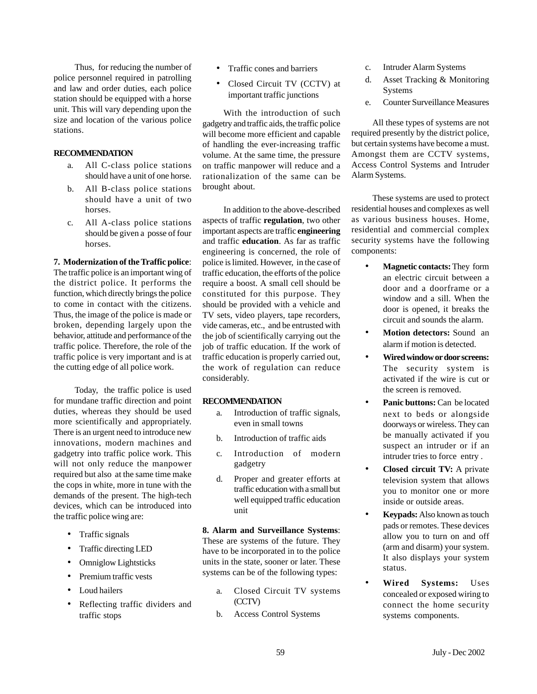Thus, for reducing the number of police personnel required in patrolling and law and order duties, each police station should be equipped with a horse unit. This will vary depending upon the size and location of the various police stations.

#### **RECOMMENDATION**

- a. All C-class police stations should have a unit of one horse.
- b. All B-class police stations should have a unit of two horses.
- c. All A-class police stations should be given a posse of four horses.

#### **7. Modernization of the Traffic police**:

The traffic police is an important wing of the district police. It performs the function, which directly brings the police to come in contact with the citizens. Thus, the image of the police is made or broken, depending largely upon the behavior, attitude and performance of the traffic police. Therefore, the role of the traffic police is very important and is at the cutting edge of all police work.

Today, the traffic police is used for mundane traffic direction and point duties, whereas they should be used more scientifically and appropriately. There is an urgent need to introduce new innovations, modern machines and gadgetry into traffic police work. This will not only reduce the manpower required but also at the same time make the cops in white, more in tune with the demands of the present. The high-tech devices, which can be introduced into the traffic police wing are:

- Traffic signals
- Traffic directing LED
- Omniglow Lightsticks
- Premium traffic vests
- Loud hailers
- Reflecting traffic dividers and traffic stops
- Traffic cones and barriers
- Closed Circuit TV (CCTV) at important traffic junctions

With the introduction of such gadgetry and traffic aids, the traffic police will become more efficient and capable of handling the ever-increasing traffic volume. At the same time, the pressure on traffic manpower will reduce and a rationalization of the same can be brought about.

In addition to the above-described aspects of traffic **regulation**, two other important aspects are traffic **engineering** and traffic **education**. As far as traffic engineering is concerned, the role of police is limited. However, in the case of traffic education, the efforts of the police require a boost. A small cell should be constituted for this purpose. They should be provided with a vehicle and TV sets, video players, tape recorders, vide cameras, etc., and be entrusted with the job of scientifically carrying out the job of traffic education. If the work of traffic education is properly carried out, the work of regulation can reduce considerably.

#### **RECOMMENDATION**

- a. Introduction of traffic signals, even in small towns
- b. Introduction of traffic aids
- c. Introduction of modern gadgetry
- d. Proper and greater efforts at traffic education with a small but well equipped traffic education unit

#### **8. Alarm and Surveillance Systems**:

These are systems of the future. They have to be incorporated in to the police units in the state, sooner or later. These systems can be of the following types:

- a. Closed Circuit TV systems (CCTV)
- b. Access Control Systems
- c. Intruder Alarm Systems
- d. Asset Tracking & Monitoring Systems
- e. Counter Surveillance Measures

All these types of systems are not required presently by the district police, but certain systems have become a must. Amongst them are CCTV systems, Access Control Systems and Intruder Alarm Systems.

These systems are used to protect residential houses and complexes as well as various business houses. Home, residential and commercial complex security systems have the following components:

- **Magnetic contacts:** They form an electric circuit between a door and a doorframe or a window and a sill. When the door is opened, it breaks the circuit and sounds the alarm.
- **Motion detectors:** Sound an alarm if motion is detected.
- **Wired window or door screens:** The security system is activated if the wire is cut or the screen is removed.
- **Panic buttons:** Can be located next to beds or alongside doorways or wireless. They can be manually activated if you suspect an intruder or if an intruder tries to force entry .
- **Closed circuit TV:** A private television system that allows you to monitor one or more inside or outside areas.
- **Keypads:** Also known as touch pads or remotes. These devices allow you to turn on and off (arm and disarm) your system. It also displays your system status.
- **Wired Systems:** Uses concealed or exposed wiring to connect the home security systems components.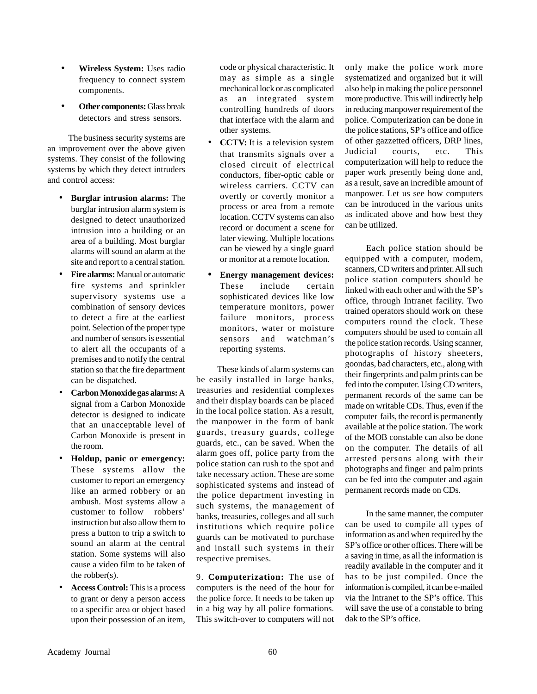- **Wireless System:** Uses radio frequency to connect system components.
- **Other components:** Glass break detectors and stress sensors.

The business security systems are an improvement over the above given systems. They consist of the following systems by which they detect intruders and control access:

- **Burglar intrusion alarms:** The burglar intrusion alarm system is designed to detect unauthorized intrusion into a building or an area of a building. Most burglar alarms will sound an alarm at the site and report to a central station.
- **Fire alarms:** Manual or automatic fire systems and sprinkler supervisory systems use a combination of sensory devices to detect a fire at the earliest point. Selection of the proper type and number of sensors is essential to alert all the occupants of a premises and to notify the central station so that the fire department can be dispatched.
- **Carbon Monoxide gas alarms:** A signal from a Carbon Monoxide detector is designed to indicate that an unacceptable level of Carbon Monoxide is present in the room.
- **Holdup, panic or emergency:** These systems allow the customer to report an emergency like an armed robbery or an ambush. Most systems allow a customer to follow robbers' instruction but also allow them to press a button to trip a switch to sound an alarm at the central station. Some systems will also cause a video film to be taken of the robber(s).
- **Access Control:** This is a process to grant or deny a person access to a specific area or object based upon their possession of an item,

code or physical characteristic. It may as simple as a single mechanical lock or as complicated as an integrated system controlling hundreds of doors that interface with the alarm and other systems.

- **CCTV:** It is a television system that transmits signals over a closed circuit of electrical conductors, fiber-optic cable or wireless carriers. CCTV can overtly or covertly monitor a process or area from a remote location. CCTV systems can also record or document a scene for later viewing. Multiple locations can be viewed by a single guard or monitor at a remote location.
- **• Energy management devices:** These include certain sophisticated devices like low temperature monitors, power failure monitors, process monitors, water or moisture sensors and watchman's reporting systems.

These kinds of alarm systems can be easily installed in large banks, treasuries and residential complexes and their display boards can be placed in the local police station. As a result, the manpower in the form of bank guards, treasury guards, college guards, etc., can be saved. When the alarm goes off, police party from the police station can rush to the spot and take necessary action. These are some sophisticated systems and instead of the police department investing in such systems, the management of banks, treasuries, colleges and all such institutions which require police guards can be motivated to purchase and install such systems in their respective premises.

9. **Computerization:** The use of computers is the need of the hour for the police force. It needs to be taken up in a big way by all police formations. This switch-over to computers will not only make the police work more systematized and organized but it will also help in making the police personnel more productive. This will indirectly help in reducing manpower requirement of the police. Computerization can be done in the police stations, SP's office and office of other gazzetted officers, DRP lines, Judicial courts, etc. This computerization will help to reduce the paper work presently being done and, as a result, save an incredible amount of manpower. Let us see how computers can be introduced in the various units as indicated above and how best they can be utilized.

Each police station should be equipped with a computer, modem, scanners, CD writers and printer. All such police station computers should be linked with each other and with the SP's office, through Intranet facility. Two trained operators should work on these computers round the clock. These computers should be used to contain all the police station records. Using scanner, photographs of history sheeters, goondas, bad characters, etc., along with their fingerprints and palm prints can be fed into the computer. Using CD writers, permanent records of the same can be made on writable CDs. Thus, even if the computer fails, the record is permanently available at the police station. The work of the MOB constable can also be done on the computer. The details of all arrested persons along with their photographs and finger and palm prints can be fed into the computer and again permanent records made on CDs.

In the same manner, the computer can be used to compile all types of information as and when required by the SP's office or other offices. There will be a saving in time, as all the information is readily available in the computer and it has to be just compiled. Once the information is compiled, it can be e-mailed via the Intranet to the SP's office. This will save the use of a constable to bring dak to the SP's office.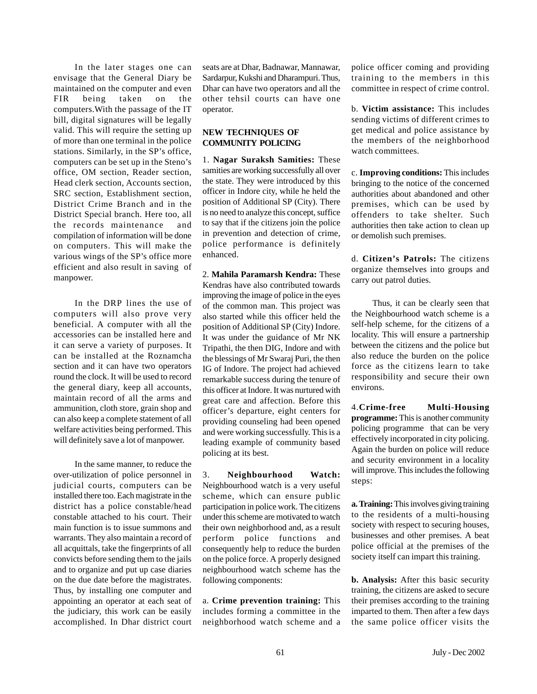In the later stages one can envisage that the General Diary be maintained on the computer and even FIR being taken on the computers.With the passage of the IT bill, digital signatures will be legally valid. This will require the setting up of more than one terminal in the police stations. Similarly, in the SP's office, computers can be set up in the Steno's office, OM section, Reader section, Head clerk section, Accounts section, SRC section, Establishment section, District Crime Branch and in the District Special branch. Here too, all the records maintenance and compilation of information will be done on computers. This will make the various wings of the SP's office more efficient and also result in saving of manpower.

In the DRP lines the use of computers will also prove very beneficial. A computer with all the accessories can be installed here and it can serve a variety of purposes. It can be installed at the Roznamcha section and it can have two operators round the clock. It will be used to record the general diary, keep all accounts, maintain record of all the arms and ammunition, cloth store, grain shop and can also keep a complete statement of all welfare activities being performed. This will definitely save a lot of manpower.

In the same manner, to reduce the over-utilization of police personnel in judicial courts, computers can be installed there too. Each magistrate in the district has a police constable/head constable attached to his court. Their main function is to issue summons and warrants. They also maintain a record of all acquittals, take the fingerprints of all convicts before sending them to the jails and to organize and put up case diaries on the due date before the magistrates. Thus, by installing one computer and appointing an operator at each seat of the judiciary, this work can be easily accomplished. In Dhar district court

seats are at Dhar, Badnawar, Mannawar, Sardarpur, Kukshi and Dharampuri. Thus, Dhar can have two operators and all the other tehsil courts can have one operator.

#### **NEW TECHNIQUES OF COMMUNITY POLICING**

1. **Nagar Suraksh Samities:** These samities are working successfully all over the state. They were introduced by this officer in Indore city, while he held the position of Additional SP (City). There is no need to analyze this concept, suffice to say that if the citizens join the police in prevention and detection of crime, police performance is definitely enhanced.

2. **Mahila Paramarsh Kendra:** These Kendras have also contributed towards improving the image of police in the eyes of the common man. This project was also started while this officer held the position of Additional SP (City) Indore. It was under the guidance of Mr NK Tripathi, the then DIG, Indore and with the blessings of Mr Swaraj Puri, the then IG of Indore. The project had achieved remarkable success during the tenure of this officer at Indore. It was nurtured with great care and affection. Before this officer's departure, eight centers for providing counseling had been opened and were working successfully. This is a leading example of community based policing at its best.

3. **Neighbourhood Watch:** Neighbourhood watch is a very useful scheme, which can ensure public participation in police work. The citizens under this scheme are motivated to watch their own neighborhood and, as a result perform police functions and consequently help to reduce the burden on the police force. A properly designed neighbourhood watch scheme has the following components:

a. **Crime prevention training:** This includes forming a committee in the neighborhood watch scheme and a

police officer coming and providing training to the members in this committee in respect of crime control.

b. **Victim assistance:** This includes sending victims of different crimes to get medical and police assistance by the members of the neighborhood watch committees.

c. **Improving conditions:** This includes bringing to the notice of the concerned authorities about abandoned and other premises, which can be used by offenders to take shelter. Such authorities then take action to clean up or demolish such premises.

d. **Citizen's Patrols:** The citizens organize themselves into groups and carry out patrol duties.

Thus, it can be clearly seen that the Neighbourhood watch scheme is a self-help scheme, for the citizens of a locality. This will ensure a partnership between the citizens and the police but also reduce the burden on the police force as the citizens learn to take responsibility and secure their own environs.

4.**Crime-free Multi-Housing programme:** This is another community policing programme that can be very effectively incorporated in city policing. Again the burden on police will reduce and security environment in a locality will improve. This includes the following steps:

**a. Training:** This involves giving training to the residents of a multi-housing society with respect to securing houses, businesses and other premises. A beat police official at the premises of the society itself can impart this training.

**b. Analysis:** After this basic security training, the citizens are asked to secure their premises according to the training imparted to them. Then after a few days the same police officer visits the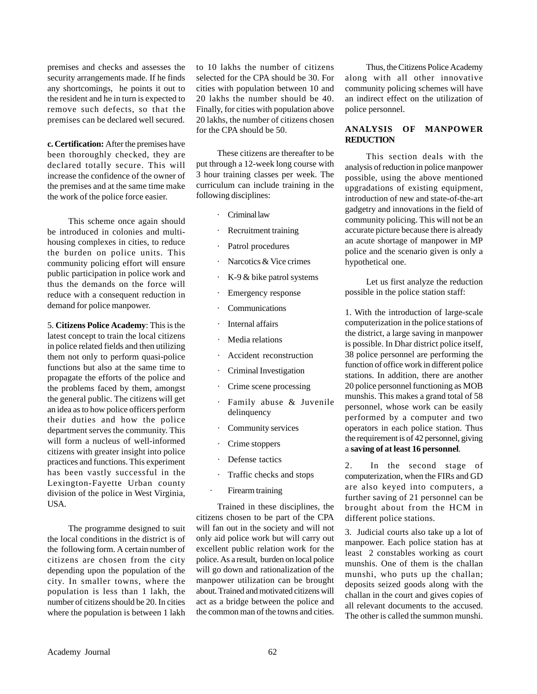premises and checks and assesses the security arrangements made. If he finds any shortcomings, he points it out to the resident and he in turn is expected to remove such defects, so that the premises can be declared well secured.

**c. Certification:** After the premises have been thoroughly checked, they are declared totally secure. This will increase the confidence of the owner of the premises and at the same time make the work of the police force easier.

This scheme once again should be introduced in colonies and multihousing complexes in cities, to reduce the burden on police units. This community policing effort will ensure public participation in police work and thus the demands on the force will reduce with a consequent reduction in demand for police manpower.

5. **Citizens Police Academy**: This is the latest concept to train the local citizens in police related fields and then utilizing them not only to perform quasi-police functions but also at the same time to propagate the efforts of the police and the problems faced by them, amongst the general public. The citizens will get an idea as to how police officers perform their duties and how the police department serves the community. This will form a nucleus of well-informed citizens with greater insight into police practices and functions. This experiment has been vastly successful in the Lexington-Fayette Urban county division of the police in West Virginia, USA.

The programme designed to suit the local conditions in the district is of the following form. A certain number of citizens are chosen from the city depending upon the population of the city. In smaller towns, where the population is less than 1 lakh, the number of citizens should be 20. In cities where the population is between 1 lakh

to 10 lakhs the number of citizens selected for the CPA should be 30. For cities with population between 10 and 20 lakhs the number should be 40. Finally, for cities with population above 20 lakhs, the number of citizens chosen for the CPA should be 50.

These citizens are thereafter to be put through a 12-week long course with 3 hour training classes per week. The curriculum can include training in the following disciplines:

- · Criminal law
- Recruitment training
- Patrol procedures
- Narcotics & Vice crimes
- K-9 & bike patrol systems
- Emergency response
- **Communications**
- Internal affairs
- · Media relations
- Accident reconstruction
- Criminal Investigation
- Crime scene processing
- · Family abuse & Juvenile delinquency
- Community services
- Crime stoppers
- Defense tactics
- Traffic checks and stops
- Firearm training

Trained in these disciplines, the citizens chosen to be part of the CPA will fan out in the society and will not only aid police work but will carry out excellent public relation work for the police. As a result, burden on local police will go down and rationalization of the manpower utilization can be brought about. Trained and motivated citizens will act as a bridge between the police and the common man of the towns and cities.

Thus, the Citizens Police Academy along with all other innovative community policing schemes will have an indirect effect on the utilization of police personnel.

#### **ANALYSIS OF MANPOWER REDUCTION**

This section deals with the analysis of reduction in police manpower possible, using the above mentioned upgradations of existing equipment, introduction of new and state-of-the-art gadgetry and innovations in the field of community policing. This will not be an accurate picture because there is already an acute shortage of manpower in MP police and the scenario given is only a hypothetical one.

Let us first analyze the reduction possible in the police station staff:

1. With the introduction of large-scale computerization in the police stations of the district, a large saving in manpower is possible. In Dhar district police itself, 38 police personnel are performing the function of office work in different police stations. In addition, there are another 20 police personnel functioning as MOB munshis. This makes a grand total of 58 personnel, whose work can be easily performed by a computer and two operators in each police station. Thus the requirement is of 42 personnel, giving a **saving of at least 16 personnel**.

2. In the second stage of computerization, when the FIRs and GD are also keyed into computers, a further saving of 21 personnel can be brought about from the HCM in different police stations.

3. Judicial courts also take up a lot of manpower. Each police station has at least 2 constables working as court munshis. One of them is the challan munshi, who puts up the challan; deposits seized goods along with the challan in the court and gives copies of all relevant documents to the accused. The other is called the summon munshi.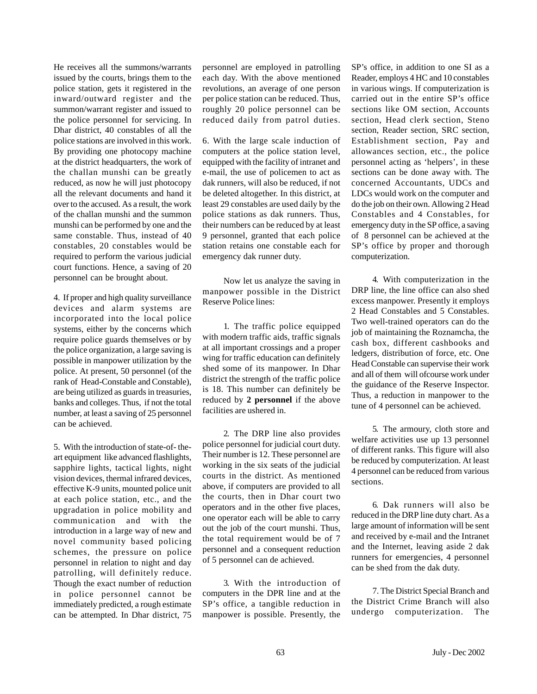He receives all the summons/warrants issued by the courts, brings them to the police station, gets it registered in the inward/outward register and the summon/warrant register and issued to the police personnel for servicing. In Dhar district, 40 constables of all the police stations are involved in this work. By providing one photocopy machine at the district headquarters, the work of the challan munshi can be greatly reduced, as now he will just photocopy all the relevant documents and hand it over to the accused. As a result, the work of the challan munshi and the summon munshi can be performed by one and the same constable. Thus, instead of 40 constables, 20 constables would be required to perform the various judicial court functions. Hence, a saving of 20 personnel can be brought about.

4. If proper and high quality surveillance devices and alarm systems are incorporated into the local police systems, either by the concerns which require police guards themselves or by the police organization, a large saving is possible in manpower utilization by the police. At present, 50 personnel (of the rank of Head-Constable and Constable), are being utilized as guards in treasuries, banks and colleges. Thus, if not the total number, at least a saving of 25 personnel can be achieved.

5. With the introduction of state-of- theart equipment like advanced flashlights, sapphire lights, tactical lights, night vision devices, thermal infrared devices, effective K-9 units, mounted police unit at each police station, etc., and the upgradation in police mobility and communication and with the introduction in a large way of new and novel community based policing schemes, the pressure on police personnel in relation to night and day patrolling, will definitely reduce. Though the exact number of reduction in police personnel cannot be immediately predicted, a rough estimate can be attempted. In Dhar district, 75

personnel are employed in patrolling each day. With the above mentioned revolutions, an average of one person per police station can be reduced. Thus, roughly 20 police personnel can be reduced daily from patrol duties.

6. With the large scale induction of computers at the police station level, equipped with the facility of intranet and e-mail, the use of policemen to act as dak runners, will also be reduced, if not be deleted altogether. In this district, at least 29 constables are used daily by the police stations as dak runners. Thus, their numbers can be reduced by at least 9 personnel, granted that each police station retains one constable each for emergency dak runner duty.

Now let us analyze the saving in manpower possible in the District Reserve Police lines:

1. The traffic police equipped with modern traffic aids, traffic signals at all important crossings and a proper wing for traffic education can definitely shed some of its manpower. In Dhar district the strength of the traffic police is 18. This number can definitely be reduced by **2 personnel** if the above facilities are ushered in.

2. The DRP line also provides police personnel for judicial court duty. Their number is 12. These personnel are working in the six seats of the judicial courts in the district. As mentioned above, if computers are provided to all the courts, then in Dhar court two operators and in the other five places, one operator each will be able to carry out the job of the court munshi. Thus, the total requirement would be of 7 personnel and a consequent reduction of 5 personnel can de achieved.

3. With the introduction of computers in the DPR line and at the SP's office, a tangible reduction in manpower is possible. Presently, the

SP's office, in addition to one SI as a Reader, employs 4 HC and 10 constables in various wings. If computerization is carried out in the entire SP's office sections like OM section, Accounts section, Head clerk section, Steno section, Reader section, SRC section, Establishment section, Pay and allowances section, etc., the police personnel acting as 'helpers', in these sections can be done away with. The concerned Accountants, UDCs and LDCs would work on the computer and do the job on their own. Allowing 2 Head Constables and 4 Constables, for emergency duty in the SP office, a saving of 8 personnel can be achieved at the SP's office by proper and thorough computerization.

4. With computerization in the DRP line, the line office can also shed excess manpower. Presently it employs 2 Head Constables and 5 Constables. Two well-trained operators can do the job of maintaining the Roznamcha, the cash box, different cashbooks and ledgers, distribution of force, etc. One Head Constable can supervise their work and all of them will ofcourse work under the guidance of the Reserve Inspector. Thus, a reduction in manpower to the tune of 4 personnel can be achieved.

5. The armoury, cloth store and welfare activities use up 13 personnel of different ranks. This figure will also be reduced by computerization. At least 4 personnel can be reduced from various sections.

6. Dak runners will also be reduced in the DRP line duty chart. As a large amount of information will be sent and received by e-mail and the Intranet and the Internet, leaving aside 2 dak runners for emergencies, 4 personnel can be shed from the dak duty.

7. The District Special Branch and the District Crime Branch will also undergo computerization. The